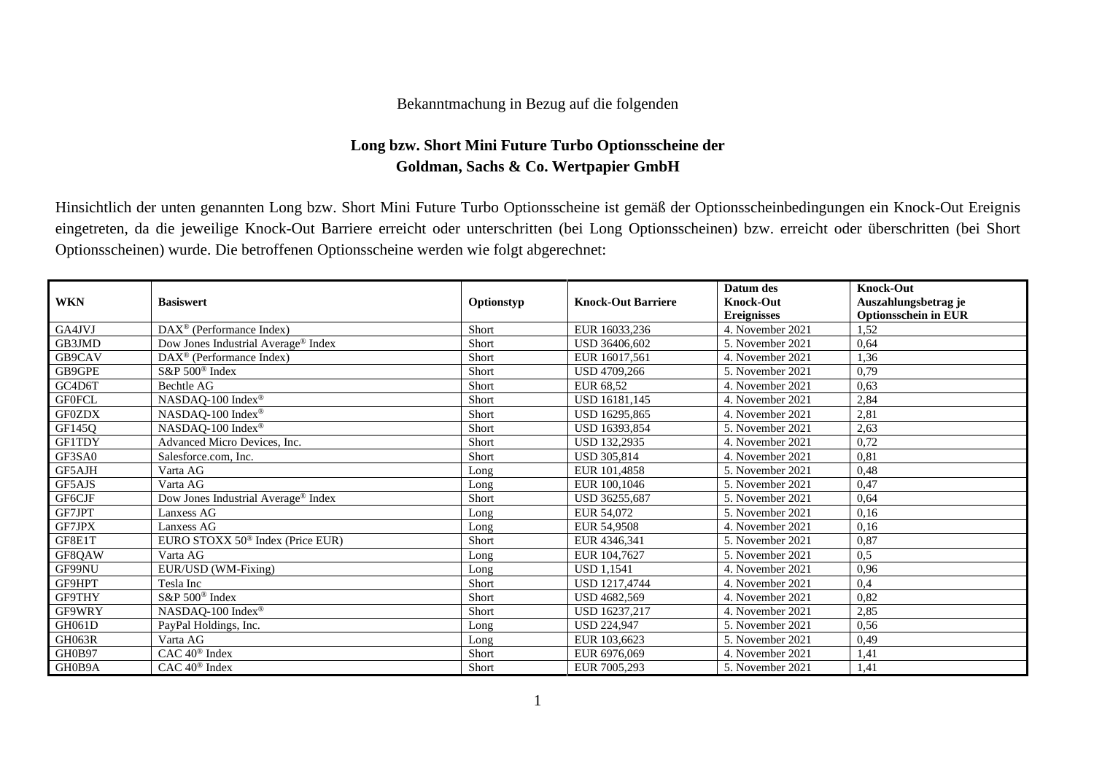## Bekanntmachung in Bezug auf die folgenden

## **Long bzw. Short Mini Future Turbo Optionsscheine der Goldman, Sachs & Co. Wertpapier GmbH**

Hinsichtlich der unten genannten Long bzw. Short Mini Future Turbo Optionsscheine ist gemäß der Optionsscheinbedingungen ein Knock-Out Ereignis eingetreten, da die jeweilige Knock-Out Barriere erreicht oder unterschritten (bei Long Optionsscheinen) bzw. erreicht oder überschritten (bei Short Optionsscheinen) wurde. Die betroffenen Optionsscheine werden wie folgt abgerechnet:

| <b>WKN</b>    | <b>Basiswert</b>                             | Optionstyp | <b>Knock-Out Barriere</b> | Datum des<br><b>Knock-Out</b> | <b>Knock-Out</b><br>Auszahlungsbetrag je |
|---------------|----------------------------------------------|------------|---------------------------|-------------------------------|------------------------------------------|
|               |                                              |            |                           | <b>Ereignisses</b>            | <b>Optionsschein in EUR</b>              |
| GA4JVJ        | DAX <sup>®</sup> (Performance Index)         | Short      | EUR 16033,236             | 4. November 2021              | 1.52                                     |
| GB3JMD        | Dow Jones Industrial Average® Index          | Short      | USD 36406,602             | 5. November 2021              | 0,64                                     |
| GB9CAV        | $DAX^{\circledcirc}$ (Performance Index)     | Short      | EUR 16017,561             | 4. November 2021              | 1,36                                     |
| GB9GPE        | S&P 500 <sup>®</sup> Index                   | Short      | USD 4709,266              | 5. November 2021              | 0,79                                     |
| $G C4 D6 T$   | Bechtle AG                                   | Short      | EUR 68,52                 | 4. November 2021              | 0,63                                     |
| <b>GF0FCL</b> | NASDAQ-100 Index®                            | Short      | <b>USD 16181.145</b>      | 4. November 2021              | 2,84                                     |
| <b>GF0ZDX</b> | NASDAQ-100 Index®                            | Short      | USD 16295.865             | 4. November 2021              | 2,81                                     |
| GF145Q        | NASDAQ-100 Index®                            | Short      | USD 16393,854             | 5. November 2021              | 2,63                                     |
| GF1TDY        | Advanced Micro Devices, Inc.                 | Short      | <b>USD 132.2935</b>       | 4. November 2021              | 0,72                                     |
| GF3SA0        | Salesforce.com, Inc.                         | Short      | <b>USD 305.814</b>        | 4. November 2021              | 0,81                                     |
| GF5AJH        | Varta AG                                     | Long       | EUR 101,4858              | 5. November 2021              | 0,48                                     |
| GF5AJS        | Varta AG                                     | Long       | EUR 100,1046              | 5. November 2021              | 0,47                                     |
| GF6CJF        | Dow Jones Industrial Average® Index          | Short      | USD 36255.687             | 5. November 2021              | 0,64                                     |
| GF7JPT        | <b>Lanxess AG</b>                            | Long       | EUR 54,072                | 5. November 2021              | 0,16                                     |
| GF7JPX        | Lanxess AG                                   | Long       | EUR 54,9508               | 4. November 2021              | 0,16                                     |
| GF8E1T        | EURO STOXX 50 <sup>®</sup> Index (Price EUR) | Short      | EUR 4346.341              | 5. November 2021              | 0,87                                     |
| GF8QAW        | Varta AG                                     | Long       | EUR 104,7627              | 5. November 2021              | 0.5                                      |
| GF99NU        | EUR/USD (WM-Fixing)                          | Long       | <b>USD 1.1541</b>         | 4. November 2021              | 0,96                                     |
| GF9HPT        | Tesla Inc                                    | Short      | <b>USD 1217,4744</b>      | 4. November 2021              | 0,4                                      |
| GF9THY        | S&P 500 <sup>®</sup> Index                   | Short      | USD 4682,569              | 4. November 2021              | 0,82                                     |
| GF9WRY        | NASDAQ-100 Index®                            | Short      | USD 16237,217             | 4. November 2021              | 2,85                                     |
| GH061D        | PayPal Holdings, Inc.                        | Long       | <b>USD 224.947</b>        | 5. November 2021              | 0,56                                     |
| GH063R        | Varta AG                                     | Long       | EUR 103,6623              | 5. November 2021              | 0,49                                     |
| GH0B97        | $CAC 40^{\circledast}$ Index                 | Short      | EUR 6976,069              | 4. November 2021              | 1,41                                     |
| GH0B9A        | $CAC 40$ <sup>®</sup> Index                  | Short      | EUR 7005.293              | 5. November 2021              | 1,41                                     |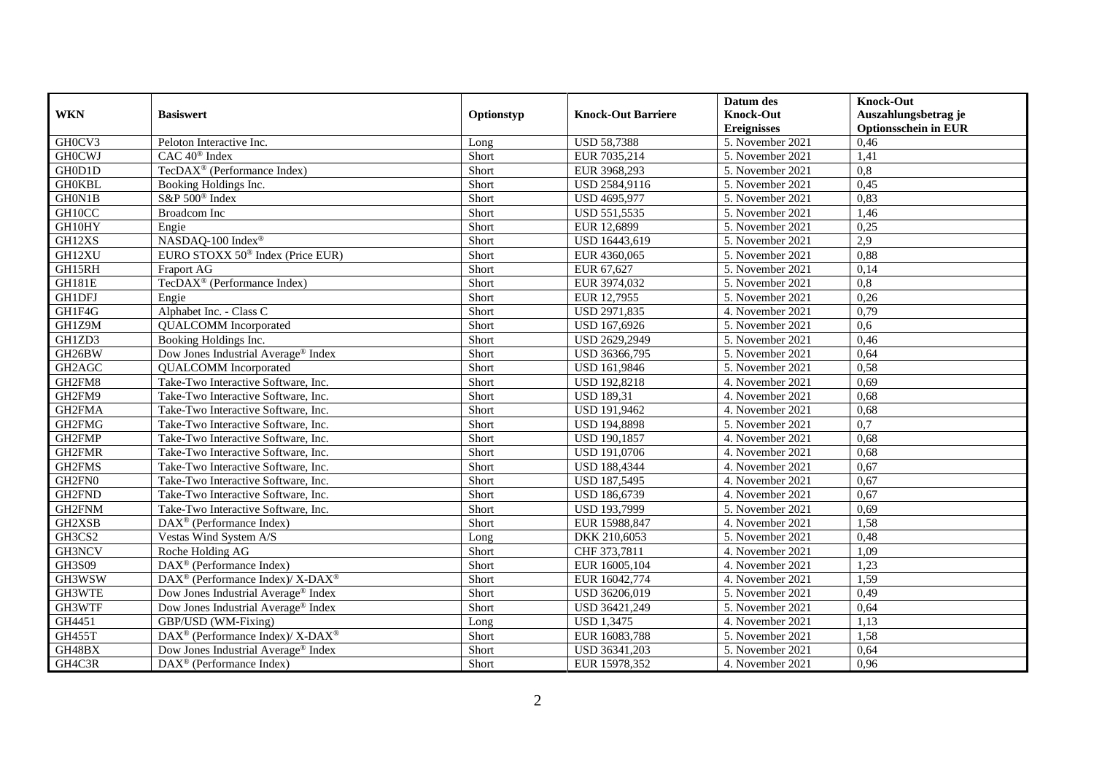|               |                                                          |            |                           | Datum des          | <b>Knock-Out</b>            |
|---------------|----------------------------------------------------------|------------|---------------------------|--------------------|-----------------------------|
| <b>WKN</b>    | <b>Basiswert</b>                                         | Optionstyp | <b>Knock-Out Barriere</b> | <b>Knock-Out</b>   | Auszahlungsbetrag je        |
|               |                                                          |            |                           | <b>Ereignisses</b> | <b>Optionsschein in EUR</b> |
| GH0CV3        | Peloton Interactive Inc.                                 | Long       | <b>USD 58,7388</b>        | 5. November 2021   | 0,46                        |
| <b>GHOCWJ</b> | CAC 40 <sup>®</sup> Index                                | Short      | EUR 7035,214              | 5. November 2021   | 1,41                        |
| GH0D1D        | TecDAX <sup>®</sup> (Performance Index)                  | Short      | EUR 3968,293              | 5. November 2021   | 0,8                         |
| <b>GHOKBL</b> | Booking Holdings Inc.                                    | Short      | USD 2584,9116             | 5. November 2021   | 0,45                        |
| GH0N1B        | S&P 500 <sup>®</sup> Index                               | Short      | USD 4695,977              | 5. November 2021   | 0,83                        |
| GH10CC        | <b>Broadcom</b> Inc                                      | Short      | USD 551,5535              | 5. November 2021   | 1,46                        |
| GH10HY        | Engie                                                    | Short      | EUR 12,6899               | 5. November 2021   | 0,25                        |
| GH12XS        | NASDAQ-100 Index®                                        | Short      | USD 16443,619             | 5. November 2021   | 2.9                         |
| GH12XU        | EURO STOXX 50 <sup>®</sup> Index (Price EUR)             | Short      | EUR 4360,065              | 5. November 2021   | 0,88                        |
| GH15RH        | Fraport AG                                               | Short      | EUR 67,627                | 5. November 2021   | 0,14                        |
| <b>GH181E</b> | TecDAX <sup>®</sup> (Performance Index)                  | Short      | EUR 3974,032              | 5. November 2021   | $\overline{0,8}$            |
| <b>GH1DFJ</b> | Engie                                                    | Short      | EUR 12,7955               | 5. November 2021   | 0,26                        |
| GH1F4G        | Alphabet Inc. - Class C                                  | Short      | USD 2971,835              | 4. November 2021   | 0,79                        |
| GH1Z9M        | <b>QUALCOMM</b> Incorporated                             | Short      | USD 167,6926              | 5. November 2021   | 0,6                         |
| GH1ZD3        | Booking Holdings Inc.                                    | Short      | USD 2629,2949             | 5. November 2021   | 0,46                        |
| GH26BW        | Dow Jones Industrial Average <sup>®</sup> Index          | Short      | USD 36366,795             | 5. November 2021   | 0,64                        |
| GH2AGC        | <b>QUALCOMM</b> Incorporated                             | Short      | USD 161,9846              | 5. November 2021   | 0,58                        |
| GH2FM8        | Take-Two Interactive Software, Inc.                      | Short      | <b>USD 192,8218</b>       | 4. November 2021   | 0.69                        |
| GH2FM9        | Take-Two Interactive Software, Inc.                      | Short      | <b>USD 189,31</b>         | 4. November 2021   | 0,68                        |
| GH2FMA        | Take-Two Interactive Software, Inc.                      | Short      | <b>USD 191,9462</b>       | 4. November 2021   | 0,68                        |
| GH2FMG        | Take-Two Interactive Software, Inc.                      | Short      | <b>USD 194,8898</b>       | 5. November 2021   | $\overline{0.7}$            |
| GH2FMP        | Take-Two Interactive Software, Inc.                      | Short      | <b>USD 190,1857</b>       | 4. November 2021   | 0.68                        |
| GH2FMR        | Take-Two Interactive Software, Inc.                      | Short      | USD 191,0706              | 4. November 2021   | 0,68                        |
| GH2FMS        | Take-Two Interactive Software, Inc.                      | Short      | <b>USD 188,4344</b>       | 4. November 2021   | 0,67                        |
| GH2FN0        | Take-Two Interactive Software, Inc.                      | Short      | USD 187,5495              | 4. November 2021   | 0,67                        |
| GH2FND        | Take-Two Interactive Software, Inc.                      | Short      | USD 186,6739              | 4. November 2021   | 0,67                        |
| GH2FNM        | Take-Two Interactive Software, Inc.                      | Short      | USD 193,7999              | 5. November 2021   | 0,69                        |
| GH2XSB        | $DAX^{\circledR}$ (Performance Index)                    | Short      | EUR 15988,847             | 4. November 2021   | 1,58                        |
| GH3CS2        | Vestas Wind System A/S                                   | Long       | DKK 210,6053              | 5. November 2021   | 0,48                        |
| <b>GH3NCV</b> | Roche Holding AG                                         | Short      | CHF 373,7811              | 4. November 2021   | 1,09                        |
| GH3S09        | $DAX^{\circledR}$ (Performance Index)                    | Short      | EUR 16005,104             | 4. November 2021   | 1,23                        |
| GH3WSW        | DAX <sup>®</sup> (Performance Index)/X-DAX <sup>®</sup>  | Short      | EUR 16042,774             | 4. November 2021   | 1,59                        |
| GH3WTE        | Dow Jones Industrial Average <sup>®</sup> Index          | Short      | USD 36206,019             | 5. November 2021   | 0,49                        |
| GH3WTF        | Dow Jones Industrial Average® Index                      | Short      | USD 36421,249             | 5. November 2021   | 0,64                        |
| GH4451        | GBP/USD (WM-Fixing)                                      | Long       | <b>USD 1,3475</b>         | 4. November 2021   | 1,13                        |
| <b>GH455T</b> | DAX <sup>®</sup> (Performance Index)/ X-DAX <sup>®</sup> | Short      | EUR 16083,788             | 5. November 2021   | 1,58                        |
| GH48BX        | Dow Jones Industrial Average® Index                      | Short      | USD 36341,203             | 5. November 2021   | 0,64                        |
| GH4C3R        | DAX <sup>®</sup> (Performance Index)                     | Short      | EUR 15978,352             | 4. November 2021   | 0,96                        |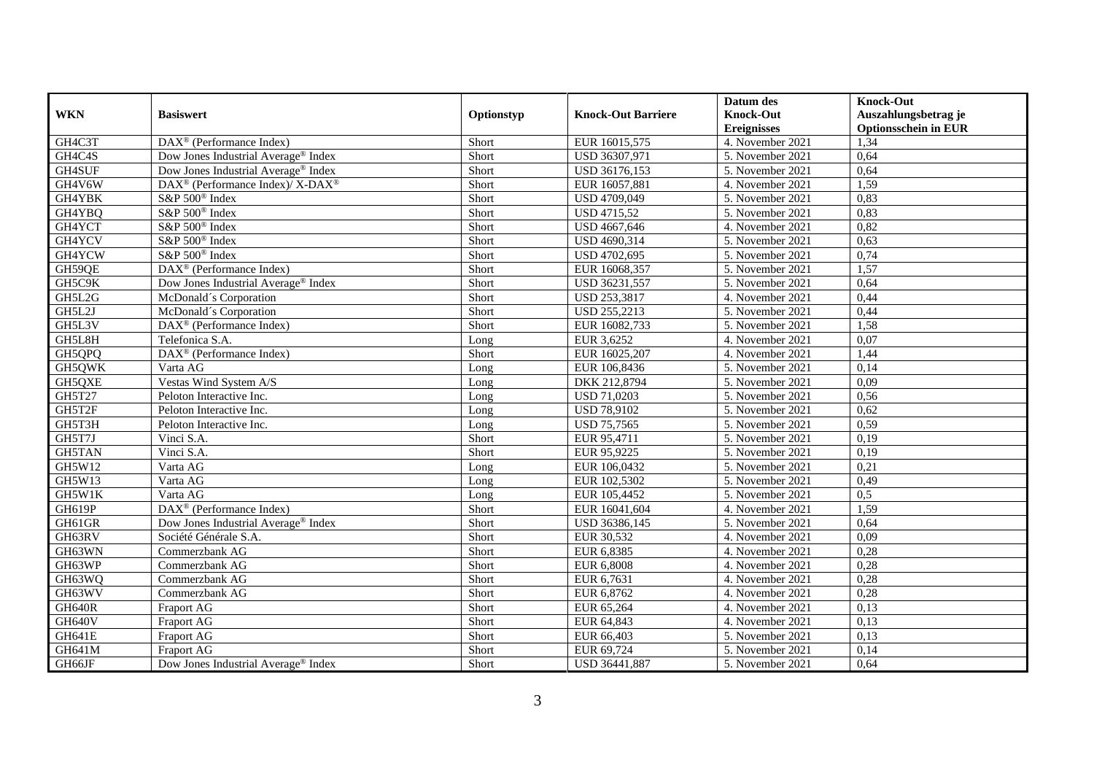|               |                                                          |            |                           | Datum des          | <b>Knock-Out</b>            |
|---------------|----------------------------------------------------------|------------|---------------------------|--------------------|-----------------------------|
| <b>WKN</b>    | <b>Basiswert</b>                                         | Optionstyp | <b>Knock-Out Barriere</b> | <b>Knock-Out</b>   | Auszahlungsbetrag je        |
|               |                                                          |            |                           | <b>Ereignisses</b> | <b>Optionsschein in EUR</b> |
| GH4C3T        | $\overline{\text{DAX}^{\otimes}}$ (Performance Index)    | Short      | EUR 16015,575             | 4. November 2021   | 1,34                        |
| GH4C4S        | Dow Jones Industrial Average® Index                      | Short      | USD 36307,971             | 5. November 2021   | 0,64                        |
| GH4SUF        | Dow Jones Industrial Average® Index                      | Short      | USD 36176,153             | 5. November 2021   | 0,64                        |
| GH4V6W        | DAX <sup>®</sup> (Performance Index)/ X-DAX <sup>®</sup> | Short      | EUR 16057,881             | 4. November 2021   | 1,59                        |
| GH4YBK        | S&P 500 <sup>®</sup> Index                               | Short      | USD 4709,049              | 5. November 2021   | 0,83                        |
| GH4YBQ        | S&P 500 <sup>®</sup> Index                               | Short      | <b>USD 4715,52</b>        | 5. November 2021   | 0,83                        |
| GH4YCT        | S&P 500 <sup>®</sup> Index                               | Short      | USD 4667,646              | 4. November 2021   | 0,82                        |
| GH4YCV        | S&P 500 <sup>®</sup> Index                               | Short      | USD 4690,314              | 5. November 2021   | 0,63                        |
| GH4YCW        | S&P 500 <sup>®</sup> Index                               | Short      | USD 4702,695              | 5. November 2021   | 0,74                        |
| GH59QE        | DAX <sup>®</sup> (Performance Index)                     | Short      | EUR 16068,357             | 5. November 2021   | 1,57                        |
| GH5C9K        | Dow Jones Industrial Average® Index                      | Short      | USD 36231,557             | 5. November 2021   | 0,64                        |
| GH5L2G        | McDonald's Corporation                                   | Short      | USD 253,3817              | 4. November 2021   | 0,44                        |
| GH5L2J        | McDonald's Corporation                                   | Short      | USD 255,2213              | 5. November 2021   | 0,44                        |
| GH5L3V        | $DAX^{\circledast}$ (Performance Index)                  | Short      | EUR 16082,733             | 5. November 2021   | 1,58                        |
| GH5L8H        | Telefonica S.A.                                          | Long       | EUR 3,6252                | 4. November 2021   | 0,07                        |
| GH5QPQ        | DAX <sup>®</sup> (Performance Index)                     | Short      | EUR 16025,207             | 4. November 2021   | 1,44                        |
| GH5QWK        | Varta AG                                                 | Long       | EUR 106,8436              | 5. November 2021   | 0,14                        |
| GH5QXE        | Vestas Wind System A/S                                   | Long       | DKK 212,8794              | 5. November 2021   | 0,09                        |
| GH5T27        | Peloton Interactive Inc.                                 | Long       | <b>USD 71,0203</b>        | 5. November 2021   | 0,56                        |
| GH5T2F        | Peloton Interactive Inc.                                 | Long       | <b>USD 78,9102</b>        | 5. November 2021   | 0,62                        |
| GH5T3H        | Peloton Interactive Inc.                                 | Long       | <b>USD 75,7565</b>        | 5. November 2021   | 0,59                        |
| GH5T7J        | Vinci S.A.                                               | Short      | EUR 95,4711               | 5. November 2021   | 0,19                        |
| <b>GH5TAN</b> | Vinci S.A.                                               | Short      | EUR 95,9225               | 5. November 2021   | 0,19                        |
| GH5W12        | Varta AG                                                 | Long       | EUR 106,0432              | 5. November 2021   | 0,21                        |
| <b>GH5W13</b> | Varta AG                                                 | Long       | EUR 102,5302              | 5. November 2021   | 0,49                        |
| GH5W1K        | Varta AG                                                 | Long       | EUR 105,4452              | 5. November 2021   | 0,5                         |
| GH619P        | DAX <sup>®</sup> (Performance Index)                     | Short      | EUR 16041,604             | 4. November 2021   | 1,59                        |
| GH61GR        | Dow Jones Industrial Average® Index                      | Short      | USD 36386,145             | 5. November 2021   | 0,64                        |
| GH63RV        | Société Générale S.A.                                    | Short      | EUR 30,532                | 4. November 2021   | 0,09                        |
| GH63WN        | Commerzbank AG                                           | Short      | EUR 6,8385                | 4. November 2021   | 0,28                        |
| GH63WP        | Commerzbank AG                                           | Short      | EUR 6,8008                | 4. November 2021   | 0,28                        |
| GH63WQ        | Commerzbank AG                                           | Short      | EUR 6,7631                | 4. November 2021   | 0,28                        |
| GH63WV        | Commerzbank AG                                           | Short      | EUR 6,8762                | 4. November 2021   | 0,28                        |
| <b>GH640R</b> | Fraport AG                                               | Short      | EUR 65,264                | 4. November 2021   | 0,13                        |
| <b>GH640V</b> | Fraport AG                                               | Short      | EUR 64,843                | 4. November 2021   | 0,13                        |
| <b>GH641E</b> | Fraport AG                                               | Short      | EUR 66,403                | 5. November 2021   | 0,13                        |
| GH641M        | Fraport AG                                               | Short      | EUR 69,724                | 5. November 2021   | 0,14                        |
| GH66JF        | Dow Jones Industrial Average® Index                      | Short      | USD 36441,887             | 5. November 2021   | 0,64                        |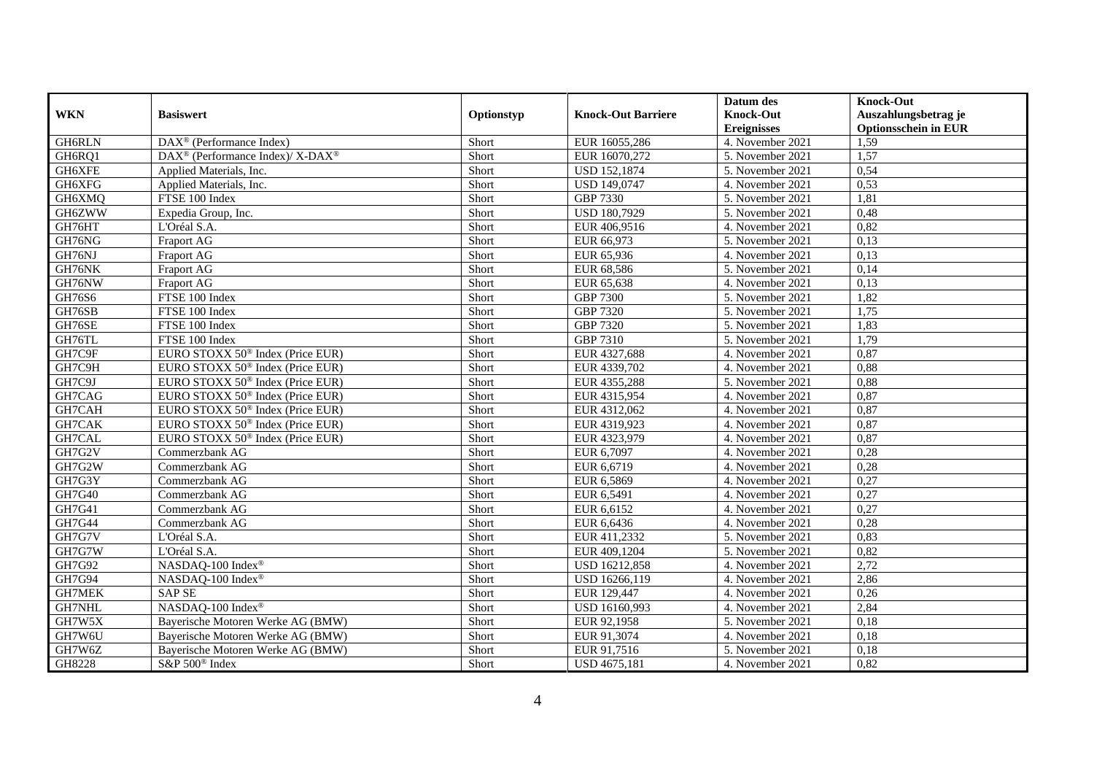|               |                                                                  |            |                           | Datum des          | <b>Knock-Out</b>            |
|---------------|------------------------------------------------------------------|------------|---------------------------|--------------------|-----------------------------|
| <b>WKN</b>    | <b>Basiswert</b>                                                 | Optionstyp | <b>Knock-Out Barriere</b> | <b>Knock-Out</b>   | Auszahlungsbetrag je        |
|               |                                                                  |            |                           | <b>Ereignisses</b> | <b>Optionsschein in EUR</b> |
| GH6RLN        | $\overline{\text{DAX}^{\textcircled{a}}}$ (Performance Index)    | Short      | EUR 16055,286             | 4. November 2021   | 1,59                        |
| GH6RQ1        | $\text{DAX}^{\circledR}$ (Performance Index)/ X-DAX <sup>®</sup> | Short      | EUR 16070,272             | 5. November 2021   | 1,57                        |
| GH6XFE        | Applied Materials, Inc.                                          | Short      | <b>USD 152,1874</b>       | 5. November 2021   | 0,54                        |
| GH6XFG        | Applied Materials, Inc.                                          | Short      | USD 149,0747              | 4. November 2021   | 0,53                        |
| GH6XMQ        | FTSE 100 Index                                                   | Short      | GBP 7330                  | 5. November 2021   | 1,81                        |
| GH6ZWW        | Expedia Group, Inc.                                              | Short      | USD 180,7929              | 5. November 2021   | 0,48                        |
| GH76HT        | L'Oréal S.A.                                                     | Short      | EUR 406,9516              | 4. November 2021   | 0,82                        |
| GH76NG        | Fraport AG                                                       | Short      | EUR 66,973                | 5. November 2021   | 0,13                        |
| GH76NJ        | Fraport AG                                                       | Short      | EUR 65,936                | 4. November 2021   | 0,13                        |
| GH76NK        | Fraport AG                                                       | Short      | EUR 68,586                | 5. November 2021   | 0,14                        |
| GH76NW        | Fraport AG                                                       | Short      | EUR 65,638                | 4. November 2021   | 0,13                        |
| GH76S6        | FTSE 100 Index                                                   | Short      | <b>GBP 7300</b>           | 5. November 2021   | 1,82                        |
| GH76SB        | FTSE 100 Index                                                   | Short      | GBP 7320                  | 5. November 2021   | 1,75                        |
| GH76SE        | FTSE 100 Index                                                   | Short      | GBP 7320                  | 5. November 2021   | 1,83                        |
| GH76TL        | FTSE 100 Index                                                   | Short      | GBP 7310                  | 5. November 2021   | 1,79                        |
| GH7C9F        | EURO STOXX 50 <sup>®</sup> Index (Price EUR)                     | Short      | EUR 4327,688              | 4. November 2021   | 0,87                        |
| GH7C9H        | EURO STOXX 50 <sup>®</sup> Index (Price EUR)                     | Short      | EUR 4339,702              | 4. November 2021   | 0,88                        |
| GH7C9J        | EURO STOXX 50 <sup>®</sup> Index (Price EUR)                     | Short      | EUR 4355.288              | 5. November 2021   | 0,88                        |
| GH7CAG        | EURO STOXX 50 <sup>®</sup> Index (Price EUR)                     | Short      | EUR 4315,954              | 4. November 2021   | 0,87                        |
| GH7CAH        | EURO STOXX 50 <sup>®</sup> Index (Price EUR)                     | Short      | EUR 4312,062              | 4. November 2021   | 0,87                        |
| GH7CAK        | EURO STOXX 50 <sup>®</sup> Index (Price EUR)                     | Short      | EUR 4319,923              | 4. November 2021   | 0,87                        |
| GH7CAL        | EURO STOXX 50 <sup>®</sup> Index (Price EUR)                     | Short      | EUR 4323,979              | 4. November 2021   | 0,87                        |
| GH7G2V        | Commerzbank AG                                                   | Short      | EUR 6,7097                | 4. November 2021   | 0,28                        |
| GH7G2W        | Commerzbank AG                                                   | Short      | EUR 6,6719                | 4. November 2021   | 0,28                        |
| GH7G3Y        | Commerzbank AG                                                   | Short      | EUR 6,5869                | 4. November 2021   | 0,27                        |
| GH7G40        | Commerzbank AG                                                   | Short      | EUR 6,5491                | 4. November 2021   | 0,27                        |
| GH7G41        | Commerzbank AG                                                   | Short      | EUR 6,6152                | 4. November 2021   | 0,27                        |
| <b>GH7G44</b> | Commerzbank AG                                                   | Short      | EUR 6,6436                | 4. November 2021   | 0,28                        |
| GH7G7V        | L'Oréal S.A.                                                     | Short      | EUR 411,2332              | 5. November 2021   | 0,83                        |
| GH7G7W        | L'Oréal S.A.                                                     | Short      | EUR 409,1204              | 5. November 2021   | 0,82                        |
| GH7G92        | NASDAQ-100 Index®                                                | Short      | USD 16212,858             | 4. November 2021   | 2,72                        |
| GH7G94        | NASDAQ-100 Index <sup>®</sup>                                    | Short      | USD 16266,119             | 4. November 2021   | 2,86                        |
| <b>GH7MEK</b> | <b>SAP SE</b>                                                    | Short      | EUR 129,447               | 4. November 2021   | 0,26                        |
| <b>GH7NHL</b> | NASDAQ-100 Index®                                                | Short      | USD 16160,993             | 4. November 2021   | 2,84                        |
| GH7W5X        | Bayerische Motoren Werke AG (BMW)                                | Short      | EUR 92,1958               | 5. November 2021   | 0,18                        |
| GH7W6U        | Bayerische Motoren Werke AG (BMW)                                | Short      | EUR 91,3074               | 4. November 2021   | 0,18                        |
| GH7W6Z        | Bayerische Motoren Werke AG (BMW)                                | Short      | EUR 91,7516               | 5. November 2021   | 0,18                        |
| GH8228        | S&P 500 <sup>®</sup> Index                                       | Short      | USD 4675,181              | 4. November 2021   | 0,82                        |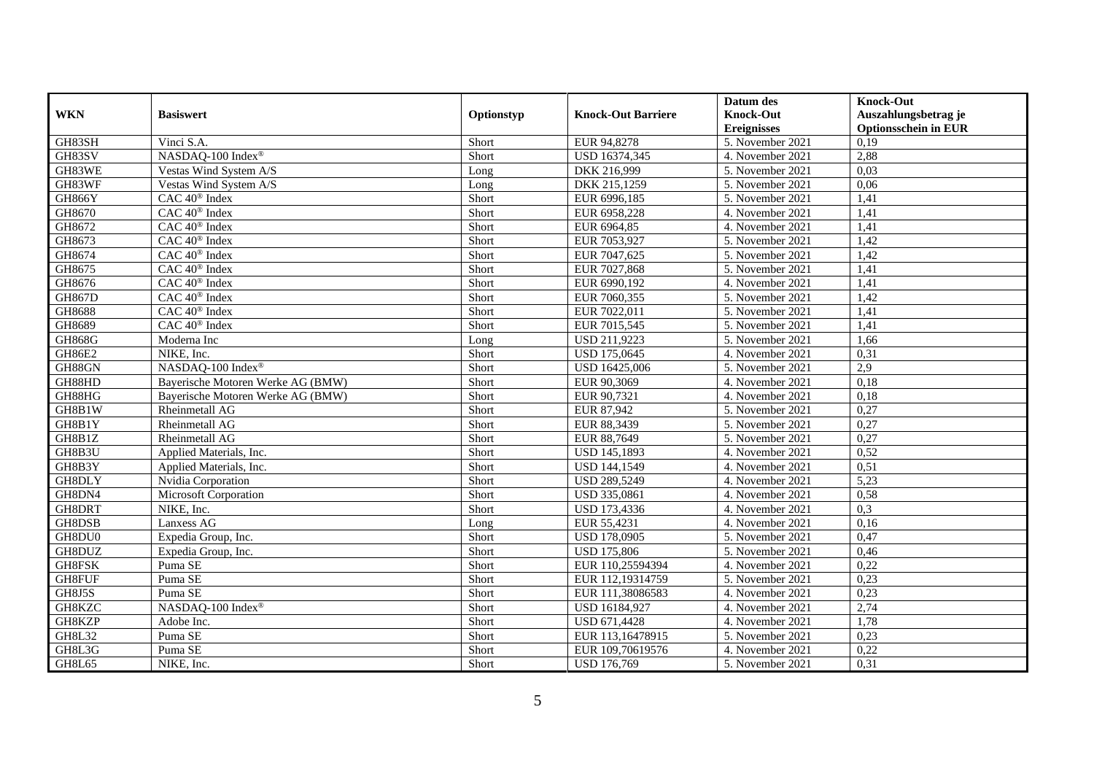|               |                                   |            |                           | Datum des          | <b>Knock-Out</b>            |
|---------------|-----------------------------------|------------|---------------------------|--------------------|-----------------------------|
| <b>WKN</b>    | <b>Basiswert</b>                  | Optionstyp | <b>Knock-Out Barriere</b> | <b>Knock-Out</b>   | Auszahlungsbetrag je        |
|               |                                   |            |                           | <b>Ereignisses</b> | <b>Optionsschein in EUR</b> |
| GH83SH        | Vinci S.A.                        | Short      | EUR 94,8278               | 5. November 2021   | 0,19                        |
| GH83SV        | NASDAQ-100 Index®                 | Short      | USD 16374,345             | 4. November 2021   | 2,88                        |
| GH83WE        | Vestas Wind System A/S            | Long       | DKK 216,999               | 5. November 2021   | 0,03                        |
| GH83WF        | Vestas Wind System A/S            | Long       | DKK 215,1259              | 5. November 2021   | 0,06                        |
| <b>GH866Y</b> | CAC 40 <sup>®</sup> Index         | Short      | EUR 6996,185              | 5. November 2021   | 1,41                        |
| GH8670        | CAC 40 <sup>®</sup> Index         | Short      | EUR 6958,228              | 4. November 2021   | 1,41                        |
| GH8672        | CAC 40 <sup>®</sup> Index         | Short      | EUR 6964,85               | 4. November 2021   | 1,41                        |
| GH8673        | CAC 40 <sup>®</sup> Index         | Short      | EUR 7053,927              | 5. November 2021   | 1,42                        |
| GH8674        | CAC 40 <sup>®</sup> Index         | Short      | EUR 7047,625              | 5. November 2021   | 1,42                        |
| GH8675        | CAC 40 <sup>®</sup> Index         | Short      | EUR 7027,868              | 5. November 2021   | 1,41                        |
| GH8676        | $CAC 40$ <sup>®</sup> Index       | Short      | EUR 6990,192              | 4. November 2021   | 1,41                        |
| <b>GH867D</b> | CAC 40 <sup>®</sup> Index         | Short      | EUR 7060,355              | 5. November 2021   | 1,42                        |
| GH8688        | CAC 40 <sup>®</sup> Index         | Short      | EUR 7022,011              | 5. November 2021   | 1,41                        |
| GH8689        | CAC 40 <sup>®</sup> Index         | Short      | EUR 7015,545              | 5. November 2021   | 1,41                        |
| <b>GH868G</b> | Moderna Inc                       | Long       | USD 211,9223              | 5. November 2021   | 1,66                        |
| GH86E2        | NIKE, Inc.                        | Short      | <b>USD 175,0645</b>       | 4. November 2021   | 0,31                        |
| GH88GN        | NASDAQ-100 Index®                 | Short      | USD 16425,006             | 5. November 2021   | $\overline{2.9}$            |
| GH88HD        | Bayerische Motoren Werke AG (BMW) | Short      | EUR 90,3069               | 4. November 2021   | 0,18                        |
| GH88HG        | Bayerische Motoren Werke AG (BMW) | Short      | EUR 90,7321               | 4. November 2021   | 0,18                        |
| GH8B1W        | Rheinmetall AG                    | Short      | EUR 87,942                | 5. November 2021   | 0,27                        |
| GH8B1Y        | Rheinmetall AG                    | Short      | EUR 88,3439               | 5. November 2021   | 0,27                        |
| GH8B1Z        | <b>Rheinmetall AG</b>             | Short      | EUR 88,7649               | 5. November 2021   | 0,27                        |
| GH8B3U        | Applied Materials, Inc.           | Short      | <b>USD 145,1893</b>       | 4. November 2021   | 0,52                        |
| GH8B3Y        | Applied Materials, Inc.           | Short      | <b>USD 144,1549</b>       | 4. November 2021   | 0,51                        |
| GH8DLY        | Nvidia Corporation                | Short      | USD 289,5249              | 4. November 2021   | 5,23                        |
| GH8DN4        | <b>Microsoft Corporation</b>      | Short      | USD 335,0861              | 4. November 2021   | 0,58                        |
| GH8DRT        | NIKE, Inc.                        | Short      | USD 173,4336              | 4. November 2021   | 0,3                         |
| GH8DSB        | Lanxess AG                        | Long       | EUR 55,4231               | 4. November 2021   | 0,16                        |
| GH8DU0        | Expedia Group, Inc.               | Short      | <b>USD 178,0905</b>       | 5. November 2021   | 0,47                        |
| GH8DUZ        | Expedia Group, Inc.               | Short      | <b>USD 175,806</b>        | 5. November 2021   | 0,46                        |
| GH8FSK        | Puma SE                           | Short      | EUR 110,25594394          | 4. November 2021   | 0,22                        |
| GH8FUF        | Puma SE                           | Short      | EUR 112,19314759          | 5. November 2021   | 0,23                        |
| <b>GH8J5S</b> | Puma <sub>SE</sub>                | Short      | EUR 111,38086583          | 4. November 2021   | 0,23                        |
| GH8KZC        | NASDAQ-100 Index®                 | Short      | USD 16184,927             | 4. November 2021   | 2,74                        |
| GH8KZP        | Adobe Inc.                        | Short      | USD 671,4428              | 4. November 2021   | 1,78                        |
| GH8L32        | Puma SE                           | Short      | EUR 113,16478915          | 5. November 2021   | 0,23                        |
| GH8L3G        | Puma SE                           | Short      | EUR 109,70619576          | 4. November 2021   | 0,22                        |
| GH8L65        | NIKE, Inc.                        | Short      | <b>USD 176,769</b>        | 5. November 2021   | 0,31                        |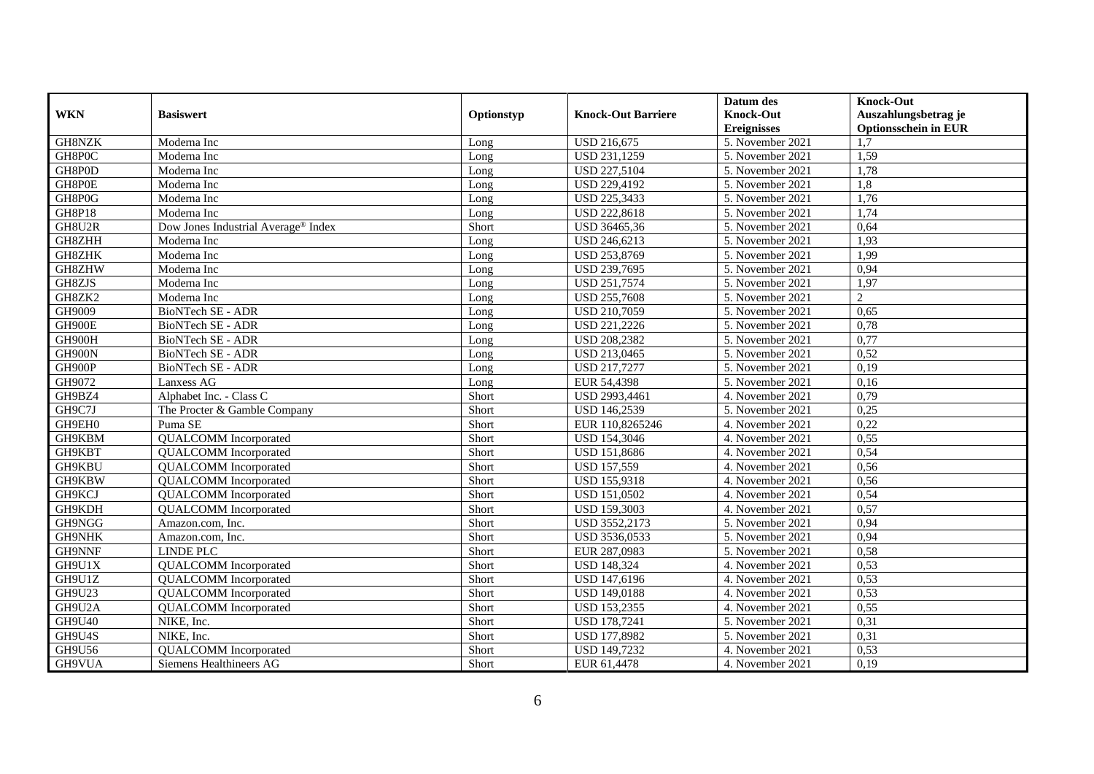| <b>WKN</b>    | <b>Basiswert</b>                    | Optionstyp | <b>Knock-Out Barriere</b> | Datum des<br><b>Knock-Out</b> | <b>Knock-Out</b><br>Auszahlungsbetrag je |
|---------------|-------------------------------------|------------|---------------------------|-------------------------------|------------------------------------------|
|               |                                     |            |                           | <b>Ereignisses</b>            | <b>Optionsschein in EUR</b>              |
| GH8NZK        | Moderna Inc                         | Long       | <b>USD 216,675</b>        | 5. November 2021              | 1.7                                      |
| GH8P0C        | Moderna Inc                         | Long       | USD 231,1259              | 5. November 2021              | 1,59                                     |
| GH8P0D        | Moderna Inc                         | Long       | <b>USD 227,5104</b>       | 5. November 2021              | 1,78                                     |
| GH8P0E        | Moderna Inc                         | Long       | USD 229,4192              | 5. November 2021              | 1,8                                      |
| GH8P0G        | Moderna Inc                         | Long       | <b>USD 225,3433</b>       | 5. November 2021              | 1,76                                     |
| <b>GH8P18</b> | Moderna Inc                         | Long       | USD 222,8618              | 5. November 2021              | 1,74                                     |
| GH8U2R        | Dow Jones Industrial Average® Index | Short      | USD 36465,36              | 5. November 2021              | 0,64                                     |
| GH8ZHH        | Moderna Inc                         | Long       | USD 246,6213              | 5. November 2021              | 1,93                                     |
| GH8ZHK        | Moderna Inc                         | Long       | USD 253,8769              | 5. November 2021              | 1,99                                     |
| GH8ZHW        | Moderna Inc                         | Long       | USD 239,7695              | 5. November 2021              | 0,94                                     |
| GH8ZJS        | Moderna Inc                         | Long       | USD 251,7574              | 5. November 2021              | 1,97                                     |
| GH8ZK2        | Moderna Inc                         | Long       | <b>USD 255,7608</b>       | 5. November 2021              | $\overline{2}$                           |
| GH9009        | <b>BioNTech SE - ADR</b>            | Long       | USD 210,7059              | 5. November 2021              | 0.65                                     |
| GH900E        | <b>BioNTech SE - ADR</b>            | Long       | USD 221,2226              | 5. November 2021              | 0,78                                     |
| GH900H        | BioNTech SE - ADR                   | Long       | <b>USD 208,2382</b>       | 5. November 2021              | 0,77                                     |
| GH900N        | <b>BioNTech SE - ADR</b>            | Long       | USD 213,0465              | 5. November 2021              | 0,52                                     |
| GH900P        | <b>BioNTech SE - ADR</b>            | Long       | USD 217,7277              | 5. November 2021              | 0,19                                     |
| GH9072        | Lanxess AG                          | Long       | EUR 54,4398               | 5. November 2021              | 0,16                                     |
| GH9BZ4        | Alphabet Inc. - Class C             | Short      | USD 2993,4461             | 4. November 2021              | 0,79                                     |
| GH9C7J        | The Procter & Gamble Company        | Short      | USD 146,2539              | 5. November 2021              | 0,25                                     |
| GH9EH0        | Puma SE                             | Short      | EUR 110,8265246           | 4. November 2021              | 0,22                                     |
| GH9KBM        | <b>QUALCOMM</b> Incorporated        | Short      | <b>USD 154,3046</b>       | 4. November 2021              | 0,55                                     |
| GH9KBT        | <b>QUALCOMM</b> Incorporated        | Short      | USD 151,8686              | 4. November 2021              | 0,54                                     |
| GH9KBU        | <b>QUALCOMM</b> Incorporated        | Short      | <b>USD 157,559</b>        | 4. November 2021              | 0,56                                     |
| GH9KBW        | <b>QUALCOMM</b> Incorporated        | Short      | <b>USD 155,9318</b>       | 4. November 2021              | 0,56                                     |
| GH9KCJ        | <b>QUALCOMM</b> Incorporated        | Short      | <b>USD 151,0502</b>       | 4. November 2021              | 0,54                                     |
| GH9KDH        | <b>QUALCOMM</b> Incorporated        | Short      | <b>USD 159,3003</b>       | 4. November 2021              | 0,57                                     |
| GH9NGG        | Amazon.com, Inc.                    | Short      | USD 3552,2173             | 5. November 2021              | 0,94                                     |
| GH9NHK        | Amazon.com, Inc.                    | Short      | USD 3536,0533             | 5. November 2021              | 0,94                                     |
| GH9NNF        | <b>LINDE PLC</b>                    | Short      | EUR 287,0983              | 5. November 2021              | 0,58                                     |
| GH9U1X        | <b>QUALCOMM</b> Incorporated        | Short      | <b>USD 148,324</b>        | 4. November 2021              | 0,53                                     |
| GH9U1Z        | <b>QUALCOMM</b> Incorporated        | Short      | <b>USD 147,6196</b>       | 4. November 2021              | 0,53                                     |
| GH9U23        | <b>QUALCOMM</b> Incorporated        | Short      | <b>USD 149,0188</b>       | 4. November 2021              | 0,53                                     |
| GH9U2A        | <b>QUALCOMM</b> Incorporated        | Short      | <b>USD 153,2355</b>       | 4. November 2021              | 0,55                                     |
| <b>GH9U40</b> | NIKE, Inc.                          | Short      | <b>USD 178,7241</b>       | 5. November 2021              | 0,31                                     |
| GH9U4S        | NIKE, Inc.                          | Short      | USD 177,8982              | 5. November 2021              | 0,31                                     |
| GH9U56        | <b>QUALCOMM</b> Incorporated        | Short      | USD 149,7232              | 4. November 2021              | 0,53                                     |
| GH9VUA        | Siemens Healthineers AG             | Short      | EUR 61,4478               | 4. November 2021              | 0,19                                     |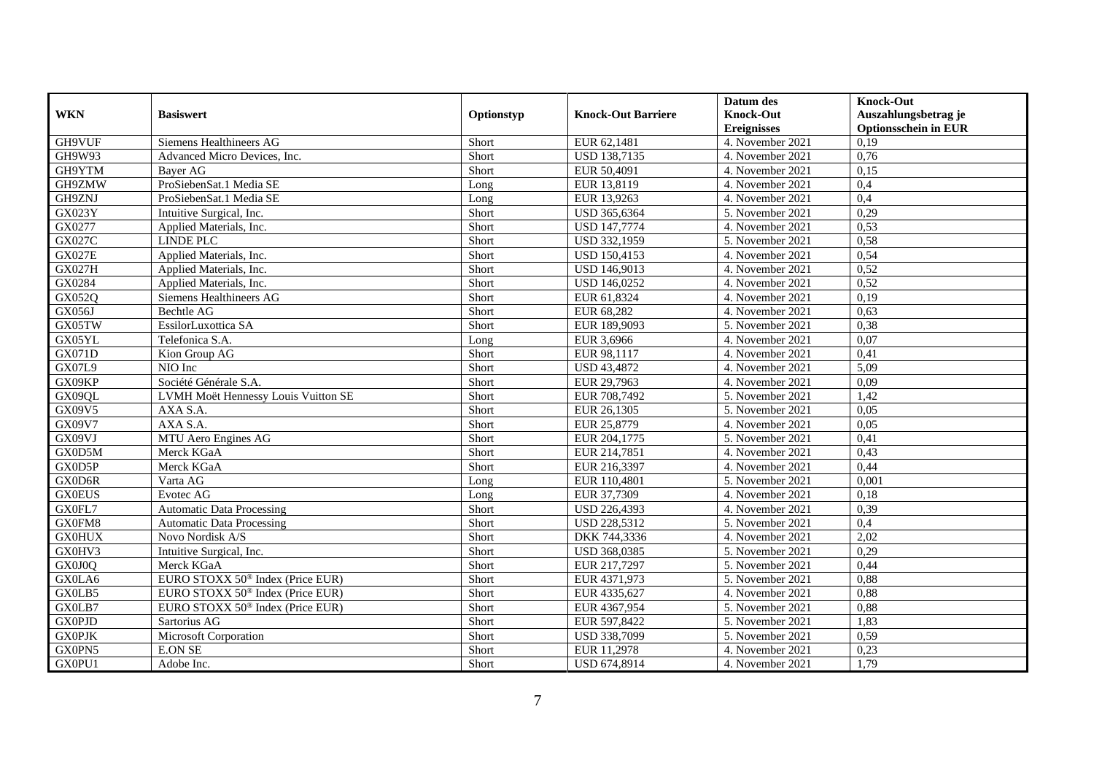|               |                                              |            |                           | Datum des          | <b>Knock-Out</b>            |
|---------------|----------------------------------------------|------------|---------------------------|--------------------|-----------------------------|
| <b>WKN</b>    | <b>Basiswert</b>                             | Optionstyp | <b>Knock-Out Barriere</b> | <b>Knock-Out</b>   | Auszahlungsbetrag je        |
|               |                                              |            |                           | <b>Ereignisses</b> | <b>Optionsschein in EUR</b> |
| GH9VUF        | Siemens Healthineers AG                      | Short      | EUR 62,1481               | 4. November 2021   | 0,19                        |
| GH9W93        | Advanced Micro Devices, Inc.                 | Short      | <b>USD 138,7135</b>       | 4. November 2021   | 0,76                        |
| GH9YTM        | Bayer AG                                     | Short      | EUR 50,4091               | 4. November 2021   | 0,15                        |
| GH9ZMW        | ProSiebenSat.1 Media SE                      | Long       | EUR 13,8119               | 4. November 2021   | 0,4                         |
| GH9ZNJ        | ProSiebenSat.1 Media SE                      | Long       | EUR 13,9263               | 4. November 2021   | 0,4                         |
| GX023Y        | Intuitive Surgical, Inc.                     | Short      | USD 365,6364              | 5. November 2021   | 0,29                        |
| GX0277        | Applied Materials, Inc.                      | Short      | <b>USD 147,7774</b>       | 4. November 2021   | 0,53                        |
| GX027C        | <b>LINDE PLC</b>                             | Short      | USD 332,1959              | 5. November 2021   | 0,58                        |
| <b>GX027E</b> | Applied Materials, Inc.                      | Short      | USD 150,4153              | 4. November 2021   | 0,54                        |
| <b>GX027H</b> | Applied Materials, Inc.                      | Short      | USD 146,9013              | 4. November 2021   | 0,52                        |
| GX0284        | Applied Materials, Inc.                      | Short      | <b>USD 146,0252</b>       | 4. November 2021   | 0,52                        |
| GX052Q        | Siemens Healthineers AG                      | Short      | EUR 61,8324               | 4. November 2021   | 0,19                        |
| <b>GX056J</b> | <b>Bechtle AG</b>                            | Short      | EUR 68,282                | 4. November 2021   | 0,63                        |
| GX05TW        | EssilorLuxottica SA                          | Short      | EUR 189,9093              | 5. November 2021   | 0,38                        |
| GX05YL        | Telefonica S.A.                              | Long       | EUR 3,6966                | 4. November 2021   | 0,07                        |
| GX071D        | Kion Group AG                                | Short      | EUR 98,1117               | 4. November 2021   | 0,41                        |
| GX07L9        | NIO Inc                                      | Short      | <b>USD 43,4872</b>        | 4. November 2021   | 5,09                        |
| GX09KP        | Société Générale S.A.                        | Short      | EUR 29,7963               | 4. November 2021   | 0,09                        |
| GX09QL        | LVMH Moët Hennessy Louis Vuitton SE          | Short      | EUR 708,7492              | 5. November 2021   | 1,42                        |
| GX09V5        | AXA S.A.                                     | Short      | EUR 26,1305               | 5. November 2021   | 0,05                        |
| GX09V7        | AXA S.A.                                     | Short      | EUR 25,8779               | 4. November 2021   | 0.05                        |
| GX09VJ        | MTU Aero Engines AG                          | Short      | EUR 204,1775              | 5. November 2021   | 0,41                        |
| GX0D5M        | Merck KGaA                                   | Short      | EUR 214,7851              | 4. November 2021   | 0,43                        |
| GX0D5P        | Merck KGaA                                   | Short      | EUR 216,3397              | 4. November 2021   | 0,44                        |
| GX0D6R        | Varta AG                                     | Long       | EUR 110,4801              | 5. November 2021   | 0,001                       |
| <b>GX0EUS</b> | Evotec AG                                    | Long       | EUR 37,7309               | 4. November 2021   | 0,18                        |
| GX0FL7        | <b>Automatic Data Processing</b>             | Short      | USD 226,4393              | 4. November 2021   | 0,39                        |
| GX0FM8        | <b>Automatic Data Processing</b>             | Short      | USD 228,5312              | 5. November 2021   | 0,4                         |
| <b>GX0HUX</b> | Novo Nordisk A/S                             | Short      | DKK 744,3336              | 4. November 2021   | 2,02                        |
| GX0HV3        | Intuitive Surgical, Inc.                     | Short      | USD 368,0385              | 5. November 2021   | 0,29                        |
| GX0J0Q        | Merck KGaA                                   | Short      | EUR 217,7297              | 5. November 2021   | 0,44                        |
| GX0LA6        | EURO STOXX 50 <sup>®</sup> Index (Price EUR) | Short      | EUR 4371,973              | 5. November 2021   | 0,88                        |
| GX0LB5        | EURO STOXX 50 <sup>®</sup> Index (Price EUR) | Short      | EUR 4335,627              | 4. November 2021   | 0,88                        |
| GX0LB7        | EURO STOXX 50 <sup>®</sup> Index (Price EUR) | Short      | EUR 4367,954              | 5. November 2021   | 0,88                        |
| <b>GX0PJD</b> | Sartorius AG                                 | Short      | EUR 597,8422              | 5. November 2021   | 1,83                        |
| <b>GX0PJK</b> | Microsoft Corporation                        | Short      | USD 338,7099              | 5. November 2021   | 0,59                        |
| GX0PN5        | <b>E.ON SE</b>                               | Short      | EUR 11,2978               | 4. November 2021   | 0,23                        |
| GX0PU1        | Adobe Inc.                                   | Short      | USD 674,8914              | 4. November 2021   | 1,79                        |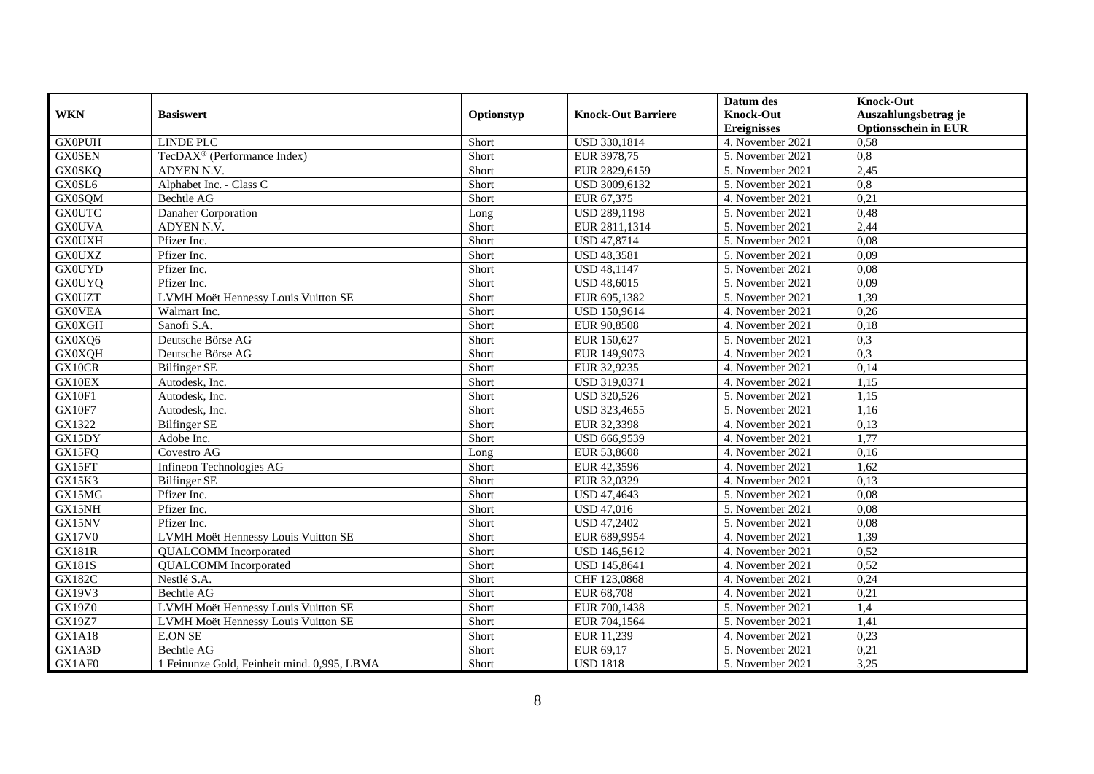|               |                                             |            |                           | Datum des          | <b>Knock-Out</b>            |
|---------------|---------------------------------------------|------------|---------------------------|--------------------|-----------------------------|
| <b>WKN</b>    | <b>Basiswert</b>                            | Optionstyp | <b>Knock-Out Barriere</b> | <b>Knock-Out</b>   | Auszahlungsbetrag je        |
|               |                                             |            |                           | <b>Ereignisses</b> | <b>Optionsschein in EUR</b> |
| <b>GX0PUH</b> | <b>LINDE PLC</b>                            | Short      | USD 330,1814              | 4. November 2021   | 0,58                        |
| <b>GX0SEN</b> | TecDAX <sup>®</sup> (Performance Index)     | Short      | EUR 3978,75               | 5. November 2021   | 0,8                         |
| <b>GX0SKQ</b> | ADYEN N.V.                                  | Short      | EUR 2829,6159             | 5. November 2021   | 2,45                        |
| GX0SL6        | Alphabet Inc. - Class C                     | Short      | USD 3009,6132             | 5. November 2021   | 0,8                         |
| <b>GX0SQM</b> | Bechtle AG                                  | Short      | EUR 67,375                | 4. November 2021   | 0,21                        |
| <b>GX0UTC</b> | Danaher Corporation                         | Long       | USD 289,1198              | 5. November 2021   | 0,48                        |
| <b>GX0UVA</b> | ADYEN N.V.                                  | Short      | EUR 2811,1314             | 5. November 2021   | 2,44                        |
| <b>GX0UXH</b> | Pfizer Inc.                                 | Short      | USD 47,8714               | 5. November 2021   | 0.08                        |
| <b>GX0UXZ</b> | Pfizer Inc.                                 | Short      | <b>USD 48,3581</b>        | 5. November 2021   | 0,09                        |
| <b>GX0UYD</b> | Pfizer Inc.                                 | Short      | <b>USD 48,1147</b>        | 5. November 2021   | 0.08                        |
| <b>GX0UYQ</b> | Pfizer Inc.                                 | Short      | <b>USD 48,6015</b>        | 5. November 2021   | 0,09                        |
| <b>GX0UZT</b> | LVMH Moët Hennessy Louis Vuitton SE         | Short      | EUR 695,1382              | 5. November 2021   | 1,39                        |
| <b>GX0VEA</b> | Walmart Inc.                                | Short      | <b>USD 150,9614</b>       | 4. November 2021   | 0,26                        |
| <b>GX0XGH</b> | Sanofi S.A.                                 | Short      | EUR 90,8508               | 4. November 2021   | 0,18                        |
| GX0XQ6        | Deutsche Börse AG                           | Short      | EUR 150,627               | 5. November 2021   | 0,3                         |
| <b>GX0XQH</b> | Deutsche Börse AG                           | Short      | EUR 149,9073              | 4. November 2021   | 0,3                         |
| GX10CR        | <b>Bilfinger SE</b>                         | Short      | EUR 32,9235               | 4. November 2021   | 0,14                        |
| GX10EX        | Autodesk. Inc.                              | Short      | USD 319,0371              | 4. November 2021   | 1.15                        |
| GX10F1        | Autodesk, Inc.                              | Short      | <b>USD 320,526</b>        | 5. November 2021   | 1,15                        |
| GX10F7        | Autodesk, Inc.                              | Short      | USD 323,4655              | 5. November 2021   | 1,16                        |
| GX1322        | <b>Bilfinger SE</b>                         | Short      | EUR 32,3398               | 4. November 2021   | 0,13                        |
| GX15DY        | Adobe Inc.                                  | Short      | USD 666,9539              | 4. November 2021   | 1,77                        |
| GX15FQ        | Covestro AG                                 | Long       | EUR 53,8608               | 4. November 2021   | 0,16                        |
| GX15FT        | Infineon Technologies AG                    | Short      | EUR 42,3596               | 4. November 2021   | 1,62                        |
| GX15K3        | <b>Bilfinger SE</b>                         | Short      | EUR 32,0329               | 4. November 2021   | 0,13                        |
| GX15MG        | Pfizer Inc.                                 | Short      | USD 47,4643               | 5. November 2021   | 0,08                        |
| GX15NH        | Pfizer Inc.                                 | Short      | <b>USD 47,016</b>         | 5. November 2021   | 0,08                        |
| GX15NV        | Pfizer Inc.                                 | Short      | <b>USD 47,2402</b>        | 5. November 2021   | 0.08                        |
| <b>GX17V0</b> | LVMH Moët Hennessy Louis Vuitton SE         | Short      | EUR 689,9954              | 4. November 2021   | 1,39                        |
| <b>GX181R</b> | <b>OUALCOMM</b> Incorporated                | Short      | <b>USD 146,5612</b>       | 4. November 2021   | 0,52                        |
| GX181S        | <b>QUALCOMM</b> Incorporated                | Short      | USD 145,8641              | 4. November 2021   | 0,52                        |
| <b>GX182C</b> | Nestlé S.A.                                 | Short      | CHF 123,0868              | 4. November 2021   | 0,24                        |
| GX19V3        | <b>Bechtle AG</b>                           | Short      | EUR 68,708                | 4. November 2021   | 0,21                        |
| <b>GX19Z0</b> | LVMH Moët Hennessy Louis Vuitton SE         | Short      | EUR 700,1438              | 5. November 2021   | 1,4                         |
| GX19Z7        | LVMH Moët Hennessy Louis Vuitton SE         | Short      | EUR 704,1564              | 5. November 2021   | 1,41                        |
| <b>GX1A18</b> | <b>E.ON SE</b>                              | Short      | EUR 11,239                | 4. November 2021   | 0,23                        |
| GX1A3D        | Bechtle AG                                  | Short      | EUR 69,17                 | 5. November 2021   | 0,21                        |
| GX1AF0        | 1 Feinunze Gold, Feinheit mind. 0,995, LBMA | Short      | <b>USD 1818</b>           | 5. November 2021   | 3,25                        |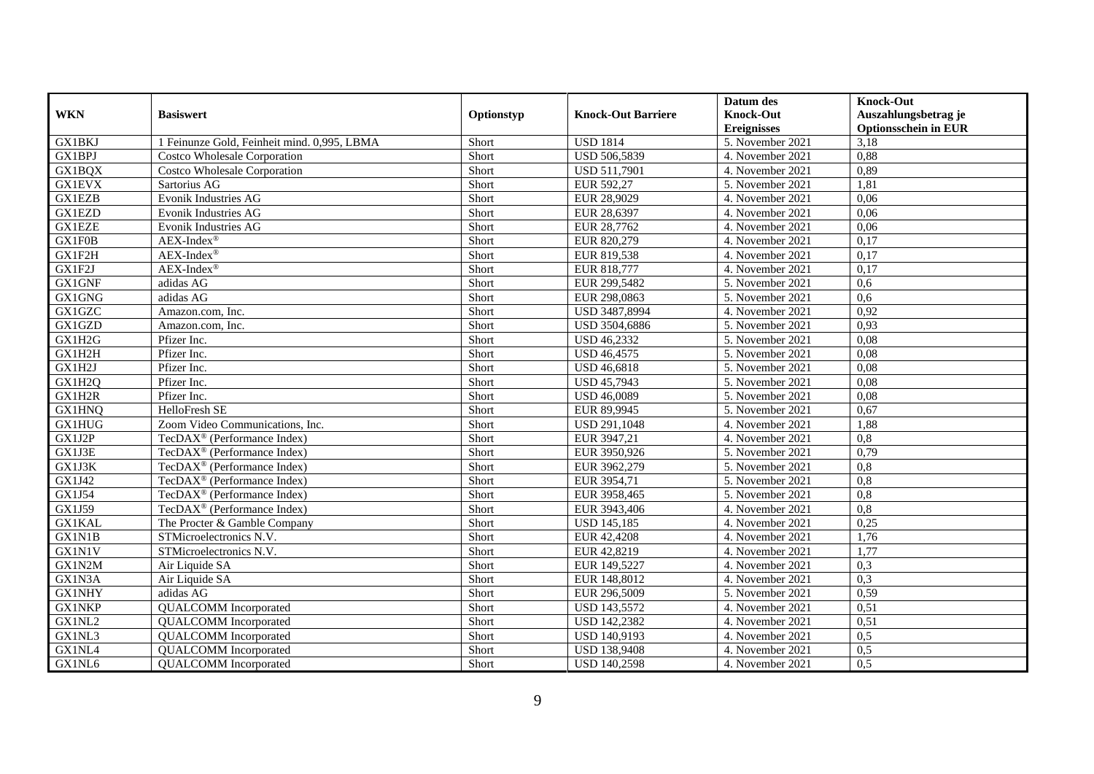|                     |                                             |            |                           | Datum des          | <b>Knock-Out</b>            |
|---------------------|---------------------------------------------|------------|---------------------------|--------------------|-----------------------------|
| <b>WKN</b>          | <b>Basiswert</b>                            | Optionstyp | <b>Knock-Out Barriere</b> | <b>Knock-Out</b>   | Auszahlungsbetrag je        |
|                     |                                             |            |                           | <b>Ereignisses</b> | <b>Optionsschein in EUR</b> |
| <b>GX1BKJ</b>       | 1 Feinunze Gold, Feinheit mind. 0,995, LBMA | Short      | <b>USD 1814</b>           | 5. November 2021   | 3,18                        |
| <b>GX1BPJ</b>       | <b>Costco Wholesale Corporation</b>         | Short      | USD 506,5839              | 4. November 2021   | 0,88                        |
| GX1BQX              | <b>Costco Wholesale Corporation</b>         | Short      | <b>USD 511,7901</b>       | 4. November 2021   | 0,89                        |
| <b>GX1EVX</b>       | Sartorius AG                                | Short      | EUR 592,27                | 5. November 2021   | 1,81                        |
| <b>GX1EZB</b>       | <b>Evonik Industries AG</b>                 | Short      | EUR 28,9029               | 4. November 2021   | 0,06                        |
| GX1EZD              | <b>Evonik Industries AG</b>                 | Short      | EUR 28,6397               | 4. November 2021   | 0,06                        |
| <b>GX1EZE</b>       | Evonik Industries AG                        | Short      | EUR 28,7762               | 4. November 2021   | 0,06                        |
| GX1F0B              | $AEX-Index^{\circledR}$                     | Short      | EUR 820,279               | 4. November 2021   | 0,17                        |
| GX1F2H              | $AEX-Index^{\circledR}$                     | Short      | EUR 819,538               | 4. November 2021   | 0,17                        |
| GX1F2J              | $AEX-Index^{\circledR}$                     | Short      | EUR 818,777               | 4. November 2021   | 0,17                        |
| <b>GX1GNF</b>       | adidas AG                                   | Short      | EUR 299,5482              | 5. November 2021   | 0,6                         |
| GX1GNG              | adidas AG                                   | Short      | EUR 298,0863              | 5. November 2021   | 0,6                         |
| GX1GZC              | Amazon.com, Inc.                            | Short      | USD 3487,8994             | 4. November 2021   | 0,92                        |
| GX1GZD              | Amazon.com, Inc.                            | Short      | USD 3504,6886             | 5. November 2021   | 0,93                        |
| GX1H2G              | Pfizer Inc.                                 | Short      | <b>USD 46,2332</b>        | 5. November 2021   | 0,08                        |
| GX1H2H              | Pfizer Inc.                                 | Short      | <b>USD 46,4575</b>        | 5. November 2021   | 0,08                        |
| GX1H2J              | Pfizer Inc.                                 | Short      | <b>USD 46,6818</b>        | 5. November 2021   | 0,08                        |
| GX1H2Q              | Pfizer Inc.                                 | Short      | <b>USD 45.7943</b>        | 5. November 2021   | 0.08                        |
| GX1H2R              | Pfizer Inc.                                 | Short      | <b>USD 46,0089</b>        | 5. November 2021   | 0,08                        |
| <b>GX1HNQ</b>       | HelloFresh SE                               | Short      | EUR 89,9945               | 5. November 2021   | 0,67                        |
| <b>GX1HUG</b>       | Zoom Video Communications, Inc.             | Short      | USD 291,1048              | 4. November 2021   | 1,88                        |
| GX1J2P              | TecDAX <sup>®</sup> (Performance Index)     | Short      | EUR 3947,21               | 4. November 2021   | $\overline{0,8}$            |
| GX1J3E              | TecDAX <sup>®</sup> (Performance Index)     | Short      | EUR 3950,926              | 5. November 2021   | 0,79                        |
| GX1J3K              | TecDAX <sup>®</sup> (Performance Index)     | Short      | EUR 3962,279              | 5. November 2021   | 0,8                         |
| GX1J42              | TecDAX <sup>®</sup> (Performance Index)     | Short      | EUR 3954,71               | 5. November 2021   | 0,8                         |
| GX1J54              | TecDAX <sup>®</sup> (Performance Index)     | Short      | EUR 3958,465              | 5. November 2021   | 0,8                         |
| $G\overline{X1J59}$ | TecDAX <sup>®</sup> (Performance Index)     | Short      | EUR 3943,406              | 4. November 2021   | 0,8                         |
| <b>GX1KAL</b>       | The Procter & Gamble Company                | Short      | <b>USD 145,185</b>        | 4. November 2021   | 0,25                        |
| GX1N1B              | STMicroelectronics N.V.                     | Short      | EUR 42,4208               | 4. November 2021   | 1,76                        |
| <b>GX1N1V</b>       | STMicroelectronics N.V.                     | Short      | EUR 42,8219               | 4. November 2021   | 1,77                        |
| GX1N2M              | Air Liquide SA                              | Short      | EUR 149,5227              | 4. November 2021   | 0,3                         |
| GX1N3A              | Air Liquide SA                              | Short      | EUR 148,8012              | 4. November 2021   | 0,3                         |
| <b>GX1NHY</b>       | adidas AG                                   | Short      | EUR 296,5009              | 5. November 2021   | 0,59                        |
| <b>GX1NKP</b>       | <b>QUALCOMM</b> Incorporated                | Short      | <b>USD 143,5572</b>       | 4. November 2021   | 0,51                        |
| GX1NL2              | <b>QUALCOMM</b> Incorporated                | Short      | USD 142,2382              | 4. November 2021   | 0,51                        |
| GX1NL3              | <b>QUALCOMM</b> Incorporated                | Short      | USD 140,9193              | 4. November 2021   | 0,5                         |
| GX1NL4              | <b>QUALCOMM</b> Incorporated                | Short      | <b>USD 138,9408</b>       | 4. November 2021   | 0,5                         |
| GX1NL6              | <b>QUALCOMM</b> Incorporated                | Short      | <b>USD 140,2598</b>       | 4. November 2021   | 0,5                         |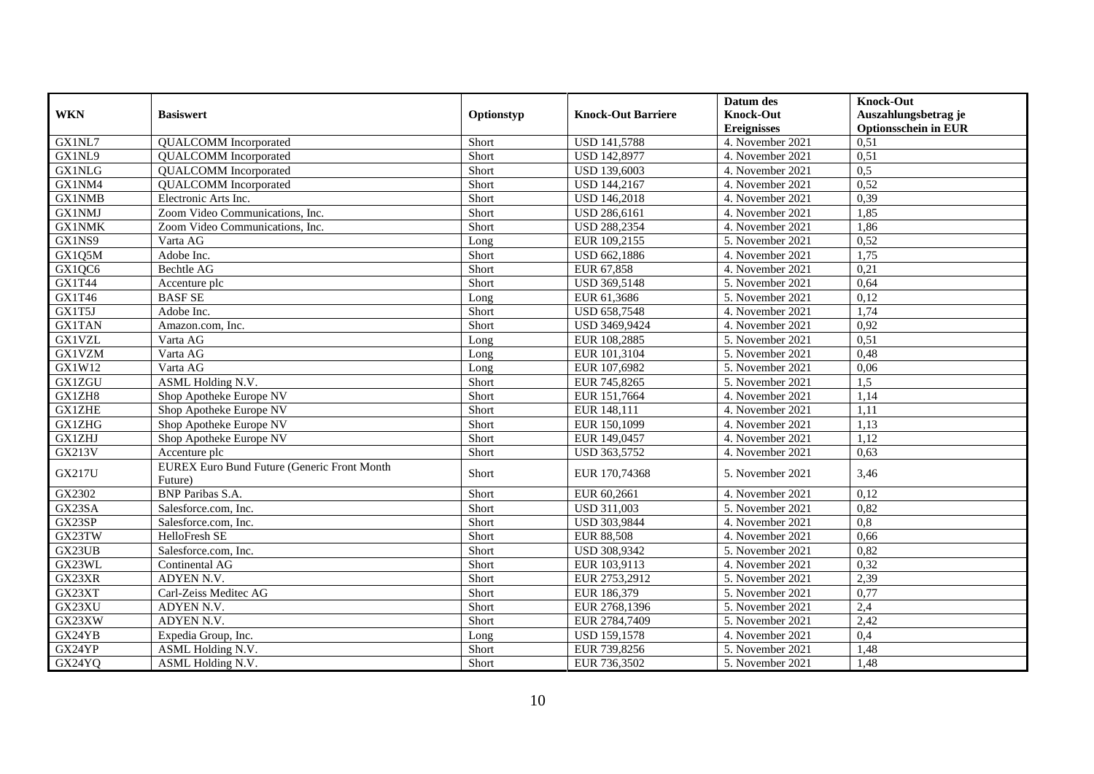|               |                                                               |                |                           | Datum des                              | <b>Knock-Out</b>                                    |
|---------------|---------------------------------------------------------------|----------------|---------------------------|----------------------------------------|-----------------------------------------------------|
| <b>WKN</b>    | <b>Basiswert</b>                                              | Optionstyp     | <b>Knock-Out Barriere</b> | <b>Knock-Out</b><br><b>Ereignisses</b> | Auszahlungsbetrag je<br><b>Optionsschein in EUR</b> |
| GX1NL7        | <b>QUALCOMM</b> Incorporated                                  | Short          | <b>USD 141,5788</b>       | 4. November 2021                       | 0,51                                                |
| GX1NL9        | <b>QUALCOMM</b> Incorporated                                  | Short          | <b>USD 142,8977</b>       | 4. November 2021                       | 0,51                                                |
| <b>GX1NLG</b> | <b>QUALCOMM</b> Incorporated                                  | Short          | <b>USD 139,6003</b>       | 4. November 2021                       | 0,5                                                 |
| GX1NM4        | <b>QUALCOMM</b> Incorporated                                  | Short          | USD 144,2167              | 4. November 2021                       | 0,52                                                |
| <b>GX1NMB</b> |                                                               |                | <b>USD 146,2018</b>       |                                        | 0,39                                                |
| GX1NMJ        | Electronic Arts Inc.<br>Zoom Video Communications, Inc.       | Short<br>Short | USD 286,6161              | 4. November 2021<br>4. November 2021   | 1,85                                                |
| <b>GX1NMK</b> |                                                               | Short          | <b>USD 288,2354</b>       | 4. November 2021                       | 1,86                                                |
| GX1NS9        | Zoom Video Communications, Inc.                               |                |                           |                                        | 0,52                                                |
|               | Varta AG                                                      | Long           | EUR 109,2155              | 5. November 2021                       |                                                     |
| GX1Q5M        | Adobe Inc.                                                    | Short          | USD 662,1886              | 4. November 2021                       | 1,75                                                |
| GX1QC6        | <b>Bechtle AG</b>                                             | Short          | EUR 67,858                | 4. November 2021                       | 0,21                                                |
| <b>GX1T44</b> | Accenture plc                                                 | Short          | USD 369,5148              | 5. November 2021                       | 0,64                                                |
| GX1T46        | <b>BASF SE</b>                                                | Long           | EUR 61,3686               | 5. November 2021                       | 0,12                                                |
| GX1T5J        | Adobe Inc.                                                    | Short          | USD 658,7548              | 4. November 2021                       | 1,74                                                |
| <b>GX1TAN</b> | Amazon.com, Inc.                                              | Short          | USD 3469,9424             | 4. November 2021                       | 0,92                                                |
| <b>GX1VZL</b> | Varta AG                                                      | Long           | EUR 108,2885              | 5. November 2021                       | 0,51                                                |
| <b>GX1VZM</b> | Varta AG                                                      | Long           | EUR 101,3104              | 5. November 2021                       | 0,48                                                |
| GX1W12        | Varta AG                                                      | Long           | EUR 107,6982              | 5. November 2021                       | 0,06                                                |
| <b>GX1ZGU</b> | ASML Holding N.V.                                             | Short          | EUR 745,8265              | 5. November 2021                       | 1,5                                                 |
| GX1ZH8        | Shop Apotheke Europe NV                                       | Short          | EUR 151,7664              | 4. November 2021                       | 1,14                                                |
| <b>GX1ZHE</b> | Shop Apotheke Europe NV                                       | Short          | EUR 148,111               | 4. November 2021                       | 1,11                                                |
| <b>GX1ZHG</b> | Shop Apotheke Europe NV                                       | Short          | EUR 150,1099              | 4. November 2021                       | 1,13                                                |
| <b>GX1ZHJ</b> | Shop Apotheke Europe NV                                       | Short          | EUR 149,0457              | 4. November 2021                       | 1,12                                                |
| <b>GX213V</b> | Accenture plc                                                 | Short          | USD 363,5752              | 4. November 2021                       | 0,63                                                |
| <b>GX217U</b> | <b>EUREX Euro Bund Future (Generic Front Month</b><br>Future) | Short          | EUR 170,74368             | 5. November 2021                       | 3,46                                                |
| GX2302        | <b>BNP</b> Paribas S.A.                                       | Short          | EUR 60,2661               | 4. November 2021                       | 0,12                                                |
| GX23SA        | Salesforce.com, Inc.                                          | Short          | <b>USD 311,003</b>        | 5. November 2021                       | 0,82                                                |
| GX23SP        | Salesforce.com, Inc.                                          | Short          | USD 303,9844              | 4. November 2021                       | 0,8                                                 |
| GX23TW        | HelloFresh SE                                                 | Short          | <b>EUR 88,508</b>         | 4. November 2021                       | 0,66                                                |
| GX23UB        | Salesforce.com, Inc.                                          | Short          | USD 308,9342              | 5. November 2021                       | 0,82                                                |
| GX23WL        | Continental AG                                                | Short          | EUR 103,9113              | 4. November 2021                       | 0,32                                                |
| GX23XR        | ADYEN N.V.                                                    | Short          | EUR 2753,2912             | 5. November 2021                       | 2,39                                                |
| GX23XT        | Carl-Zeiss Meditec AG                                         | Short          | EUR 186,379               | 5. November 2021                       | 0,77                                                |
| GX23XU        | ADYEN N.V.                                                    | Short          | EUR 2768,1396             | 5. November 2021                       | 2,4                                                 |
| GX23XW        | ADYEN N.V.                                                    | Short          | EUR 2784,7409             | 5. November 2021                       | 2,42                                                |
| GX24YB        | Expedia Group, Inc.                                           | Long           | <b>USD 159,1578</b>       | 4. November 2021                       | 0,4                                                 |
| GX24YP        | ASML Holding N.V.                                             | Short          | EUR 739,8256              | 5. November 2021                       | 1,48                                                |
| GX24YQ        | ASML Holding N.V.                                             | Short          | EUR 736,3502              | 5. November 2021                       | 1,48                                                |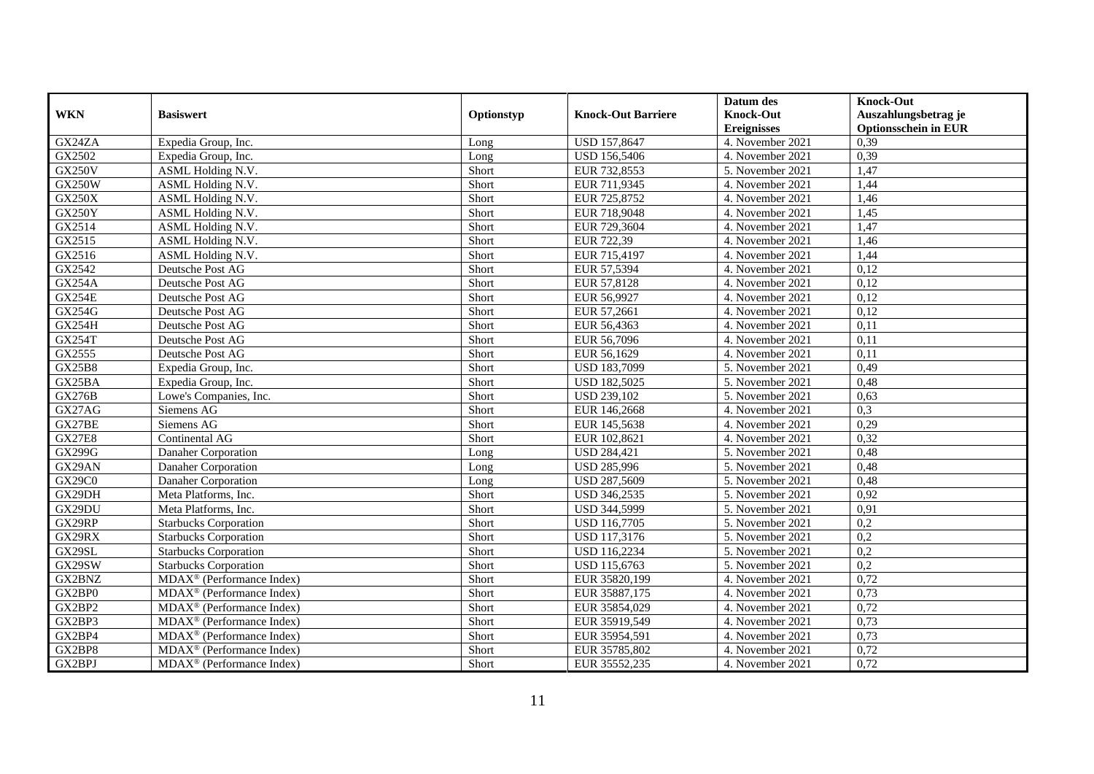|               |                                                            |            |                           | Datum des          | <b>Knock-Out</b>            |
|---------------|------------------------------------------------------------|------------|---------------------------|--------------------|-----------------------------|
| <b>WKN</b>    | <b>Basiswert</b>                                           | Optionstyp | <b>Knock-Out Barriere</b> | <b>Knock-Out</b>   | Auszahlungsbetrag je        |
|               |                                                            |            |                           | <b>Ereignisses</b> | <b>Optionsschein in EUR</b> |
| GX24ZA        | Expedia Group, Inc.                                        | Long       | USD 157,8647              | 4. November 2021   | 0,39                        |
| GX2502        | Expedia Group, Inc.                                        | Long       | <b>USD 156,5406</b>       | 4. November 2021   | 0,39                        |
| <b>GX250V</b> | ASML Holding N.V.                                          | Short      | EUR 732,8553              | 5. November 2021   | 1,47                        |
| <b>GX250W</b> | ASML Holding N.V.                                          | Short      | EUR 711,9345              | 4. November 2021   | 1,44                        |
| <b>GX250X</b> | ASML Holding N.V.                                          | Short      | EUR 725,8752              | 4. November 2021   | 1,46                        |
| GX250Y        | ASML Holding N.V.                                          | Short      | EUR 718,9048              | 4. November 2021   | 1,45                        |
| GX2514        | ASML Holding N.V.                                          | Short      | EUR 729,3604              | 4. November 2021   | 1,47                        |
| GX2515        | ASML Holding N.V.                                          | Short      | EUR 722,39                | 4. November 2021   | 1,46                        |
| GX2516        | ASML Holding N.V.                                          | Short      | EUR 715,4197              | 4. November 2021   | 1,44                        |
| GX2542        | Deutsche Post AG                                           | Short      | EUR 57,5394               | 4. November 2021   | 0,12                        |
| <b>GX254A</b> | Deutsche Post AG                                           | Short      | EUR 57,8128               | 4. November 2021   | 0,12                        |
| <b>GX254E</b> | Deutsche Post AG                                           | Short      | EUR 56,9927               | 4. November 2021   | 0,12                        |
| GX254G        | Deutsche Post AG                                           | Short      | EUR 57,2661               | 4. November 2021   | 0,12                        |
| <b>GX254H</b> | Deutsche Post AG                                           | Short      | EUR 56,4363               | 4. November 2021   | 0,11                        |
| <b>GX254T</b> | Deutsche Post AG                                           | Short      | EUR 56,7096               | 4. November 2021   | 0,11                        |
| GX2555        | Deutsche Post AG                                           | Short      | EUR 56,1629               | 4. November 2021   | 0,11                        |
| <b>GX25B8</b> | Expedia Group, Inc.                                        | Short      | USD 183,7099              | 5. November 2021   | 0,49                        |
| GX25BA        | Expedia Group, Inc.                                        | Short      | <b>USD 182.5025</b>       | 5. November 2021   | 0.48                        |
| <b>GX276B</b> | Lowe's Companies, Inc.                                     | Short      | <b>USD 239,102</b>        | 5. November 2021   | 0,63                        |
| GX27AG        | Siemens AG                                                 | Short      | EUR 146,2668              | 4. November 2021   | 0,3                         |
| GX27BE        | Siemens AG                                                 | Short      | EUR 145,5638              | 4. November 2021   | 0,29                        |
| <b>GX27E8</b> | Continental AG                                             | Short      | EUR 102,8621              | 4. November 2021   | 0,32                        |
| <b>GX299G</b> | Danaher Corporation                                        | Long       | <b>USD 284,421</b>        | 5. November 2021   | 0,48                        |
| GX29AN        | Danaher Corporation                                        | Long       | <b>USD 285,996</b>        | 5. November 2021   | 0,48                        |
| GX29C0        | Danaher Corporation                                        | Long       | USD 287,5609              | 5. November 2021   | 0,48                        |
| GX29DH        | Meta Platforms, Inc.                                       | Short      | USD 346,2535              | 5. November 2021   | 0,92                        |
| GX29DU        | Meta Platforms, Inc.                                       | Short      | USD 344,5999              | 5. November 2021   | 0,91                        |
| GX29RP        | <b>Starbucks Corporation</b>                               | Short      | <b>USD 116,7705</b>       | 5. November 2021   | 0,2                         |
| GX29RX        | <b>Starbucks Corporation</b>                               | Short      | USD 117,3176              | 5. November 2021   | $\overline{0.2}$            |
| GX29SL        | <b>Starbucks Corporation</b>                               | Short      | <b>USD 116,2234</b>       | 5. November 2021   | $\overline{0.2}$            |
| GX29SW        | <b>Starbucks Corporation</b>                               | Short      | USD 115,6763              | 5. November 2021   | 0,2                         |
| GX2BNZ        | $MDAX^{\circledR}$ (Performance Index)                     | Short      | EUR 35820,199             | 4. November 2021   | 0,72                        |
| GX2BP0        | $\overline{\text{MDAX}}$ <sup>®</sup> (Performance Index)  | Short      | EUR 35887,175             | 4. November 2021   | 0,73                        |
| GX2BP2        | $\overline{\text{MD}}$ AX <sup>®</sup> (Performance Index) | Short      | EUR 35854,029             | 4. November 2021   | 0,72                        |
| GX2BP3        | $MDAX^{\circledR}$ (Performance Index)                     | Short      | EUR 35919,549             | 4. November 2021   | 0,73                        |
| GX2BP4        | $MDAX^{\circledR}$ (Performance Index)                     | Short      | EUR 35954,591             | 4. November 2021   | 0,73                        |
| GX2BP8        | MDAX <sup>®</sup> (Performance Index)                      | Short      | EUR 35785,802             | 4. November 2021   | 0,72                        |
| GX2BPJ        | $MDAX^{\circledR}$ (Performance Index)                     | Short      | EUR 35552,235             | 4. November 2021   | 0,72                        |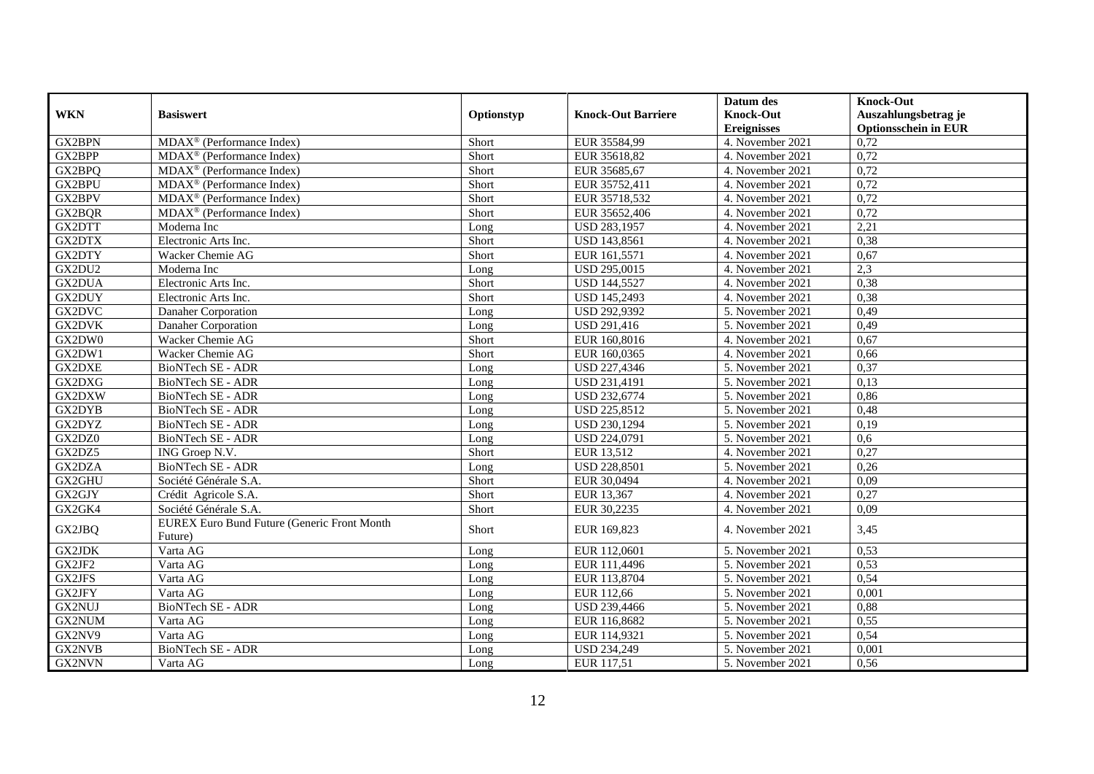|               |                                                    |            |                           | Datum des          | <b>Knock-Out</b>            |
|---------------|----------------------------------------------------|------------|---------------------------|--------------------|-----------------------------|
| <b>WKN</b>    | <b>Basiswert</b>                                   | Optionstyp | <b>Knock-Out Barriere</b> | <b>Knock-Out</b>   | Auszahlungsbetrag je        |
|               |                                                    |            |                           | <b>Ereignisses</b> | <b>Optionsschein in EUR</b> |
| GX2BPN        | $MDAX^{\circledcirc}$ (Performance Index)          | Short      | EUR 35584,99              | 4. November 2021   | 0,72                        |
| GX2BPP        | MDAX <sup>®</sup> (Performance Index)              | Short      | EUR 35618,82              | 4. November 2021   | 0,72                        |
| GX2BPQ        | MDAX <sup>®</sup> (Performance Index)              | Short      | EUR 35685,67              | 4. November 2021   | 0,72                        |
| GX2BPU        | $MDAX^{\circledR}$ (Performance Index)             | Short      | EUR 35752,411             | 4. November 2021   | 0,72                        |
| GX2BPV        | $MDAX^{\circledast}$ (Performance Index)           | Short      | EUR 35718,532             | 4. November 2021   | 0,72                        |
| GX2BQR        | $MDAX^{\circledR}$ (Performance Index)             | Short      | EUR 35652,406             | 4. November 2021   | 0,72                        |
| GX2DTT        | Moderna Inc                                        | Long       | USD 283,1957              | 4. November 2021   | 2,21                        |
| GX2DTX        | Electronic Arts Inc.                               | Short      | USD 143,8561              | 4. November 2021   | 0,38                        |
| GX2DTY        | Wacker Chemie AG                                   | Short      | EUR 161,5571              | 4. November 2021   | 0,67                        |
| GX2DU2        | Moderna Inc                                        | Long       | USD 295,0015              | 4. November 2021   | 2,3                         |
| GX2DUA        | Electronic Arts Inc.                               | Short      | <b>USD 144,5527</b>       | 4. November 2021   | 0,38                        |
| GX2DUY        | Electronic Arts Inc.                               | Short      | <b>USD 145,2493</b>       | 4. November 2021   | 0,38                        |
| GX2DVC        | Danaher Corporation                                | Long       | <b>USD 292,9392</b>       | 5. November 2021   | 0,49                        |
| <b>GX2DVK</b> | Danaher Corporation                                | Long       | USD 291,416               | 5. November 2021   | 0,49                        |
| GX2DW0        | Wacker Chemie AG                                   | Short      | EUR 160,8016              | 4. November 2021   | 0,67                        |
| GX2DW1        | Wacker Chemie AG                                   | Short      | EUR 160,0365              | 4. November 2021   | 0,66                        |
| GX2DXE        | <b>BioNTech SE - ADR</b>                           | Long       | USD 227,4346              | 5. November 2021   | 0,37                        |
| GX2DXG        | <b>BioNTech SE - ADR</b>                           | Long       | <b>USD 231.4191</b>       | 5. November 2021   | 0,13                        |
| GX2DXW        | BioNTech SE - ADR                                  | Long       | USD 232,6774              | 5. November 2021   | 0,86                        |
| GX2DYB        | <b>BioNTech SE - ADR</b>                           | Long       | USD 225,8512              | 5. November 2021   | 0,48                        |
| GX2DYZ        | BioNTech SE - ADR                                  | Long       | USD 230,1294              | 5. November 2021   | 0,19                        |
| GX2DZ0        | BioNTech SE - ADR                                  | Long       | USD 224,0791              | 5. November 2021   | 0.6                         |
| GX2DZ5        | ING Groep N.V.                                     | Short      | EUR 13,512                | 4. November 2021   | 0,27                        |
| GX2DZA        | BioNTech SE - ADR                                  | Long       | <b>USD 228,8501</b>       | 5. November 2021   | 0,26                        |
| GX2GHU        | Société Générale S.A.                              | Short      | EUR 30,0494               | 4. November 2021   | 0,09                        |
| GX2GJY        | Crédit Agricole S.A.                               | Short      | EUR 13,367                | 4. November 2021   | 0,27                        |
| GX2GK4        | Société Générale S.A.                              | Short      | EUR 30,2235               | 4. November 2021   | 0,09                        |
| GX2JBQ        | <b>EUREX Euro Bund Future (Generic Front Month</b> | Short      | EUR 169,823               | 4. November 2021   | 3,45                        |
|               | Future)                                            |            |                           |                    |                             |
| GX2JDK        | Varta AG                                           | Long       | EUR 112,0601              | 5. November 2021   | 0,53                        |
| GX2JF2        | Varta AG                                           | Long       | EUR 111,4496              | 5. November 2021   | 0,53                        |
| GX2JFS        | Varta AG                                           | Long       | EUR 113,8704              | 5. November 2021   | 0,54                        |
| GX2JFY        | Varta AG                                           | Long       | EUR 112,66                | 5. November 2021   | 0,001                       |
| GX2NUJ        | <b>BioNTech SE - ADR</b>                           | Long       | USD 239,4466              | 5. November 2021   | 0,88                        |
| GX2NUM        | Varta AG                                           | Long       | EUR 116,8682              | 5. November 2021   | 0,55                        |
| GX2NV9        | Varta AG                                           | Long       | EUR 114,9321              | 5. November 2021   | 0,54                        |
| GX2NVB        | <b>BioNTech SE - ADR</b>                           | Long       | <b>USD 234,249</b>        | 5. November 2021   | 0,001                       |
| GX2NVN        | Varta AG                                           | Long       | EUR 117,51                | 5. November 2021   | 0,56                        |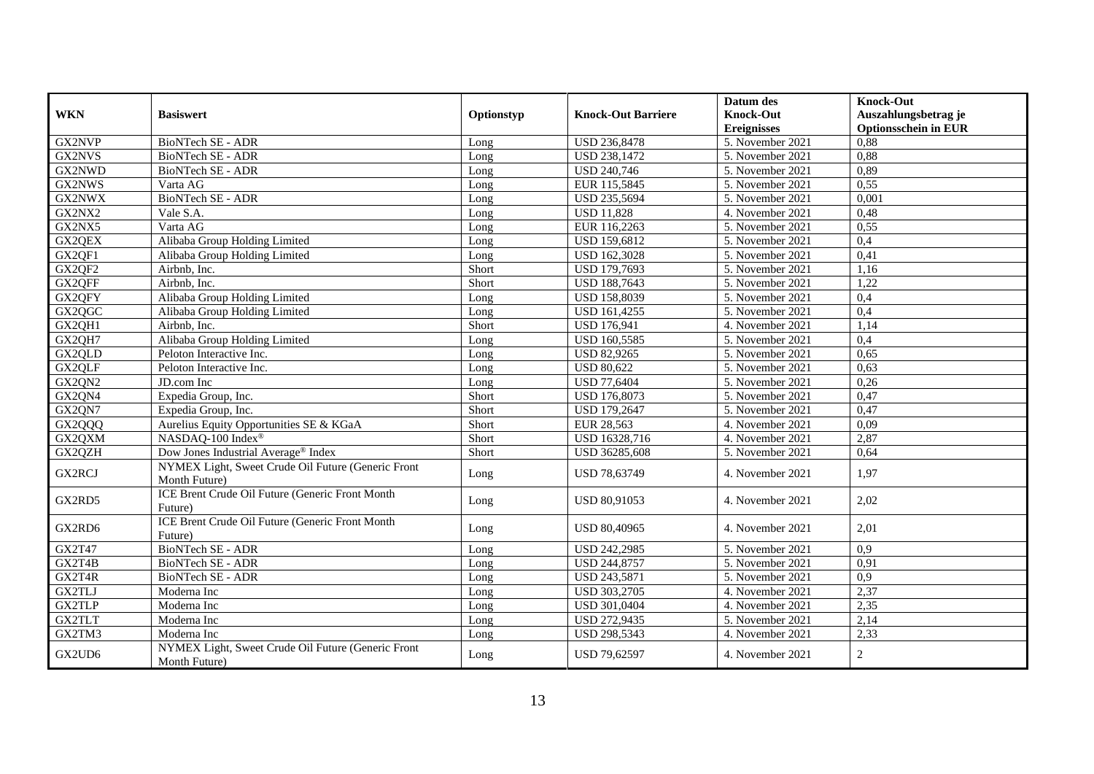|               |                                                                     |            |                           | Datum des                              | Knock-Out                                           |
|---------------|---------------------------------------------------------------------|------------|---------------------------|----------------------------------------|-----------------------------------------------------|
| <b>WKN</b>    | <b>Basiswert</b>                                                    | Optionstyp | <b>Knock-Out Barriere</b> | <b>Knock-Out</b><br><b>Ereignisses</b> | Auszahlungsbetrag je<br><b>Optionsschein in EUR</b> |
| GX2NVP        | <b>BioNTech SE - ADR</b>                                            | Long       | USD 236,8478              | 5. November 2021                       | 0,88                                                |
| GX2NVS        | <b>BioNTech SE - ADR</b>                                            | Long       | <b>USD 238,1472</b>       | 5. November 2021                       | 0,88                                                |
| GX2NWD        | BioNTech SE - ADR                                                   | Long       | <b>USD 240,746</b>        | 5. November 2021                       | 0,89                                                |
| GX2NWS        | Varta AG                                                            | Long       | EUR 115,5845              | 5. November 2021                       | 0,55                                                |
| GX2NWX        | BioNTech SE - ADR                                                   | Long       | USD 235,5694              | 5. November 2021                       | 0,001                                               |
| GX2NX2        | Vale S.A.                                                           | Long       | <b>USD 11,828</b>         | 4. November 2021                       | 0,48                                                |
| GX2NX5        | Varta AG                                                            | Long       | EUR 116,2263              | 5. November 2021                       | 0,55                                                |
| GX2QEX        | Alibaba Group Holding Limited                                       | Long       | <b>USD 159,6812</b>       | 5. November 2021                       | 0,4                                                 |
| GX2QF1        | Alibaba Group Holding Limited                                       | Long       | <b>USD 162,3028</b>       | 5. November 2021                       | 0,41                                                |
| GX2QF2        | Airbnb, Inc.                                                        | Short      | USD 179,7693              | 5. November 2021                       | 1,16                                                |
| GX2QFF        | Airbnb. Inc.                                                        | Short      | USD 188,7643              | 5. November 2021                       | 1,22                                                |
| GX2QFY        | Alibaba Group Holding Limited                                       | Long       | USD 158,8039              | 5. November 2021                       | 0,4                                                 |
| GX2QGC        | Alibaba Group Holding Limited                                       | Long       | <b>USD 161,4255</b>       | 5. November 2021                       | 0,4                                                 |
| GX2QH1        | Airbnb, Inc.                                                        | Short      | <b>USD 176,941</b>        | 4. November 2021                       | 1,14                                                |
| GX2QH7        | Alibaba Group Holding Limited                                       | Long       | USD 160,5585              | 5. November 2021                       | 0,4                                                 |
| GX2QLD        | Peloton Interactive Inc.                                            | Long       | <b>USD 82,9265</b>        | 5. November 2021                       | 0,65                                                |
| GX2QLF        | Peloton Interactive Inc.                                            | Long       | <b>USD 80,622</b>         | 5. November 2021                       | 0,63                                                |
| GX2QN2        | JD.com Inc                                                          | Long       | <b>USD 77,6404</b>        | 5. November 2021                       | 0,26                                                |
| GX2QN4        | Expedia Group, Inc.                                                 | Short      | USD 176,8073              | 5. November 2021                       | 0,47                                                |
| GX2QN7        | Expedia Group, Inc.                                                 | Short      | USD 179,2647              | 5. November 2021                       | 0,47                                                |
| GX2QQQ        | Aurelius Equity Opportunities SE & KGaA                             | Short      | EUR 28,563                | 4. November 2021                       | 0,09                                                |
| GX2QXM        | NASDAQ-100 Index®                                                   | Short      | USD 16328,716             | 4. November 2021                       | 2,87                                                |
| GX2QZH        | Dow Jones Industrial Average® Index                                 | Short      | USD 36285,608             | 5. November 2021                       | 0,64                                                |
| <b>GX2RCJ</b> | NYMEX Light, Sweet Crude Oil Future (Generic Front<br>Month Future) | Long       | USD 78,63749              | 4. November 2021                       | 1,97                                                |
| GX2RD5        | ICE Brent Crude Oil Future (Generic Front Month<br>Future)          | Long       | USD 80,91053              | 4. November 2021                       | 2,02                                                |
| GX2RD6        | ICE Brent Crude Oil Future (Generic Front Month<br>Future)          | Long       | <b>USD 80.40965</b>       | 4. November 2021                       | 2,01                                                |
| GX2T47        | <b>BioNTech SE - ADR</b>                                            | Long       | USD 242,2985              | 5. November 2021                       | 0,9                                                 |
| GX2T4B        | BioNTech SE - ADR                                                   | Long       | USD 244,8757              | 5. November 2021                       | 0,91                                                |
| GX2T4R        | <b>BioNTech SE - ADR</b>                                            | Long       | USD 243,5871              | 5. November 2021                       | 0,9                                                 |
| <b>GX2TLJ</b> | Moderna Inc                                                         | Long       | <b>USD 303,2705</b>       | 4. November 2021                       | 2,37                                                |
| <b>GX2TLP</b> | Moderna Inc                                                         | Long       | USD 301,0404              | 4. November 2021                       | 2,35                                                |
| GX2TLT        | Moderna Inc                                                         | Long       | USD 272,9435              | 5. November 2021                       | 2,14                                                |
| GX2TM3        | Moderna Inc                                                         | Long       | USD 298,5343              | 4. November 2021                       | 2,33                                                |
| GX2UD6        | NYMEX Light, Sweet Crude Oil Future (Generic Front<br>Month Future) | Long       | USD 79,62597              | 4. November 2021                       | $\overline{2}$                                      |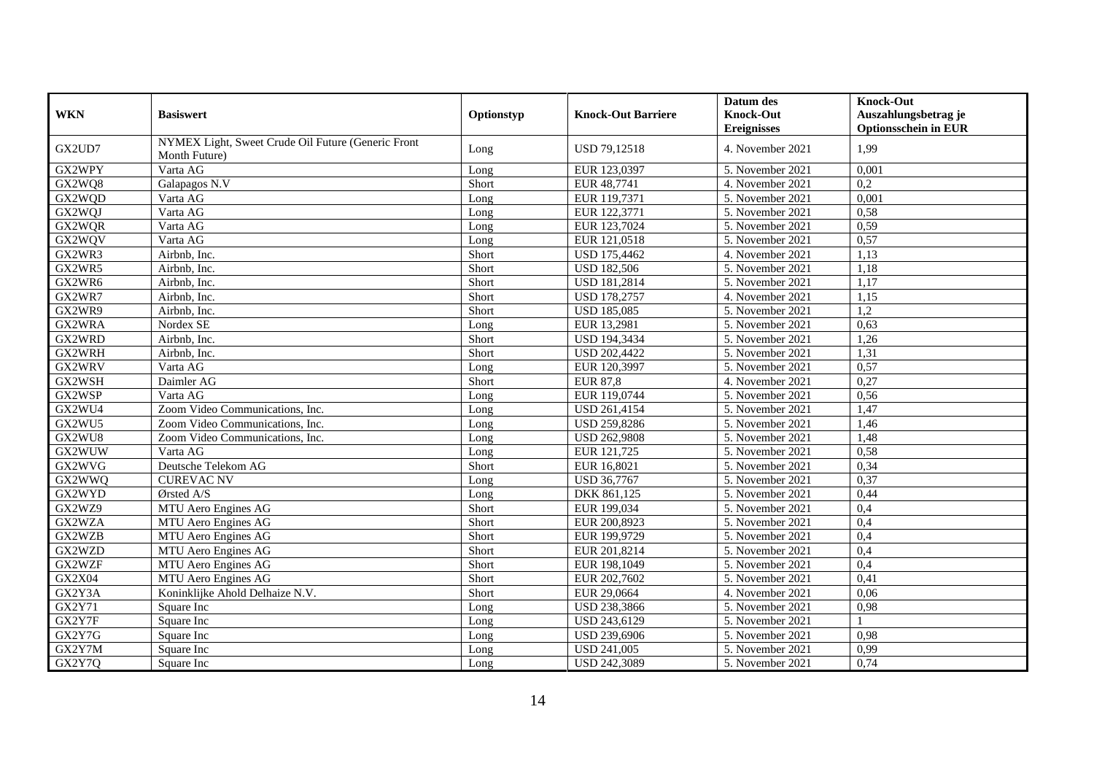|               |                                                    |            |                           | Datum des          | <b>Knock-Out</b>            |
|---------------|----------------------------------------------------|------------|---------------------------|--------------------|-----------------------------|
| <b>WKN</b>    | <b>Basiswert</b>                                   | Optionstyp | <b>Knock-Out Barriere</b> | <b>Knock-Out</b>   | Auszahlungsbetrag je        |
|               |                                                    |            |                           | <b>Ereignisses</b> | <b>Optionsschein in EUR</b> |
| GX2UD7        | NYMEX Light, Sweet Crude Oil Future (Generic Front | Long       | USD 79,12518              | 4. November 2021   | 1.99                        |
|               | Month Future)                                      |            |                           |                    |                             |
| GX2WPY        | Varta AG                                           | Long       | EUR 123,0397              | 5. November 2021   | 0,001                       |
| GX2WQ8        | Galapagos N.V                                      | Short      | EUR 48,7741               | 4. November 2021   | 0.2                         |
| GX2WQD        | Varta AG                                           | Long       | EUR 119,7371              | 5. November 2021   | 0,001                       |
| GX2WQJ        | Varta AG                                           | Long       | EUR 122,3771              | 5. November 2021   | 0,58                        |
| GX2WQR        | Varta AG                                           | Long       | EUR 123,7024              | 5. November 2021   | 0,59                        |
| GX2WQV        | Varta AG                                           | Long       | EUR 121,0518              | 5. November 2021   | 0,57                        |
| GX2WR3        | Airbnb, Inc.                                       | Short      | <b>USD 175,4462</b>       | 4. November 2021   | 1,13                        |
| GX2WR5        | Airbnb, Inc.                                       | Short      | <b>USD 182,506</b>        | 5. November 2021   | 1,18                        |
| GX2WR6        | Airbnb, Inc.                                       | Short      | <b>USD 181,2814</b>       | 5. November 2021   | 1,17                        |
| GX2WR7        | Airbnb, Inc.                                       | Short      | <b>USD 178,2757</b>       | 4. November 2021   | 1,15                        |
| GX2WR9        | Airbnb, Inc.                                       | Short      | <b>USD 185,085</b>        | 5. November 2021   | 1,2                         |
| GX2WRA        | Nordex SE                                          | Long       | EUR 13,2981               | 5. November 2021   | 0,63                        |
| GX2WRD        | Airbnb, Inc.                                       | Short      | <b>USD 194,3434</b>       | 5. November 2021   | 1,26                        |
| GX2WRH        | Airbnb, Inc.                                       | Short      | <b>USD 202,4422</b>       | 5. November 2021   | 1,31                        |
| GX2WRV        | Varta AG                                           | Long       | EUR 120,3997              | 5. November 2021   | 0,57                        |
| GX2WSH        | Daimler AG                                         | Short      | <b>EUR 87,8</b>           | 4. November 2021   | 0,27                        |
| GX2WSP        | Varta AG                                           | Long       | EUR 119,0744              | 5. November 2021   | 0,56                        |
| GX2WU4        | Zoom Video Communications, Inc.                    | Long       | USD 261,4154              | 5. November 2021   | 1,47                        |
| GX2WU5        | Zoom Video Communications, Inc.                    | Long       | <b>USD 259,8286</b>       | 5. November 2021   | 1,46                        |
| GX2WU8        | Zoom Video Communications, Inc.                    | Long       | <b>USD 262,9808</b>       | 5. November 2021   | 1,48                        |
| GX2WUW        | Varta AG                                           | Long       | EUR 121,725               | 5. November 2021   | 0,58                        |
| GX2WVG        | Deutsche Telekom AG                                | Short      | EUR 16,8021               | 5. November 2021   | 0,34                        |
| GX2WWQ        | <b>CUREVAC NV</b>                                  | Long       | <b>USD 36,7767</b>        | 5. November 2021   | 0,37                        |
| GX2WYD        | Ørsted A/S                                         | Long       | DKK 861,125               | 5. November 2021   | 0,44                        |
| GX2WZ9        | MTU Aero Engines AG                                | Short      | EUR 199,034               | 5. November 2021   | 0,4                         |
| GX2WZA        | MTU Aero Engines AG                                | Short      | EUR 200,8923              | 5. November 2021   | 0,4                         |
| GX2WZB        | MTU Aero Engines AG                                | Short      | EUR 199,9729              | 5. November 2021   | 0,4                         |
| GX2WZD        | MTU Aero Engines AG                                | Short      | EUR 201,8214              | 5. November 2021   | 0,4                         |
| GX2WZF        | MTU Aero Engines AG                                | Short      | EUR 198,1049              | 5. November 2021   | 0,4                         |
| <b>GX2X04</b> | MTU Aero Engines AG                                | Short      | EUR 202,7602              | 5. November 2021   | 0,41                        |
| GX2Y3A        | Koninklijke Ahold Delhaize N.V.                    | Short      | EUR 29,0664               | 4. November 2021   | 0,06                        |
| GX2Y71        | Square Inc                                         | Long       | <b>USD 238,3866</b>       | 5. November 2021   | 0,98                        |
| GX2Y7F        | Square Inc                                         | Long       | USD 243,6129              | 5. November 2021   |                             |
| GX2Y7G        | Square Inc                                         | Long       | USD 239,6906              | 5. November 2021   | 0,98                        |
| GX2Y7M        | Square Inc                                         | Long       | <b>USD 241,005</b>        | 5. November 2021   | 0,99                        |
| GX2Y7Q        | Square Inc                                         | Long       | USD 242,3089              | 5. November 2021   | 0,74                        |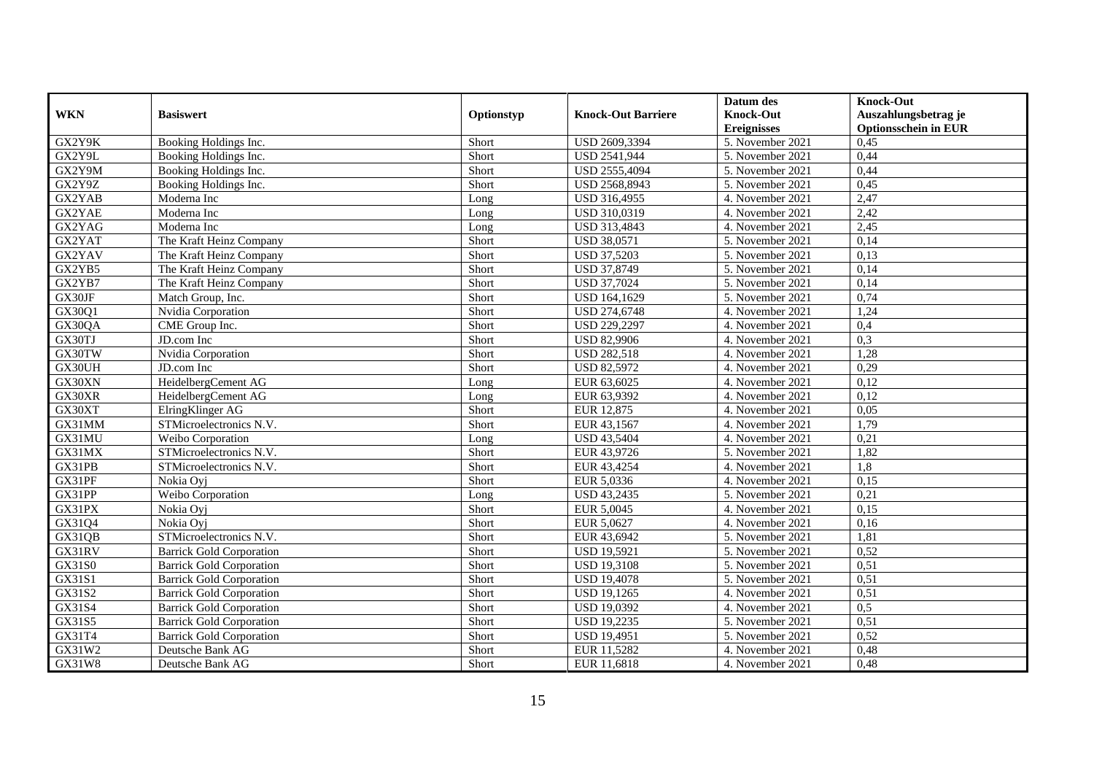|            |                                 |            |                           | Datum des          | <b>Knock-Out</b>            |
|------------|---------------------------------|------------|---------------------------|--------------------|-----------------------------|
| <b>WKN</b> | <b>Basiswert</b>                | Optionstyp | <b>Knock-Out Barriere</b> | <b>Knock-Out</b>   | Auszahlungsbetrag je        |
|            |                                 |            |                           | <b>Ereignisses</b> | <b>Optionsschein in EUR</b> |
| GX2Y9K     | Booking Holdings Inc.           | Short      | USD 2609,3394             | 5. November 2021   | 0,45                        |
| GX2Y9L     | Booking Holdings Inc.           | Short      | <b>USD 2541,944</b>       | 5. November 2021   | 0,44                        |
| GX2Y9M     | Booking Holdings Inc.           | Short      | USD 2555,4094             | 5. November 2021   | 0,44                        |
| GX2Y9Z     | Booking Holdings Inc.           | Short      | USD 2568,8943             | 5. November 2021   | 0,45                        |
| GX2YAB     | Moderna Inc                     | Long       | USD 316,4955              | 4. November 2021   | 2,47                        |
| GX2YAE     | Moderna Inc                     | Long       | USD 310,0319              | 4. November 2021   | 2,42                        |
| GX2YAG     | Moderna Inc                     | Long       | USD 313,4843              | 4. November 2021   | 2,45                        |
| GX2YAT     | The Kraft Heinz Company         | Short      | <b>USD 38,0571</b>        | 5. November 2021   | 0,14                        |
| GX2YAV     | The Kraft Heinz Company         | Short      | <b>USD 37,5203</b>        | 5. November 2021   | 0,13                        |
| GX2YB5     | The Kraft Heinz Company         | Short      | USD 37,8749               | 5. November 2021   | 0,14                        |
| GX2YB7     | The Kraft Heinz Company         | Short      | <b>USD 37,7024</b>        | 5. November 2021   | 0,14                        |
| GX30JF     | Match Group, Inc.               | Short      | USD 164,1629              | 5. November 2021   | 0,74                        |
| GX30Q1     | Nvidia Corporation              | Short      | USD 274,6748              | 4. November 2021   | 1,24                        |
| GX30QA     | CME Group Inc.                  | Short      | USD 229,2297              | 4. November 2021   | 0,4                         |
| GX30TJ     | JD.com Inc                      | Short      | <b>USD 82,9906</b>        | 4. November 2021   | 0,3                         |
| GX30TW     | Nvidia Corporation              | Short      | <b>USD 282,518</b>        | 4. November 2021   | 1,28                        |
| GX30UH     | JD.com Inc                      | Short      | <b>USD 82,5972</b>        | 4. November 2021   | 0,29                        |
| GX30XN     | HeidelbergCement AG             | Long       | EUR 63,6025               | 4. November 2021   | 0,12                        |
| GX30XR     | HeidelbergCement AG             | Long       | EUR 63,9392               | 4. November 2021   | 0,12                        |
| GX30XT     | ElringKlinger AG                | Short      | EUR 12,875                | 4. November 2021   | 0,05                        |
| GX31MM     | STMicroelectronics N.V.         | Short      | EUR 43,1567               | 4. November 2021   | 1,79                        |
| GX31MU     | Weibo Corporation               | Long       | <b>USD 43,5404</b>        | 4. November 2021   | 0,21                        |
| GX31MX     | STMicroelectronics N.V.         | Short      | EUR 43,9726               | 5. November 2021   | 1,82                        |
| GX31PB     | STMicroelectronics N.V.         | Short      | EUR 43,4254               | 4. November 2021   | 1,8                         |
| GX31PF     | Nokia Ovi                       | Short      | EUR 5,0336                | 4. November 2021   | 0,15                        |
| GX31PP     | Weibo Corporation               | Long       | USD 43,2435               | 5. November 2021   | 0,21                        |
| GX31PX     | Nokia Oyj                       | Short      | EUR 5,0045                | 4. November 2021   | 0,15                        |
| GX31Q4     | Nokia Ovi                       | Short      | EUR 5,0627                | 4. November 2021   | 0,16                        |
| GX31QB     | STMicroelectronics N.V.         | Short      | EUR 43,6942               | 5. November 2021   | 1,81                        |
| GX31RV     | <b>Barrick Gold Corporation</b> | Short      | <b>USD 19,5921</b>        | 5. November 2021   | 0,52                        |
| GX31S0     | <b>Barrick Gold Corporation</b> | Short      | <b>USD 19,3108</b>        | 5. November 2021   | 0,51                        |
| GX31S1     | <b>Barrick Gold Corporation</b> | Short      | <b>USD 19,4078</b>        | 5. November 2021   | 0,51                        |
| GX31S2     | <b>Barrick Gold Corporation</b> | Short      | <b>USD 19,1265</b>        | 4. November 2021   | 0,51                        |
| GX31S4     | <b>Barrick Gold Corporation</b> | Short      | <b>USD 19,0392</b>        | 4. November 2021   | 0,5                         |
| GX31S5     | <b>Barrick Gold Corporation</b> | Short      | <b>USD 19,2235</b>        | 5. November 2021   | 0,51                        |
| GX31T4     | <b>Barrick Gold Corporation</b> | Short      | <b>USD 19,4951</b>        | 5. November 2021   | 0,52                        |
| GX31W2     | Deutsche Bank AG                | Short      | EUR 11,5282               | 4. November 2021   | 0,48                        |
| GX31W8     | Deutsche Bank AG                | Short      | EUR 11,6818               | 4. November 2021   | 0,48                        |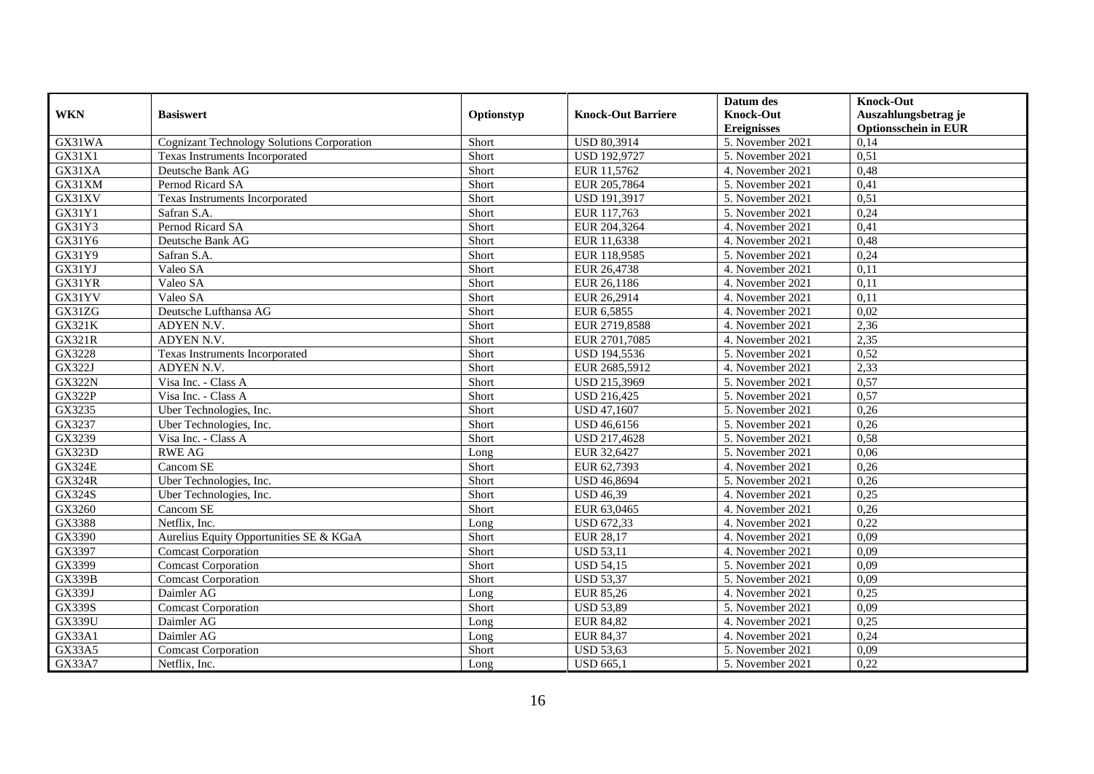|               |                                                   |            |                           | Datum des          | <b>Knock-Out</b>            |
|---------------|---------------------------------------------------|------------|---------------------------|--------------------|-----------------------------|
| <b>WKN</b>    | <b>Basiswert</b>                                  | Optionstyp | <b>Knock-Out Barriere</b> | <b>Knock-Out</b>   | Auszahlungsbetrag je        |
|               |                                                   |            |                           | <b>Ereignisses</b> | <b>Optionsschein in EUR</b> |
| GX31WA        | <b>Cognizant Technology Solutions Corporation</b> | Short      | <b>USD 80,3914</b>        | 5. November 2021   | 0,14                        |
| GX31X1        | Texas Instruments Incorporated                    | Short      | <b>USD 192,9727</b>       | 5. November 2021   | 0,51                        |
| GX31XA        | Deutsche Bank AG                                  | Short      | EUR 11,5762               | 4. November 2021   | 0,48                        |
| GX31XM        | Pernod Ricard SA                                  | Short      | EUR 205,7864              | 5. November 2021   | 0,41                        |
| GX31XV        | Texas Instruments Incorporated                    | Short      | <b>USD 191,3917</b>       | 5. November 2021   | 0,51                        |
| GX31Y1        | Safran S.A.                                       | Short      | EUR 117,763               | 5. November 2021   | 0,24                        |
| GX31Y3        | Pernod Ricard SA                                  | Short      | EUR 204,3264              | 4. November 2021   | 0,41                        |
| GX31Y6        | Deutsche Bank AG                                  | Short      | EUR 11,6338               | 4. November 2021   | 0,48                        |
| GX31Y9        | Safran S.A.                                       | Short      | EUR 118,9585              | 5. November 2021   | 0,24                        |
| GX31YJ        | Valeo SA                                          | Short      | EUR 26,4738               | 4. November 2021   | 0,11                        |
| GX31YR        | Valeo SA                                          | Short      | EUR 26,1186               | 4. November 2021   | 0,11                        |
| GX31YV        | Valeo SA                                          | Short      | EUR 26,2914               | 4. November 2021   | 0,11                        |
| GX31ZG        | Deutsche Lufthansa AG                             | Short      | EUR 6,5855                | 4. November 2021   | 0,02                        |
| GX321K        | ADYEN N.V.                                        | Short      | EUR 2719,8588             | 4. November 2021   | 2,36                        |
| <b>GX321R</b> | ADYEN N.V.                                        | Short      | EUR 2701,7085             | 4. November 2021   | 2,35                        |
| GX3228        | Texas Instruments Incorporated                    | Short      | USD 194,5536              | 5. November 2021   | 0,52                        |
| GX322J        | ADYEN N.V.                                        | Short      | EUR 2685,5912             | 4. November 2021   | 2,33                        |
| <b>GX322N</b> | Visa Inc. - Class A                               | Short      | <b>USD 215.3969</b>       | 5. November 2021   | 0,57                        |
| <b>GX322P</b> | Visa Inc. - Class A                               | Short      | <b>USD 216,425</b>        | 5. November 2021   | 0,57                        |
| GX3235        | Uber Technologies, Inc.                           | Short      | USD 47,1607               | 5. November 2021   | 0,26                        |
| GX3237        | Uber Technologies, Inc.                           | Short      | USD 46,6156               | 5. November 2021   | 0,26                        |
| GX3239        | Visa Inc. - Class A                               | Short      | USD 217,4628              | 5. November 2021   | 0,58                        |
| <b>GX323D</b> | <b>RWE AG</b>                                     | Long       | EUR 32,6427               | 5. November 2021   | 0,06                        |
| <b>GX324E</b> | Cancom SE                                         | Short      | EUR 62,7393               | 4. November 2021   | 0,26                        |
| <b>GX324R</b> | Uber Technologies, Inc.                           | Short      | <b>USD 46,8694</b>        | 5. November 2021   | 0,26                        |
| <b>GX324S</b> | Uber Technologies, Inc.                           | Short      | <b>USD 46,39</b>          | 4. November 2021   | 0,25                        |
| GX3260        | Cancom SE                                         | Short      | EUR 63,0465               | 4. November 2021   | 0,26                        |
| GX3388        | Netflix, Inc.                                     | Long       | <b>USD 672,33</b>         | 4. November 2021   | 0,22                        |
| GX3390        | Aurelius Equity Opportunities SE & KGaA           | Short      | <b>EUR 28,17</b>          | 4. November 2021   | 0,09                        |
| GX3397        | <b>Comcast Corporation</b>                        | Short      | <b>USD 53,11</b>          | 4. November 2021   | 0,09                        |
| GX3399        | <b>Comcast Corporation</b>                        | Short      | <b>USD 54,15</b>          | 5. November 2021   | 0,09                        |
| <b>GX339B</b> | <b>Comcast Corporation</b>                        | Short      | <b>USD 53,37</b>          | 5. November 2021   | 0,09                        |
| GX339J        | Daimler AG                                        | Long       | <b>EUR 85,26</b>          | 4. November 2021   | 0,25                        |
| <b>GX339S</b> | <b>Comcast Corporation</b>                        | Short      | <b>USD 53,89</b>          | 5. November 2021   | 0,09                        |
| <b>GX339U</b> | Daimler AG                                        | Long       | <b>EUR 84,82</b>          | 4. November 2021   | 0,25                        |
| GX33A1        | Daimler AG                                        | Long       | <b>EUR 84,37</b>          | 4. November 2021   | 0,24                        |
| GX33A5        | <b>Comcast Corporation</b>                        | Short      | <b>USD 53,63</b>          | 5. November 2021   | 0,09                        |
| GX33A7        | Netflix, Inc.                                     | Long       | <b>USD 665,1</b>          | 5. November 2021   | 0,22                        |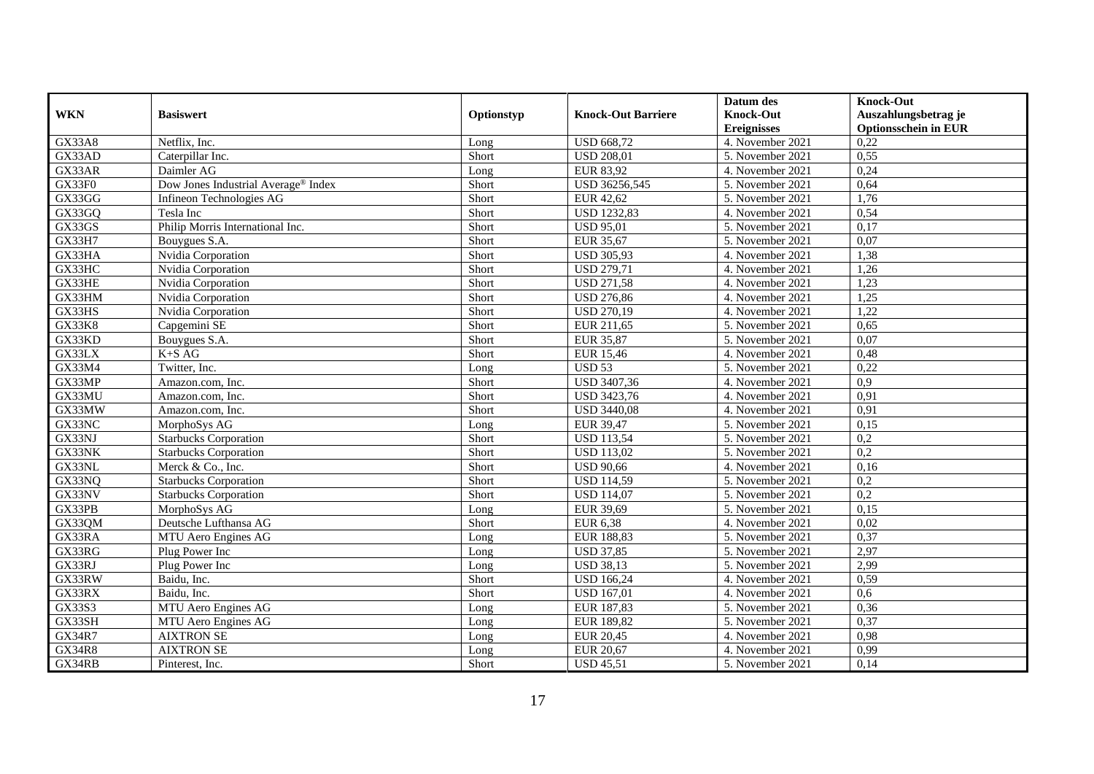|               |                                                 |            |                           | Datum des          | <b>Knock-Out</b>            |
|---------------|-------------------------------------------------|------------|---------------------------|--------------------|-----------------------------|
| <b>WKN</b>    | <b>Basiswert</b>                                | Optionstyp | <b>Knock-Out Barriere</b> | <b>Knock-Out</b>   | Auszahlungsbetrag je        |
|               |                                                 |            |                           | <b>Ereignisses</b> | <b>Optionsschein in EUR</b> |
| <b>GX33A8</b> | Netflix, Inc.                                   | Long       | <b>USD 668,72</b>         | 4. November 2021   | 0,22                        |
| GX33AD        | Caterpillar Inc.                                | Short      | <b>USD 208,01</b>         | 5. November 2021   | 0,55                        |
| GX33AR        | Daimler AG                                      | Long       | EUR 83,92                 | 4. November 2021   | 0,24                        |
| GX33F0        | Dow Jones Industrial Average <sup>®</sup> Index | Short      | USD 36256,545             | 5. November 2021   | 0,64                        |
| GX33GG        | Infineon Technologies AG                        | Short      | <b>EUR 42,62</b>          | 5. November 2021   | 1,76                        |
| GX33GQ        | Tesla Inc                                       | Short      | <b>USD 1232,83</b>        | 4. November 2021   | 0,54                        |
| GX33GS        | Philip Morris International Inc.                | Short      | <b>USD 95,01</b>          | 5. November 2021   | 0,17                        |
| <b>GX33H7</b> | Bouygues S.A.                                   | Short      | EUR 35,67                 | 5. November 2021   | 0,07                        |
| GX33HA        | Nvidia Corporation                              | Short      | <b>USD 305,93</b>         | 4. November 2021   | 1,38                        |
| GX33HC        | Nvidia Corporation                              | Short      | <b>USD 279,71</b>         | 4. November 2021   | 1,26                        |
| GX33HE        | Nvidia Corporation                              | Short      | <b>USD 271,58</b>         | 4. November 2021   | 1,23                        |
| GX33HM        | Nvidia Corporation                              | Short      | <b>USD 276,86</b>         | 4. November 2021   | 1,25                        |
| GX33HS        | Nvidia Corporation                              | Short      | <b>USD 270,19</b>         | 4. November 2021   | 1,22                        |
| <b>GX33K8</b> | Capgemini SE                                    | Short      | EUR 211,65                | 5. November 2021   | 0,65                        |
| GX33KD        | Bouygues S.A.                                   | Short      | <b>EUR 35,87</b>          | 5. November 2021   | 0,07                        |
| GX33LX        | $K\text{+}S$ AG                                 | Short      | EUR 15,46                 | 4. November 2021   | 0,48                        |
| GX33M4        | Twitter, Inc.                                   | Long       | <b>USD 53</b>             | 5. November 2021   | 0,22                        |
| GX33MP        | Amazon.com. Inc.                                | Short      | USD 3407,36               | 4. November 2021   | 0,9                         |
| GX33MU        | Amazon.com. Inc.                                | Short      | <b>USD 3423,76</b>        | 4. November 2021   | 0,91                        |
| GX33MW        | Amazon.com, Inc.                                | Short      | <b>USD 3440,08</b>        | 4. November 2021   | 0,91                        |
| GX33NC        | MorphoSys AG                                    | Long       | <b>EUR 39,47</b>          | 5. November 2021   | 0,15                        |
| GX33NJ        | <b>Starbucks Corporation</b>                    | Short      | <b>USD 113,54</b>         | 5. November 2021   | 0,2                         |
| GX33NK        | <b>Starbucks Corporation</b>                    | Short      | <b>USD 113,02</b>         | 5. November 2021   | $\overline{0.2}$            |
| GX33NL        | Merck & Co., Inc.                               | Short      | <b>USD 90,66</b>          | 4. November 2021   | 0,16                        |
| GX33NQ        | <b>Starbucks Corporation</b>                    | Short      | <b>USD 114,59</b>         | 5. November 2021   | 0,2                         |
| GX33NV        | <b>Starbucks Corporation</b>                    | Short      | <b>USD 114,07</b>         | 5. November 2021   | 0,2                         |
| GX33PB        | MorphoSys AG                                    | Long       | EUR 39,69                 | 5. November 2021   | 0,15                        |
| GX33QM        | Deutsche Lufthansa AG                           | Short      | <b>EUR 6,38</b>           | 4. November 2021   | 0,02                        |
| GX33RA        | MTU Aero Engines AG                             | Long       | <b>EUR 188,83</b>         | 5. November 2021   | 0,37                        |
| GX33RG        | Plug Power Inc                                  | Long       | <b>USD 37,85</b>          | 5. November 2021   | 2,97                        |
| GX33RJ        | Plug Power Inc                                  | Long       | <b>USD 38,13</b>          | 5. November 2021   | 2,99                        |
| GX33RW        | Baidu, Inc.                                     | Short      | <b>USD 166,24</b>         | 4. November 2021   | 0,59                        |
| GX33RX        | Baidu, Inc.                                     | Short      | <b>USD 167,01</b>         | 4. November 2021   | 0,6                         |
| GX33S3        | MTU Aero Engines AG                             | Long       | EUR 187,83                | 5. November 2021   | 0,36                        |
| GX33SH        | MTU Aero Engines AG                             | Long       | EUR 189,82                | 5. November 2021   | 0,37                        |
| GX34R7        | <b>AIXTRON SE</b>                               | Long       | <b>EUR 20,45</b>          | 4. November 2021   | 0,98                        |
| <b>GX34R8</b> | <b>AIXTRON SE</b>                               | Long       | <b>EUR 20,67</b>          | 4. November 2021   | 0,99                        |
| GX34RB        | Pinterest, Inc.                                 | Short      | <b>USD 45,51</b>          | 5. November 2021   | 0,14                        |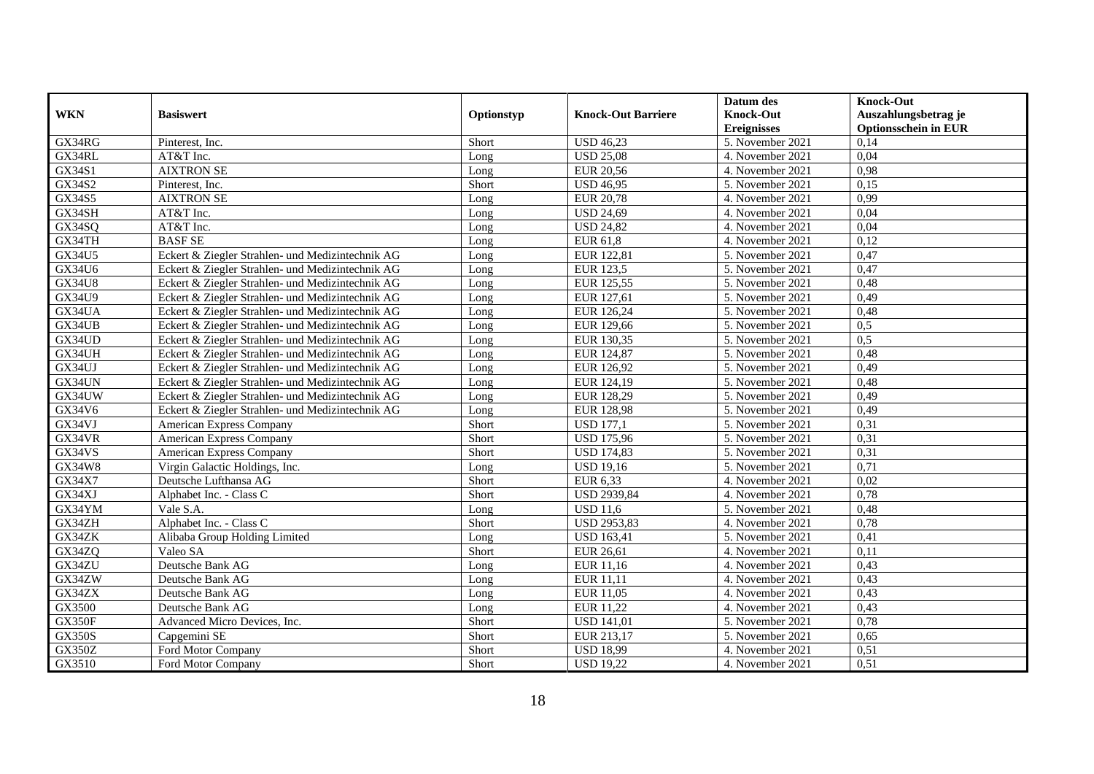|                     |                                                  |            |                           | Datum des          | <b>Knock-Out</b>            |
|---------------------|--------------------------------------------------|------------|---------------------------|--------------------|-----------------------------|
| <b>WKN</b>          | <b>Basiswert</b>                                 | Optionstyp | <b>Knock-Out Barriere</b> | <b>Knock-Out</b>   | Auszahlungsbetrag je        |
|                     |                                                  |            |                           | <b>Ereignisses</b> | <b>Optionsschein in EUR</b> |
| GX34RG              | Pinterest, Inc.                                  | Short      | <b>USD 46,23</b>          | 5. November 2021   | 0,14                        |
| GX34RL              | AT&T Inc.                                        | Long       | <b>USD 25,08</b>          | 4. November 2021   | 0,04                        |
| GX34S1              | <b>AIXTRON SE</b>                                | Long       | <b>EUR 20,56</b>          | 4. November 2021   | 0,98                        |
| GX34S2              | Pinterest, Inc.                                  | Short      | <b>USD 46,95</b>          | 5. November 2021   | 0,15                        |
| GX34S5              | <b>AIXTRON SE</b>                                | Long       | <b>EUR 20,78</b>          | 4. November 2021   | 0,99                        |
| GX34SH              | AT&T Inc.                                        | Long       | <b>USD 24,69</b>          | 4. November 2021   | 0,04                        |
| GX34SQ              | AT&T Inc.                                        | Long       | <b>USD 24,82</b>          | 4. November 2021   | 0,04                        |
| GX34TH              | <b>BASF SE</b>                                   | Long       | EUR 61,8                  | 4. November 2021   | 0,12                        |
| GX34U5              | Eckert & Ziegler Strahlen- und Medizintechnik AG | Long       | EUR 122,81                | 5. November 2021   | 0,47                        |
| GX34U6              | Eckert & Ziegler Strahlen- und Medizintechnik AG | Long       | <b>EUR 123,5</b>          | 5. November 2021   | 0,47                        |
| <b>GX34U8</b>       | Eckert & Ziegler Strahlen- und Medizintechnik AG | Long       | EUR 125,55                | 5. November 2021   | 0,48                        |
| GX34U9              | Eckert & Ziegler Strahlen- und Medizintechnik AG | Long       | EUR 127,61                | 5. November 2021   | 0,49                        |
| GX34UA              | Eckert & Ziegler Strahlen- und Medizintechnik AG | Long       | EUR 126,24                | 5. November 2021   | 0,48                        |
| GX34UB              | Eckert & Ziegler Strahlen- und Medizintechnik AG | Long       | EUR 129,66                | 5. November 2021   | 0,5                         |
| GX34UD              | Eckert & Ziegler Strahlen- und Medizintechnik AG | Long       | EUR 130,35                | 5. November 2021   | 0.5                         |
| GX34UH              | Eckert & Ziegler Strahlen- und Medizintechnik AG | Long       | EUR 124,87                | 5. November 2021   | 0,48                        |
| $GX34\overline{UJ}$ | Eckert & Ziegler Strahlen- und Medizintechnik AG | Long       | EUR 126,92                | 5. November 2021   | 0,49                        |
| GX34UN              | Eckert & Ziegler Strahlen- und Medizintechnik AG | Long       | EUR 124,19                | 5. November 2021   | 0,48                        |
| GX34UW              | Eckert & Ziegler Strahlen- und Medizintechnik AG | Long       | EUR 128,29                | 5. November 2021   | 0,49                        |
| GX34V6              | Eckert & Ziegler Strahlen- und Medizintechnik AG | Long       | <b>EUR 128,98</b>         | 5. November 2021   | 0,49                        |
| GX34VJ              | American Express Company                         | Short      | <b>USD 177,1</b>          | 5. November 2021   | 0,31                        |
| GX34VR              | American Express Company                         | Short      | <b>USD 175,96</b>         | 5. November 2021   | 0,31                        |
| GX34VS              | American Express Company                         | Short      | <b>USD 174,83</b>         | 5. November 2021   | 0,31                        |
| GX34W8              | Virgin Galactic Holdings, Inc.                   | Long       | <b>USD 19,16</b>          | 5. November 2021   | 0,71                        |
| GX34X7              | Deutsche Lufthansa AG                            | Short      | EUR 6,33                  | 4. November 2021   | 0,02                        |
| GX34XJ              | Alphabet Inc. - Class C                          | Short      | <b>USD 2939,84</b>        | 4. November 2021   | 0,78                        |
| GX34YM              | Vale S.A.                                        | Long       | <b>USD 11,6</b>           | 5. November 2021   | 0,48                        |
| GX34ZH              | Alphabet Inc. - Class C                          | Short      | <b>USD 2953,83</b>        | 4. November 2021   | 0,78                        |
| GX34ZK              | Alibaba Group Holding Limited                    | Long       | <b>USD 163,41</b>         | 5. November 2021   | 0,41                        |
| GX34ZQ              | Valeo SA                                         | Short      | EUR 26,61                 | 4. November 2021   | 0,11                        |
| GX34ZU              | Deutsche Bank AG                                 | Long       | EUR 11,16                 | 4. November 2021   | 0,43                        |
| GX34ZW              | Deutsche Bank AG                                 | Long       | EUR 11,11                 | 4. November 2021   | 0,43                        |
| GX34ZX              | Deutsche Bank AG                                 | Long       | EUR 11,05                 | 4. November 2021   | 0,43                        |
| GX3500              | Deutsche Bank AG                                 | Long       | EUR 11,22                 | 4. November 2021   | 0,43                        |
| <b>GX350F</b>       | Advanced Micro Devices, Inc.                     | Short      | <b>USD 141,01</b>         | 5. November 2021   | 0,78                        |
| <b>GX350S</b>       | Capgemini SE                                     | Short      | EUR 213,17                | 5. November 2021   | 0,65                        |
| <b>GX350Z</b>       | Ford Motor Company                               | Short      | <b>USD 18,99</b>          | 4. November 2021   | 0,51                        |
| GX3510              | Ford Motor Company                               | Short      | <b>USD 19,22</b>          | 4. November 2021   | 0,51                        |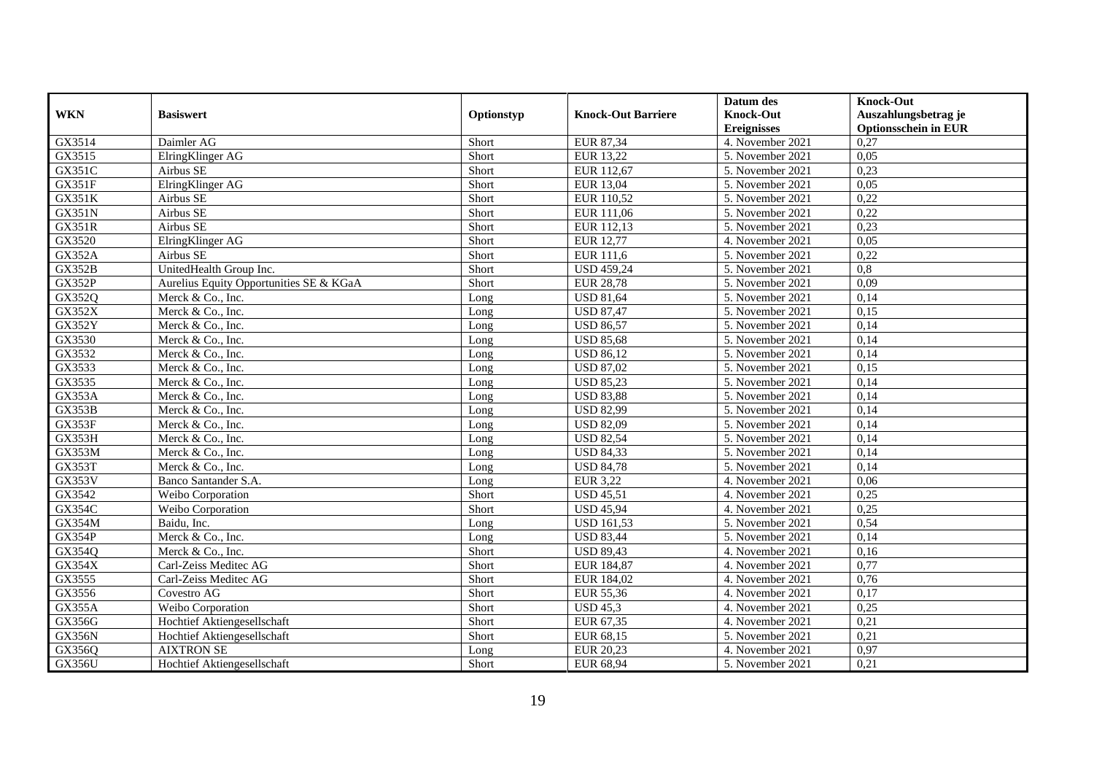|               |                                         |            |                           | Datum des          | <b>Knock-Out</b>            |
|---------------|-----------------------------------------|------------|---------------------------|--------------------|-----------------------------|
| <b>WKN</b>    | <b>Basiswert</b>                        | Optionstyp | <b>Knock-Out Barriere</b> | <b>Knock-Out</b>   | Auszahlungsbetrag je        |
|               |                                         |            |                           | <b>Ereignisses</b> | <b>Optionsschein in EUR</b> |
| GX3514        | Daimler AG                              | Short      | EUR 87,34                 | 4. November 2021   | 0,27                        |
| GX3515        | ElringKlinger AG                        | Short      | <b>EUR 13,22</b>          | 5. November 2021   | 0,05                        |
| GX351C        | Airbus SE                               | Short      | EUR 112,67                | 5. November 2021   | 0,23                        |
| <b>GX351F</b> | ElringKlinger AG                        | Short      | EUR 13,04                 | 5. November 2021   | 0,05                        |
| GX351K        | Airbus SE                               | Short      | EUR 110,52                | 5. November 2021   | 0,22                        |
| <b>GX351N</b> | Airbus SE                               | Short      | EUR 111,06                | 5. November 2021   | 0,22                        |
| <b>GX351R</b> | Airbus SE                               | Short      | EUR 112,13                | 5. November 2021   | 0,23                        |
| GX3520        | ElringKlinger AG                        | Short      | <b>EUR 12,77</b>          | 4. November 2021   | 0.05                        |
| <b>GX352A</b> | Airbus SE                               | Short      | EUR 111,6                 | 5. November 2021   | 0,22                        |
| <b>GX352B</b> | UnitedHealth Group Inc.                 | Short      | <b>USD 459,24</b>         | 5. November 2021   | 0,8                         |
| <b>GX352P</b> | Aurelius Equity Opportunities SE & KGaA | Short      | <b>EUR 28,78</b>          | 5. November 2021   | 0,09                        |
| GX352Q        | Merck & Co., Inc.                       | Long       | <b>USD 81,64</b>          | 5. November 2021   | 0,14                        |
| <b>GX352X</b> | Merck & Co., Inc.                       | Long       | <b>USD 87,47</b>          | 5. November 2021   | 0,15                        |
| <b>GX352Y</b> | Merck & Co., Inc.                       | Long       | <b>USD 86,57</b>          | 5. November 2021   | 0,14                        |
| GX3530        | Merck & Co., Inc.                       | Long       | <b>USD 85,68</b>          | 5. November 2021   | 0,14                        |
| GX3532        | Merck & Co., Inc.                       | Long       | <b>USD 86,12</b>          | 5. November 2021   | 0,14                        |
| GX3533        | Merck & Co., Inc.                       | Long       | <b>USD 87,02</b>          | 5. November 2021   | 0,15                        |
| GX3535        | Merck & Co., Inc.                       | Long       | <b>USD 85,23</b>          | 5. November 2021   | 0,14                        |
| GX353A        | Merck & Co., Inc.                       | Long       | <b>USD 83,88</b>          | 5. November 2021   | 0,14                        |
| GX353B        | Merck & Co., Inc.                       | Long       | <b>USD 82,99</b>          | 5. November 2021   | 0,14                        |
| GX353F        | Merck & Co., Inc.                       | Long       | <b>USD 82,09</b>          | 5. November 2021   | 0,14                        |
| GX353H        | Merck & Co., Inc.                       | Long       | <b>USD 82,54</b>          | 5. November 2021   | 0,14                        |
| GX353M        | Merck & Co., Inc.                       | Long       | <b>USD 84,33</b>          | 5. November 2021   | 0,14                        |
| GX353T        | Merck & Co., Inc.                       | Long       | <b>USD 84,78</b>          | 5. November 2021   | 0,14                        |
| GX353V        | Banco Santander S.A.                    | Long       | <b>EUR 3,22</b>           | 4. November 2021   | 0,06                        |
| GX3542        | Weibo Corporation                       | Short      | <b>USD 45,51</b>          | 4. November 2021   | 0,25                        |
| <b>GX354C</b> | Weibo Corporation                       | Short      | <b>USD 45,94</b>          | 4. November 2021   | 0,25                        |
| <b>GX354M</b> | Baidu, Inc.                             | Long       | <b>USD 161,53</b>         | 5. November 2021   | 0,54                        |
| <b>GX354P</b> | Merck & Co., Inc.                       | Long       | <b>USD 83,44</b>          | 5. November 2021   | 0,14                        |
| GX354Q        | Merck & Co., Inc.                       | Short      | <b>USD 89,43</b>          | 4. November 2021   | 0,16                        |
| GX354X        | Carl-Zeiss Meditec AG                   | Short      | EUR 184,87                | 4. November 2021   | 0,77                        |
| GX3555        | Carl-Zeiss Meditec AG                   | Short      | EUR 184,02                | 4. November 2021   | 0,76                        |
| GX3556        | Covestro AG                             | Short      | EUR 55,36                 | 4. November 2021   | 0,17                        |
| GX355A        | Weibo Corporation                       | Short      | <b>USD 45.3</b>           | 4. November 2021   | 0,25                        |
| GX356G        | Hochtief Aktiengesellschaft             | Short      | EUR 67,35                 | 4. November 2021   | 0,21                        |
| <b>GX356N</b> | Hochtief Aktiengesellschaft             | Short      | EUR 68,15                 | 5. November 2021   | 0,21                        |
| GX356Q        | <b>AIXTRON SE</b>                       | Long       | <b>EUR 20,23</b>          | 4. November 2021   | 0,97                        |
| <b>GX356U</b> | Hochtief Aktiengesellschaft             | Short      | EUR 68,94                 | 5. November 2021   | 0,21                        |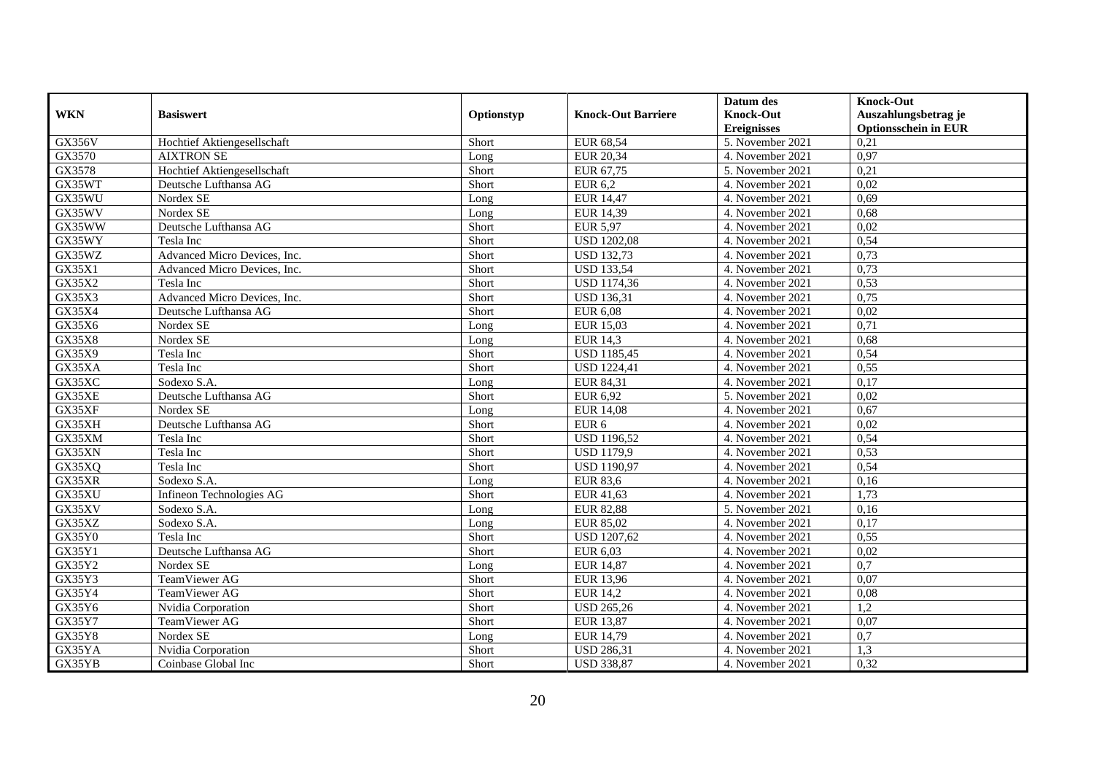|               |                              |            |                           | Datum des          | <b>Knock-Out</b>            |
|---------------|------------------------------|------------|---------------------------|--------------------|-----------------------------|
| <b>WKN</b>    | <b>Basiswert</b>             | Optionstyp | <b>Knock-Out Barriere</b> | <b>Knock-Out</b>   | Auszahlungsbetrag je        |
|               |                              |            |                           | <b>Ereignisses</b> | <b>Optionsschein in EUR</b> |
| <b>GX356V</b> | Hochtief Aktiengesellschaft  | Short      | EUR 68,54                 | 5. November 2021   | 0,21                        |
| GX3570        | <b>AIXTRON SE</b>            | Long       | <b>EUR 20,34</b>          | 4. November 2021   | 0,97                        |
| GX3578        | Hochtief Aktiengesellschaft  | Short      | EUR 67,75                 | 5. November 2021   | 0,21                        |
| GX35WT        | Deutsche Lufthansa AG        | Short      | <b>EUR 6,2</b>            | 4. November 2021   | 0,02                        |
| GX35WU        | Nordex SE                    | Long       | <b>EUR 14,47</b>          | 4. November 2021   | 0,69                        |
| GX35WV        | Nordex SE                    | Long       | <b>EUR 14,39</b>          | 4. November 2021   | 0,68                        |
| GX35WW        | Deutsche Lufthansa AG        | Short      | <b>EUR 5,97</b>           | 4. November 2021   | 0,02                        |
| GX35WY        | Tesla Inc                    | Short      | <b>USD 1202,08</b>        | 4. November 2021   | 0,54                        |
| GX35WZ        | Advanced Micro Devices, Inc. | Short      | <b>USD 132,73</b>         | 4. November 2021   | 0,73                        |
| GX35X1        | Advanced Micro Devices, Inc. | Short      | <b>USD 133,54</b>         | 4. November 2021   | 0,73                        |
| GX35X2        | Tesla Inc                    | Short      | <b>USD 1174,36</b>        | 4. November 2021   | 0,53                        |
| GX35X3        | Advanced Micro Devices, Inc. | Short      | <b>USD 136,31</b>         | 4. November 2021   | 0,75                        |
| GX35X4        | Deutsche Lufthansa AG        | Short      | <b>EUR 6,08</b>           | 4. November 2021   | 0,02                        |
| GX35X6        | Nordex SE                    | Long       | <b>EUR 15,03</b>          | 4. November 2021   | 0,71                        |
| GX35X8        | Nordex SE                    | Long       | <b>EUR 14,3</b>           | 4. November 2021   | 0.68                        |
| GX35X9        | Tesla Inc                    | Short      | <b>USD 1185,45</b>        | 4. November 2021   | 0,54                        |
| GX35XA        | Tesla Inc                    | Short      | <b>USD 1224,41</b>        | 4. November 2021   | 0,55                        |
| GX35XC        | Sodexo S.A.                  | Long       | EUR 84,31                 | 4. November 2021   | 0,17                        |
| GX35XE        | Deutsche Lufthansa AG        | Short      | EUR 6,92                  | 5. November 2021   | 0,02                        |
| GX35XF        | Nordex SE                    | Long       | <b>EUR 14,08</b>          | 4. November 2021   | 0,67                        |
| GX35XH        | Deutsche Lufthansa AG        | Short      | EUR <sub>6</sub>          | 4. November 2021   | 0,02                        |
| GX35XM        | Tesla Inc                    | Short      | <b>USD</b> 1196,52        | 4. November 2021   | 0,54                        |
| GX35XN        | Tesla Inc                    | Short      | <b>USD 1179,9</b>         | 4. November 2021   | 0,53                        |
| GX35XQ        | Tesla Inc                    | Short      | <b>USD 1190,97</b>        | 4. November 2021   | 0,54                        |
| GX35XR        | Sodexo S.A.                  | Long       | <b>EUR 83,6</b>           | 4. November 2021   | 0,16                        |
| GX35XU        | Infineon Technologies AG     | Short      | EUR 41,63                 | 4. November 2021   | 1,73                        |
| GX35XV        | Sodexo S.A.                  | Long       | <b>EUR 82,88</b>          | 5. November 2021   | 0,16                        |
| GX35XZ        | Sodexo S.A.                  | Long       | EUR 85,02                 | 4. November 2021   | 0,17                        |
| GX35Y0        | Tesla Inc                    | Short      | <b>USD 1207,62</b>        | 4. November 2021   | 0,55                        |
| GX35Y1        | Deutsche Lufthansa AG        | Short      | EUR 6,03                  | 4. November 2021   | 0,02                        |
| GX35Y2        | Nordex SE                    | Long       | <b>EUR 14,87</b>          | 4. November 2021   | 0,7                         |
| GX35Y3        | TeamViewer AG                | Short      | <b>EUR 13,96</b>          | 4. November 2021   | 0.07                        |
| GX35Y4        | TeamViewer AG                | Short      | <b>EUR 14,2</b>           | 4. November 2021   | 0,08                        |
| GX35Y6        | Nvidia Corporation           | Short      | <b>USD 265,26</b>         | 4. November 2021   | 1,2                         |
| GX35Y7        | TeamViewer AG                | Short      | <b>EUR 13,87</b>          | 4. November 2021   | 0.07                        |
| GX35Y8        | Nordex SE                    | Long       | <b>EUR 14,79</b>          | 4. November 2021   | 0,7                         |
| GX35YA        | Nvidia Corporation           | Short      | <b>USD 286,31</b>         | 4. November 2021   | 1,3                         |
| GX35YB        | Coinbase Global Inc          | Short      | <b>USD 338,87</b>         | 4. November 2021   | 0,32                        |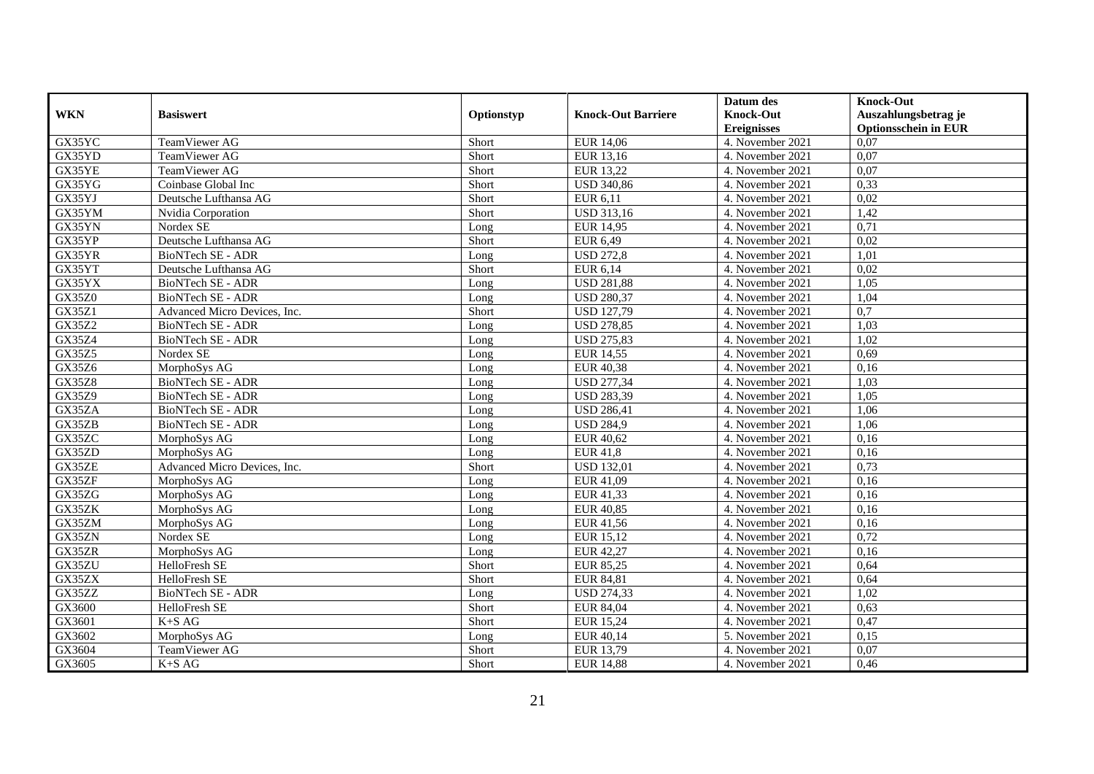|                     |                              |            |                           | Datum des          | <b>Knock-Out</b>            |
|---------------------|------------------------------|------------|---------------------------|--------------------|-----------------------------|
| <b>WKN</b>          | <b>Basiswert</b>             | Optionstyp | <b>Knock-Out Barriere</b> | <b>Knock-Out</b>   | Auszahlungsbetrag je        |
|                     |                              |            |                           | <b>Ereignisses</b> | <b>Optionsschein in EUR</b> |
| GX35YC              | TeamViewer AG                | Short      | <b>EUR 14,06</b>          | 4. November 2021   | 0.07                        |
| GX35YD              | TeamViewer AG                | Short      | EUR 13,16                 | 4. November 2021   | $0,\overline{07}$           |
| GX35YE              | TeamViewer AG                | Short      | EUR 13,22                 | 4. November 2021   | 0,07                        |
| GX35YG              | Coinbase Global Inc          | Short      | <b>USD 340,86</b>         | 4. November 2021   | 0,33                        |
| GX35YJ              | Deutsche Lufthansa AG        | Short      | EUR 6,11                  | 4. November 2021   | 0,02                        |
| GX35YM              | Nvidia Corporation           | Short      | USD 313,16                | 4. November 2021   | 1,42                        |
| GX35YN              | Nordex SE                    | Long       | EUR 14,95                 | 4. November 2021   | 0,71                        |
| GX35YP              | Deutsche Lufthansa AG        | Short      | EUR 6,49                  | 4. November 2021   | 0,02                        |
| GX35YR              | <b>BioNTech SE - ADR</b>     | Long       | <b>USD 272,8</b>          | 4. November 2021   | 1,01                        |
| GX35YT              | Deutsche Lufthansa AG        | Short      | EUR 6,14                  | 4. November 2021   | 0,02                        |
| GX35YX              | BioNTech SE - ADR            | Long       | <b>USD 281,88</b>         | 4. November 2021   | 1,05                        |
| <b>GX35Z0</b>       | <b>BioNTech SE - ADR</b>     | Long       | <b>USD 280,37</b>         | 4. November 2021   | 1,04                        |
| $G\overline{X35Z1}$ | Advanced Micro Devices, Inc. | Short      | <b>USD 127,79</b>         | 4. November 2021   | 0,7                         |
| GX35Z2              | BioNTech SE - ADR            | Long       | <b>USD 278,85</b>         | 4. November 2021   | 1,03                        |
| GX35Z4              | BioNTech SE - ADR            | Long       | <b>USD 275,83</b>         | 4. November 2021   | 1,02                        |
| <b>GX35Z5</b>       | Nordex SE                    | Long       | <b>EUR 14,55</b>          | 4. November 2021   | 0,69                        |
| GX35Z6              | MorphoSys AG                 | Long       | <b>EUR 40,38</b>          | 4. November 2021   | 0,16                        |
| <b>GX35Z8</b>       | <b>BioNTech SE - ADR</b>     | Long       | <b>USD 277,34</b>         | 4. November 2021   | 1.03                        |
| GX35Z9              | BioNTech SE - ADR            | Long       | <b>USD 283,39</b>         | 4. November 2021   | 1,05                        |
| GX35ZA              | BioNTech SE - ADR            | Long       | <b>USD 286,41</b>         | 4. November 2021   | 1,06                        |
| GX35ZB              | <b>BioNTech SE - ADR</b>     | Long       | <b>USD 284,9</b>          | 4. November 2021   | 1,06                        |
| GX35ZC              | MorphoSys AG                 | Long       | <b>EUR 40,62</b>          | 4. November 2021   | 0,16                        |
| GX35ZD              | MorphoSys AG                 | Long       | <b>EUR 41,8</b>           | 4. November 2021   | 0,16                        |
| GX35ZE              | Advanced Micro Devices, Inc. | Short      | <b>USD 132,01</b>         | 4. November 2021   | 0,73                        |
| GX35ZF              | MorphoSys AG                 | Long       | EUR 41,09                 | 4. November 2021   | 0,16                        |
| GX35ZG              | MorphoSys AG                 | Long       | EUR 41,33                 | 4. November 2021   | 0,16                        |
| GX35ZK              | MorphoSys AG                 | Long       | <b>EUR 40,85</b>          | 4. November 2021   | 0,16                        |
| GX35ZM              | MorphoSys AG                 | Long       | EUR 41,56                 | 4. November 2021   | 0,16                        |
| GX35ZN              | Nordex SE                    | Long       | EUR 15,12                 | 4. November 2021   | 0,72                        |
| GX35ZR              | MorphoSys AG                 | Long       | EUR 42,27                 | 4. November 2021   | 0,16                        |
| GX35ZU              | HelloFresh SE                | Short      | <b>EUR 85,25</b>          | 4. November 2021   | 0,64                        |
| GX35ZX              | HelloFresh SE                | Short      | <b>EUR 84,81</b>          | 4. November 2021   | 0,64                        |
| GX35ZZ              | BioNTech SE - ADR            | Long       | <b>USD 274,33</b>         | 4. November 2021   | 1,02                        |
| GX3600              | HelloFresh SE                | Short      | EUR 84,04                 | 4. November 2021   | 0,63                        |
| GX3601              | $K+SAG$                      | Short      | <b>EUR 15,24</b>          | 4. November 2021   | 0,47                        |
| GX3602              | MorphoSys AG                 | Long       | EUR 40,14                 | 5. November 2021   | 0,15                        |
| GX3604              | TeamViewer AG                | Short      | EUR 13,79                 | 4. November 2021   | 0,07                        |
| GX3605              | $K+SAG$                      | Short      | <b>EUR 14,88</b>          | 4. November 2021   | 0,46                        |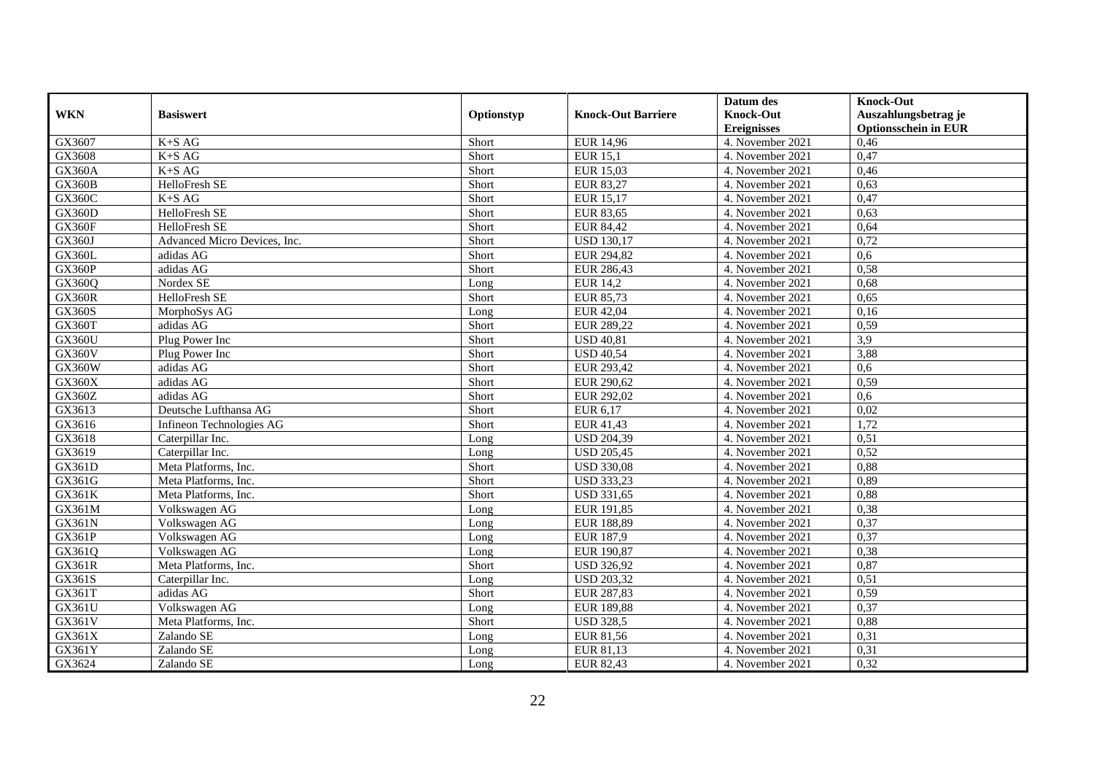|               |                              |            |                           | Datum des          | <b>Knock-Out</b>            |
|---------------|------------------------------|------------|---------------------------|--------------------|-----------------------------|
| <b>WKN</b>    | <b>Basiswert</b>             | Optionstyp | <b>Knock-Out Barriere</b> | <b>Knock-Out</b>   | Auszahlungsbetrag je        |
|               |                              |            |                           | <b>Ereignisses</b> | <b>Optionsschein in EUR</b> |
| GX3607        | $K+SAG$                      | Short      | EUR 14,96                 | 4. November 2021   | 0,46                        |
| GX3608        | $K+SAG$                      | Short      | <b>EUR 15,1</b>           | 4. November 2021   | 0,47                        |
| GX360A        | $K+SAG$                      | Short      | <b>EUR 15,03</b>          | 4. November 2021   | 0,46                        |
| <b>GX360B</b> | HelloFresh SE                | Short      | <b>EUR 83,27</b>          | 4. November 2021   | 0,63                        |
| GX360C        | $K+SAG$                      | Short      | <b>EUR 15,17</b>          | 4. November 2021   | 0,47                        |
| <b>GX360D</b> | <b>HelloFresh SE</b>         | Short      | <b>EUR 83,65</b>          | 4. November 2021   | 0,63                        |
| <b>GX360F</b> | HelloFresh SE                | Short      | <b>EUR 84,42</b>          | 4. November 2021   | 0,64                        |
| GX360J        | Advanced Micro Devices, Inc. | Short      | <b>USD 130,17</b>         | 4. November 2021   | 0,72                        |
| <b>GX360L</b> | adidas AG                    | Short      | EUR 294,82                | 4. November 2021   | 0,6                         |
| <b>GX360P</b> | adidas AG                    | Short      | EUR 286,43                | 4. November 2021   | 0,58                        |
| GX360Q        | Nordex SE                    | Long       | <b>EUR 14,2</b>           | 4. November 2021   | 0,68                        |
| <b>GX360R</b> | HelloFresh SE                | Short      | <b>EUR 85,73</b>          | 4. November 2021   | 0,65                        |
| <b>GX360S</b> | MorphoSys AG                 | Long       | <b>EUR 42,04</b>          | 4. November 2021   | 0,16                        |
| <b>GX360T</b> | adidas AG                    | Short      | EUR 289,22                | 4. November 2021   | 0,59                        |
| <b>GX360U</b> | Plug Power Inc               | Short      | <b>USD 40,81</b>          | 4. November 2021   | 3,9                         |
| <b>GX360V</b> | Plug Power Inc               | Short      | <b>USD 40,54</b>          | 4. November 2021   | 3,88                        |
| GX360W        | adidas AG                    | Short      | EUR 293,42                | 4. November 2021   | 0.6                         |
| GX360X        | adidas AG                    | Short      | EUR 290,62                | 4. November 2021   | 0,59                        |
| GX360Z        | adidas AG                    | Short      | EUR 292,02                | 4. November 2021   | 0,6                         |
| GX3613        | Deutsche Lufthansa AG        | Short      | EUR 6,17                  | 4. November 2021   | 0,02                        |
| GX3616        | Infineon Technologies AG     | Short      | EUR 41,43                 | 4. November 2021   | 1,72                        |
| GX3618        | Caterpillar Inc.             | Long       | <b>USD 204,39</b>         | 4. November 2021   | 0,51                        |
| GX3619        | Caterpillar Inc.             | Long       | <b>USD 205,45</b>         | 4. November 2021   | 0,52                        |
| GX361D        | Meta Platforms, Inc.         | Short      | <b>USD 330,08</b>         | 4. November 2021   | 0,88                        |
| GX361G        | Meta Platforms, Inc.         | Short      | <b>USD 333,23</b>         | 4. November 2021   | 0,89                        |
| GX361K        | Meta Platforms, Inc.         | Short      | <b>USD 331,65</b>         | 4. November 2021   | 0,88                        |
| GX361M        | Volkswagen AG                | Long       | EUR 191,85                | 4. November 2021   | 0,38                        |
| <b>GX361N</b> | Volkswagen AG                | Long       | EUR 188,89                | 4. November 2021   | 0,37                        |
| GX361P        | Volkswagen AG                | Long       | <b>EUR 187,9</b>          | 4. November 2021   | 0,37                        |
| GX361Q        | Volkswagen AG                | Long       | EUR 190,87                | 4. November 2021   | 0,38                        |
| GX361R        | Meta Platforms, Inc.         | Short      | <b>USD 326,92</b>         | 4. November 2021   | 0,87                        |
| GX361S        | Caterpillar Inc.             | Long       | <b>USD 203,32</b>         | 4. November 2021   | 0,51                        |
| GX361T        | adidas AG                    | Short      | EUR 287,83                | 4. November 2021   | 0,59                        |
| GX361U        | Volkswagen AG                | Long       | <b>EUR 189,88</b>         | 4. November 2021   | 0,37                        |
| GX361V        | Meta Platforms, Inc.         | Short      | <b>USD 328,5</b>          | 4. November 2021   | 0,88                        |
| GX361X        | Zalando SE                   | Long       | EUR 81,56                 | 4. November 2021   | 0,31                        |
| GX361Y        | Zalando SE                   | Long       | EUR 81,13                 | 4. November 2021   | 0,31                        |
| GX3624        | Zalando SE                   | Long       | EUR 82,43                 | 4. November 2021   | 0,32                        |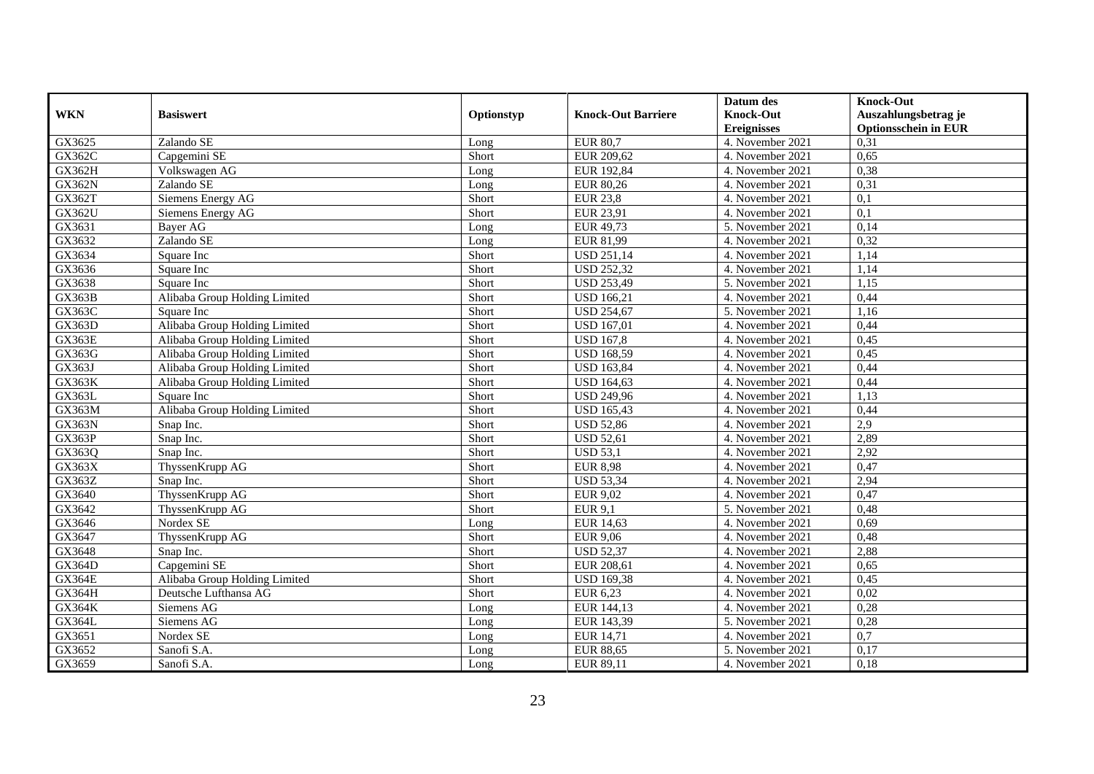|               |                               |            |                           | Datum des          | <b>Knock-Out</b>            |
|---------------|-------------------------------|------------|---------------------------|--------------------|-----------------------------|
| <b>WKN</b>    | <b>Basiswert</b>              | Optionstyp | <b>Knock-Out Barriere</b> | <b>Knock-Out</b>   | Auszahlungsbetrag je        |
|               |                               |            |                           | <b>Ereignisses</b> | <b>Optionsschein in EUR</b> |
| GX3625        | Zalando SE                    | Long       | <b>EUR 80,7</b>           | 4. November 2021   | 0,31                        |
| GX362C        | Capgemini SE                  | Short      | EUR 209,62                | 4. November 2021   | 0,65                        |
| GX362H        | Volkswagen AG                 | Long       | EUR 192,84                | 4. November 2021   | 0,38                        |
| <b>GX362N</b> | Zalando SE                    | Long       | <b>EUR 80,26</b>          | 4. November 2021   | 0,31                        |
| GX362T        | Siemens Energy AG             | Short      | <b>EUR 23,8</b>           | 4. November 2021   | 0,1                         |
| GX362U        | Siemens Energy AG             | Short      | EUR 23,91                 | 4. November 2021   | 0,1                         |
| GX3631        | Bayer AG                      | Long       | EUR 49,73                 | 5. November 2021   | 0,14                        |
| GX3632        | Zalando SE                    | Long       | EUR 81,99                 | 4. November 2021   | 0,32                        |
| GX3634        | Square Inc                    | Short      | <b>USD 251,14</b>         | 4. November 2021   | 1,14                        |
| GX3636        | Square Inc                    | Short      | <b>USD 252,32</b>         | 4. November 2021   | 1,14                        |
| GX3638        | Square Inc                    | Short      | <b>USD 253,49</b>         | 5. November 2021   | 1,15                        |
| GX363B        | Alibaba Group Holding Limited | Short      | <b>USD 166,21</b>         | 4. November 2021   | 0,44                        |
| GX363C        | Square Inc                    | Short      | <b>USD 254,67</b>         | 5. November 2021   | 1,16                        |
| GX363D        | Alibaba Group Holding Limited | Short      | <b>USD 167,01</b>         | 4. November 2021   | 0,44                        |
| GX363E        | Alibaba Group Holding Limited | Short      | <b>USD 167,8</b>          | 4. November 2021   | 0,45                        |
| GX363G        | Alibaba Group Holding Limited | Short      | <b>USD 168,59</b>         | 4. November 2021   | 0,45                        |
| GX363J        | Alibaba Group Holding Limited | Short      | <b>USD 163,84</b>         | 4. November 2021   | 0,44                        |
| <b>GX363K</b> | Alibaba Group Holding Limited | Short      | <b>USD 164.63</b>         | 4. November 2021   | 0,44                        |
| GX363L        | Square Inc                    | Short      | <b>USD 249,96</b>         | 4. November 2021   | 1,13                        |
| GX363M        | Alibaba Group Holding Limited | Short      | <b>USD 165,43</b>         | 4. November 2021   | 0,44                        |
| <b>GX363N</b> | Snap Inc.                     | Short      | <b>USD 52,86</b>          | 4. November 2021   | $\overline{2.9}$            |
| GX363P        | Snap Inc.                     | Short      | <b>USD 52,61</b>          | 4. November 2021   | 2,89                        |
| GX363Q        | Snap Inc.                     | Short      | <b>USD 53,1</b>           | 4. November 2021   | 2,92                        |
| GX363X        | ThyssenKrupp AG               | Short      | <b>EUR 8,98</b>           | 4. November 2021   | 0,47                        |
| GX363Z        | Snap Inc.                     | Short      | <b>USD 53,34</b>          | 4. November 2021   | 2,94                        |
| GX3640        | ThyssenKrupp AG               | Short      | <b>EUR 9,02</b>           | 4. November 2021   | 0,47                        |
| GX3642        | ThyssenKrupp AG               | Short      | <b>EUR 9,1</b>            | 5. November 2021   | 0,48                        |
| GX3646        | Nordex SE                     | Long       | <b>EUR 14,63</b>          | 4. November 2021   | 0,69                        |
| GX3647        | ThyssenKrupp AG               | Short      | <b>EUR 9,06</b>           | 4. November 2021   | 0,48                        |
| GX3648        | Snap Inc.                     | Short      | <b>USD 52,37</b>          | 4. November 2021   | 2,88                        |
| <b>GX364D</b> | Capgemini SE                  | Short      | EUR 208,61                | 4. November 2021   | 0,65                        |
| <b>GX364E</b> | Alibaba Group Holding Limited | Short      | <b>USD 169,38</b>         | 4. November 2021   | 0,45                        |
| <b>GX364H</b> | Deutsche Lufthansa AG         | Short      | <b>EUR 6,23</b>           | 4. November 2021   | 0,02                        |
| <b>GX364K</b> | Siemens AG                    | Long       | EUR 144,13                | 4. November 2021   | 0,28                        |
| GX364L        | Siemens AG                    | Long       | EUR 143,39                | 5. November 2021   | 0,28                        |
| GX3651        | Nordex SE                     | Long       | <b>EUR 14,71</b>          | 4. November 2021   | 0,7                         |
| GX3652        | Sanofi S.A.                   | Long       | <b>EUR 88,65</b>          | 5. November 2021   | 0,17                        |
| GX3659        | Sanofi S.A.                   | Long       | EUR 89,11                 | 4. November 2021   | 0,18                        |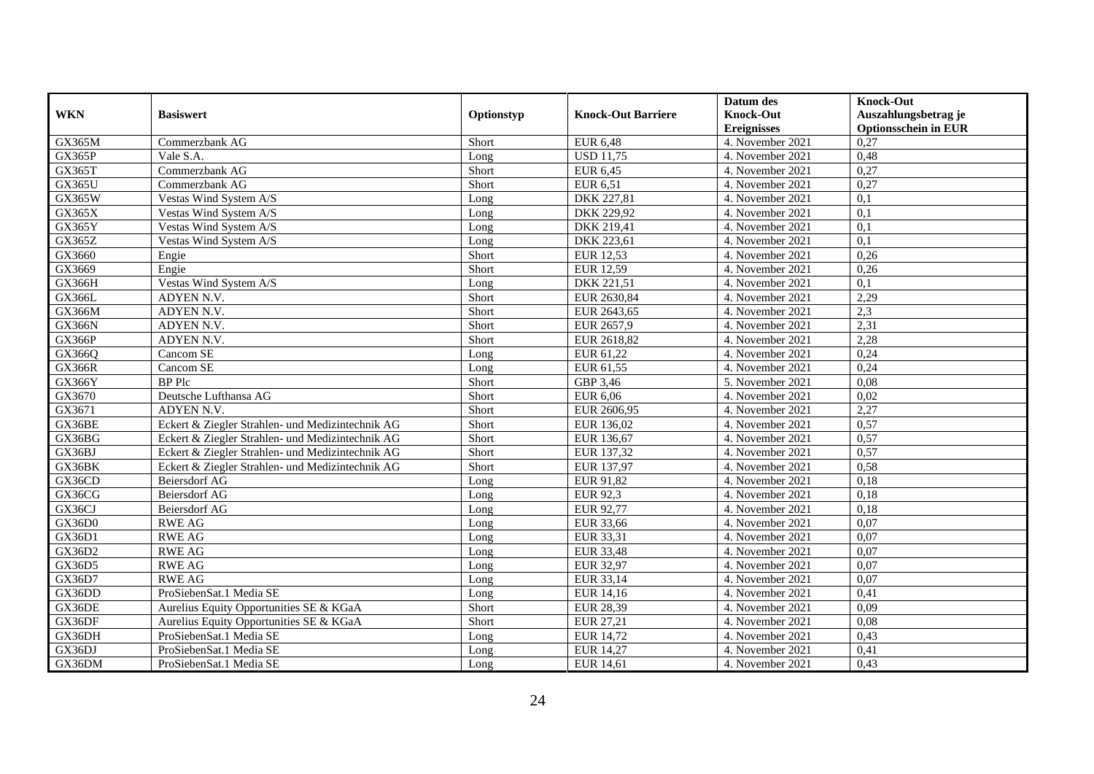|               |                                                  |            |                           | Datum des          | <b>Knock-Out</b>            |
|---------------|--------------------------------------------------|------------|---------------------------|--------------------|-----------------------------|
| <b>WKN</b>    | <b>Basiswert</b>                                 | Optionstyp | <b>Knock-Out Barriere</b> | <b>Knock-Out</b>   | Auszahlungsbetrag je        |
|               |                                                  |            |                           | <b>Ereignisses</b> | <b>Optionsschein in EUR</b> |
| GX365M        | Commerzbank AG                                   | Short      | <b>EUR 6,48</b>           | 4. November 2021   | 0,27                        |
| <b>GX365P</b> | Vale S.A.                                        | Long       | <b>USD 11,75</b>          | 4. November 2021   | 0,48                        |
| GX365T        | Commerzbank AG                                   | Short      | <b>EUR 6,45</b>           | 4. November 2021   | 0,27                        |
| <b>GX365U</b> | Commerzbank AG                                   | Short      | <b>EUR 6,51</b>           | 4. November 2021   | 0,27                        |
| GX365W        | Vestas Wind System A/S                           | Long       | DKK 227,81                | 4. November 2021   | 0,1                         |
| GX365X        | Vestas Wind System A/S                           | Long       | <b>DKK 229,92</b>         | 4. November 2021   | 0,1                         |
| <b>GX365Y</b> | Vestas Wind System A/S                           | Long       | DKK 219,41                | 4. November 2021   | 0,1                         |
| GX365Z        | Vestas Wind System A/S                           | Long       | DKK 223,61                | 4. November 2021   | 0,1                         |
| GX3660        | Engie                                            | Short      | <b>EUR 12,53</b>          | 4. November 2021   | 0,26                        |
| GX3669        | Engie                                            | Short      | <b>EUR 12,59</b>          | 4. November 2021   | 0,26                        |
| GX366H        | Vestas Wind System A/S                           | Long       | DKK 221,51                | 4. November 2021   | 0,1                         |
| GX366L        | ADYEN N.V.                                       | Short      | EUR 2630,84               | 4. November 2021   | 2,29                        |
| GX366M        | ADYEN N.V.                                       | Short      | EUR 2643,65               | 4. November 2021   | 2,3                         |
| <b>GX366N</b> | ADYEN N.V.                                       | Short      | EUR 2657.9                | 4. November 2021   | 2,31                        |
| <b>GX366P</b> | ADYEN N.V.                                       | Short      | EUR 2618,82               | 4. November 2021   | 2,28                        |
| GX366Q        | Cancom SE                                        | Long       | EUR 61,22                 | 4. November 2021   | 0,24                        |
| GX366R        | Cancom SE                                        | Long       | EUR 61,55                 | 4. November 2021   | 0,24                        |
| GX366Y        | <b>BP</b> Plc                                    | Short      | GBP 3,46                  | 5. November 2021   | 0,08                        |
| GX3670        | Deutsche Lufthansa AG                            | Short      | <b>EUR 6,06</b>           | 4. November 2021   | 0,02                        |
| GX3671        | ADYEN N.V.                                       | Short      | EUR 2606,95               | 4. November 2021   | 2,27                        |
| GX36BE        | Eckert & Ziegler Strahlen- und Medizintechnik AG | Short      | EUR 136,02                | 4. November 2021   | 0,57                        |
| GX36BG        | Eckert & Ziegler Strahlen- und Medizintechnik AG | Short      | EUR 136,67                | 4. November 2021   | 0,57                        |
| GX36BJ        | Eckert & Ziegler Strahlen- und Medizintechnik AG | Short      | EUR 137,32                | 4. November 2021   | 0,57                        |
| GX36BK        | Eckert & Ziegler Strahlen- und Medizintechnik AG | Short      | EUR 137,97                | 4. November 2021   | 0,58                        |
| GX36CD        | <b>Beiersdorf AG</b>                             | Long       | EUR 91,82                 | 4. November 2021   | 0,18                        |
| GX36CG        | Beiersdorf AG                                    | Long       | <b>EUR 92,3</b>           | 4. November 2021   | 0,18                        |
| GX36CJ        | Beiersdorf AG                                    | Long       | EUR 92,77                 | 4. November 2021   | 0,18                        |
| GX36D0        | <b>RWE AG</b>                                    | Long       | EUR 33,66                 | 4. November 2021   | 0,07                        |
| GX36D1        | <b>RWE AG</b>                                    | Long       | EUR 33,31                 | 4. November 2021   | 0,07                        |
| GX36D2        | <b>RWE AG</b>                                    | Long       | <b>EUR 33,48</b>          | 4. November 2021   | 0,07                        |
| GX36D5        | <b>RWE AG</b>                                    | Long       | <b>EUR 32,97</b>          | 4. November 2021   | 0,07                        |
| GX36D7        | <b>RWE AG</b>                                    | Long       | EUR 33,14                 | 4. November 2021   | 0,07                        |
| GX36DD        | ProSiebenSat.1 Media SE                          | Long       | EUR 14,16                 | 4. November 2021   | 0,41                        |
| GX36DE        | Aurelius Equity Opportunities SE & KGaA          | Short      | <b>EUR 28,39</b>          | 4. November 2021   | 0,09                        |
| GX36DF        | Aurelius Equity Opportunities SE & KGaA          | Short      | EUR 27,21                 | 4. November 2021   | 0,08                        |
| GX36DH        | ProSiebenSat.1 Media SE                          | Long       | <b>EUR 14,72</b>          | 4. November 2021   | 0,43                        |
| GX36DJ        | ProSiebenSat.1 Media SE                          | Long       | EUR 14,27                 | 4. November 2021   | 0,41                        |
| GX36DM        | ProSiebenSat.1 Media SE                          | Long       | <b>EUR 14,61</b>          | 4. November 2021   | 0,43                        |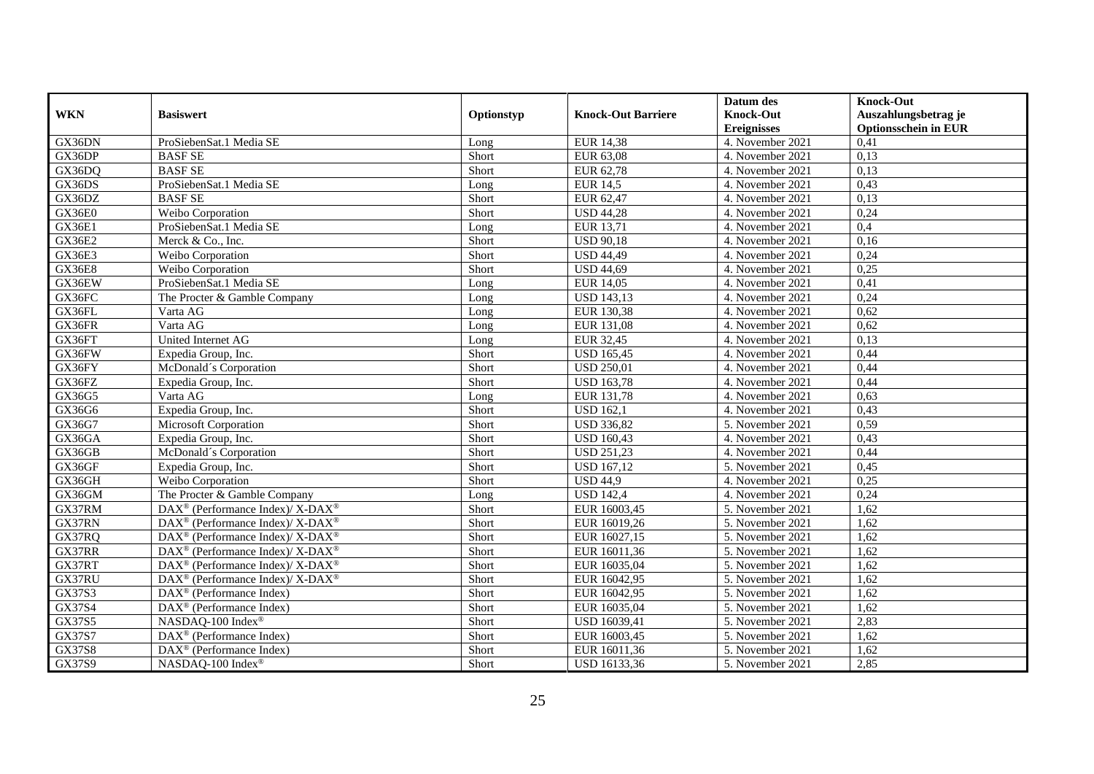|               |                                                                  |            |                           | Datum des          | <b>Knock-Out</b>            |
|---------------|------------------------------------------------------------------|------------|---------------------------|--------------------|-----------------------------|
| <b>WKN</b>    | <b>Basiswert</b>                                                 | Optionstyp | <b>Knock-Out Barriere</b> | <b>Knock-Out</b>   | Auszahlungsbetrag je        |
|               |                                                                  |            |                           | <b>Ereignisses</b> | <b>Optionsschein in EUR</b> |
| GX36DN        | ProSiebenSat.1 Media SE                                          | Long       | <b>EUR 14,38</b>          | 4. November 2021   | 0,41                        |
| GX36DP        | <b>BASF SE</b>                                                   | Short      | <b>EUR 63,08</b>          | 4. November 2021   | 0,13                        |
| GX36DQ        | <b>BASF SE</b>                                                   | Short      | EUR 62,78                 | 4. November 2021   | 0,13                        |
| GX36DS        | ProSiebenSat.1 Media SE                                          | Long       | <b>EUR 14,5</b>           | 4. November 2021   | 0,43                        |
| GX36DZ        | <b>BASF SE</b>                                                   | Short      | EUR 62,47                 | 4. November 2021   | 0,13                        |
| GX36E0        | Weibo Corporation                                                | Short      | <b>USD 44,28</b>          | 4. November 2021   | 0,24                        |
| GX36E1        | ProSiebenSat.1 Media SE                                          | Long       | EUR 13,71                 | 4. November 2021   | 0,4                         |
| <b>GX36E2</b> | Merck & Co., Inc.                                                | Short      | <b>USD 90,18</b>          | 4. November 2021   | 0,16                        |
| GX36E3        | Weibo Corporation                                                | Short      | <b>USD 44,49</b>          | 4. November 2021   | 0,24                        |
| <b>GX36E8</b> | Weibo Corporation                                                | Short      | <b>USD 44,69</b>          | 4. November 2021   | 0,25                        |
| GX36EW        | ProSiebenSat.1 Media SE                                          | Long       | <b>EUR 14,05</b>          | 4. November 2021   | 0,41                        |
| GX36FC        | The Procter & Gamble Company                                     | Long       | <b>USD 143,13</b>         | 4. November 2021   | 0,24                        |
| GX36FL        | Varta AG                                                         | Long       | EUR 130,38                | 4. November 2021   | 0,62                        |
| GX36FR        | Varta AG                                                         | Long       | EUR 131,08                | 4. November 2021   | 0,62                        |
| GX36FT        | United Internet AG                                               | Long       | EUR 32,45                 | 4. November 2021   | 0,13                        |
| GX36FW        | Expedia Group, Inc.                                              | Short      | <b>USD 165,45</b>         | 4. November 2021   | 0,44                        |
| GX36FY        | McDonald's Corporation                                           | Short      | <b>USD 250,01</b>         | 4. November 2021   | 0,44                        |
| GX36FZ        | Expedia Group, Inc.                                              | Short      | <b>USD 163,78</b>         | 4. November 2021   | 0,44                        |
| GX36G5        | Varta AG                                                         | Long       | EUR 131,78                | 4. November 2021   | 0,63                        |
| GX36G6        | Expedia Group, Inc.                                              | Short      | <b>USD 162,1</b>          | 4. November 2021   | 0,43                        |
| GX36G7        | Microsoft Corporation                                            | Short      | <b>USD 336,82</b>         | 5. November 2021   | 0,59                        |
| GX36GA        | Expedia Group, Inc.                                              | Short      | <b>USD 160,43</b>         | 4. November 2021   | 0,43                        |
| GX36GB        | McDonald's Corporation                                           | Short      | <b>USD 251,23</b>         | 4. November 2021   | 0,44                        |
| GX36GF        | Expedia Group, Inc.                                              | Short      | <b>USD 167,12</b>         | 5. November 2021   | 0,45                        |
| GX36GH        | Weibo Corporation                                                | Short      | <b>USD 44,9</b>           | 4. November 2021   | 0,25                        |
| GX36GM        | The Procter & Gamble Company                                     | Long       | <b>USD 142,4</b>          | 4. November 2021   | 0,24                        |
| GX37RM        | DAX <sup>®</sup> (Performance Index)/ X-DAX <sup>®</sup>         | Short      | EUR 16003,45              | 5. November 2021   | 1,62                        |
| GX37RN        | DAX <sup>®</sup> (Performance Index)/ X-DAX <sup>®</sup>         | Short      | EUR 16019,26              | 5. November 2021   | 1,62                        |
| GX37RQ        | DAX <sup>®</sup> (Performance Index)/ X-DAX <sup>®</sup>         | Short      | EUR 16027,15              | 5. November 2021   | 1,62                        |
| GX37RR        | $\text{DAX}^{\otimes}$ (Performance Index)/X-DAX <sup>®</sup>    | Short      | EUR 16011,36              | 5. November 2021   | 1,62                        |
| GX37RT        | $DAX^{\circledcirc}$ (Performance Index)/ X-DAX <sup>®</sup>     | Short      | EUR 16035,04              | 5. November 2021   | 1,62                        |
| GX37RU        | $\text{DAX}^{\circledR}$ (Performance Index)/ X-DAX <sup>®</sup> | Short      | EUR 16042,95              | 5. November 2021   | 1,62                        |
| GX37S3        | $\text{DAX}^{\textcircled{p}}$ (Performance Index)               | Short      | EUR 16042,95              | 5. November 2021   | 1,62                        |
| GX37S4        | DAX <sup>®</sup> (Performance Index)                             | Short      | EUR 16035,04              | 5. November 2021   | 1,62                        |
| GX37S5        | NASDAQ-100 Index <sup>®</sup>                                    | Short      | USD 16039,41              | 5. November 2021   | 2,83                        |
| GX37S7        | DAX <sup>®</sup> (Performance Index)                             | Short      | EUR 16003,45              | 5. November 2021   | 1,62                        |
| GX37S8        | $\text{DAX}^{\circledast}$ (Performance Index)                   | Short      | EUR 16011,36              | 5. November 2021   | 1,62                        |
| GX37S9        | NASDAQ-100 Index®                                                | Short      | USD 16133,36              | 5. November 2021   | 2,85                        |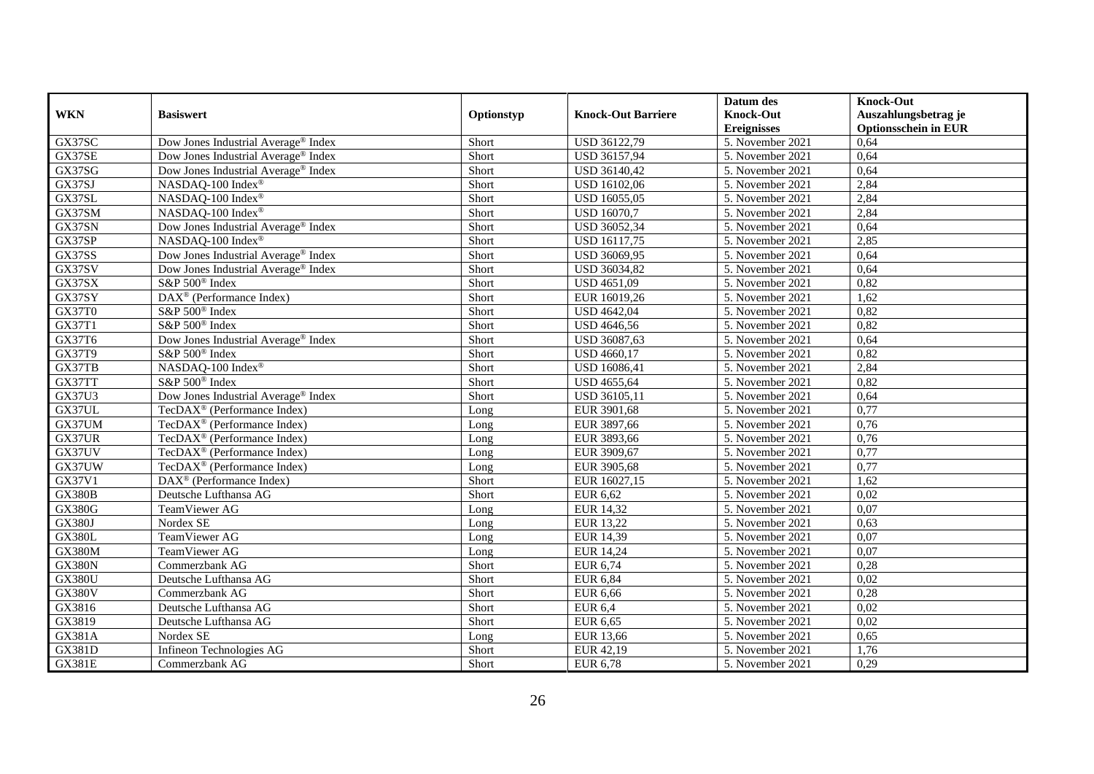|               |                                                       |            |                           | Datum des          | <b>Knock-Out</b>            |
|---------------|-------------------------------------------------------|------------|---------------------------|--------------------|-----------------------------|
| <b>WKN</b>    | <b>Basiswert</b>                                      | Optionstyp | <b>Knock-Out Barriere</b> | <b>Knock-Out</b>   | Auszahlungsbetrag je        |
|               |                                                       |            |                           | <b>Ereignisses</b> | <b>Optionsschein in EUR</b> |
| GX37SC        | Dow Jones Industrial Average <sup>®</sup> Index       | Short      | USD 36122,79              | 5. November 2021   | 0,64                        |
| GX37SE        | Dow Jones Industrial Average <sup>®</sup> Index       | Short      | USD 36157,94              | 5. November 2021   | 0,64                        |
| GX37SG        | Dow Jones Industrial Average <sup>®</sup> Index       | Short      | USD 36140,42              | 5. November 2021   | 0,64                        |
| GX37SJ        | NASDAQ-100 Index®                                     | Short      | USD 16102,06              | 5. November 2021   | 2,84                        |
| GX37SL        | NASDAQ-100 Index®                                     | Short      | <b>USD 16055,05</b>       | 5. November 2021   | 2,84                        |
| GX37SM        | NASDAQ-100 Index®                                     | Short      | <b>USD 16070,7</b>        | 5. November 2021   | 2,84                        |
| GX37SN        | Dow Jones Industrial Average® Index                   | Short      | USD 36052,34              | 5. November 2021   | 0,64                        |
| GX37SP        | NASDAQ-100 Index®                                     | Short      | USD 16117,75              | 5. November 2021   | 2,85                        |
| GX37SS        | Dow Jones Industrial Average® Index                   | Short      | USD 36069,95              | 5. November 2021   | 0,64                        |
| GX37SV        | Dow Jones Industrial Average <sup>®</sup> Index       | Short      | USD 36034,82              | 5. November 2021   | 0,64                        |
| GX37SX        | S&P 500 <sup>®</sup> Index                            | Short      | <b>USD 4651,09</b>        | 5. November 2021   | 0,82                        |
| GX37SY        | $\overline{\text{DAX}^{\otimes}}$ (Performance Index) | Short      | EUR 16019,26              | 5. November 2021   | 1,62                        |
| GX37T0        | S&P 500 <sup>®</sup> Index                            | Short      | <b>USD 4642,04</b>        | 5. November 2021   | 0,82                        |
| GX37T1        | S&P 500 <sup>®</sup> Index                            | Short      | <b>USD 4646,56</b>        | 5. November 2021   | 0,82                        |
| GX37T6        | Dow Jones Industrial Average® Index                   | Short      | USD 36087,63              | 5. November 2021   | 0,64                        |
| GX37T9        | S&P 500 <sup>®</sup> Index                            | Short      | USD 4660,17               | 5. November 2021   | 0,82                        |
| GX37TB        | NASDAQ-100 Index®                                     | Short      | USD 16086,41              | 5. November 2021   | 2,84                        |
| GX37TT        | S&P 500 <sup>®</sup> Index                            | Short      | USD 4655,64               | 5. November 2021   | 0,82                        |
| GX37U3        | Dow Jones Industrial Average® Index                   | Short      | USD 36105,11              | 5. November 2021   | 0,64                        |
| GX37UL        | TecDAX <sup>®</sup> (Performance Index)               | Long       | EUR 3901,68               | 5. November 2021   | 0,77                        |
| GX37UM        | TecDAX <sup>®</sup> (Performance Index)               | Long       | EUR 3897,66               | 5. November 2021   | 0,76                        |
| GX37UR        | TecDAX <sup>®</sup> (Performance Index)               | Long       | EUR 3893,66               | 5. November 2021   | 0,76                        |
| GX37UV        | TecDAX <sup>®</sup> (Performance Index)               | Long       | EUR 3909,67               | 5. November 2021   | 0,77                        |
| GX37UW        | TecDAX <sup>®</sup> (Performance Index)               | Long       | EUR 3905,68               | 5. November 2021   | 0,77                        |
| GX37V1        | $DAX^{\circledast}$ (Performance Index)               | Short      | EUR 16027,15              | 5. November 2021   | 1,62                        |
| <b>GX380B</b> | Deutsche Lufthansa AG                                 | Short      | <b>EUR 6,62</b>           | 5. November 2021   | 0,02                        |
| <b>GX380G</b> | TeamViewer AG                                         | Long       | EUR 14,32                 | 5. November 2021   | 0.07                        |
| <b>GX380J</b> | Nordex SE                                             | Long       | <b>EUR 13,22</b>          | 5. November 2021   | 0,63                        |
| <b>GX380L</b> | TeamViewer AG                                         | Long       | EUR 14,39                 | 5. November 2021   | 0.07                        |
| <b>GX380M</b> | <b>TeamViewer AG</b>                                  | Long       | <b>EUR 14,24</b>          | 5. November 2021   | 0,07                        |
| <b>GX380N</b> | Commerzbank AG                                        | Short      | <b>EUR 6,74</b>           | 5. November 2021   | 0,28                        |
| <b>GX380U</b> | Deutsche Lufthansa AG                                 | Short      | <b>EUR 6,84</b>           | 5. November 2021   | 0,02                        |
| <b>GX380V</b> | Commerzbank AG                                        | Short      | <b>EUR 6,66</b>           | 5. November 2021   | 0,28                        |
| GX3816        | Deutsche Lufthansa AG                                 | Short      | <b>EUR 6,4</b>            | 5. November 2021   | 0,02                        |
| GX3819        | Deutsche Lufthansa AG                                 | Short      | EUR 6,65                  | 5. November 2021   | 0,02                        |
| GX381A        | Nordex SE                                             | Long       | EUR 13,66                 | 5. November 2021   | 0,65                        |
| <b>GX381D</b> | Infineon Technologies AG                              | Short      | EUR 42,19                 | 5. November 2021   | 1,76                        |
| <b>GX381E</b> | Commerzbank AG                                        | Short      | <b>EUR 6,78</b>           | 5. November 2021   | 0,29                        |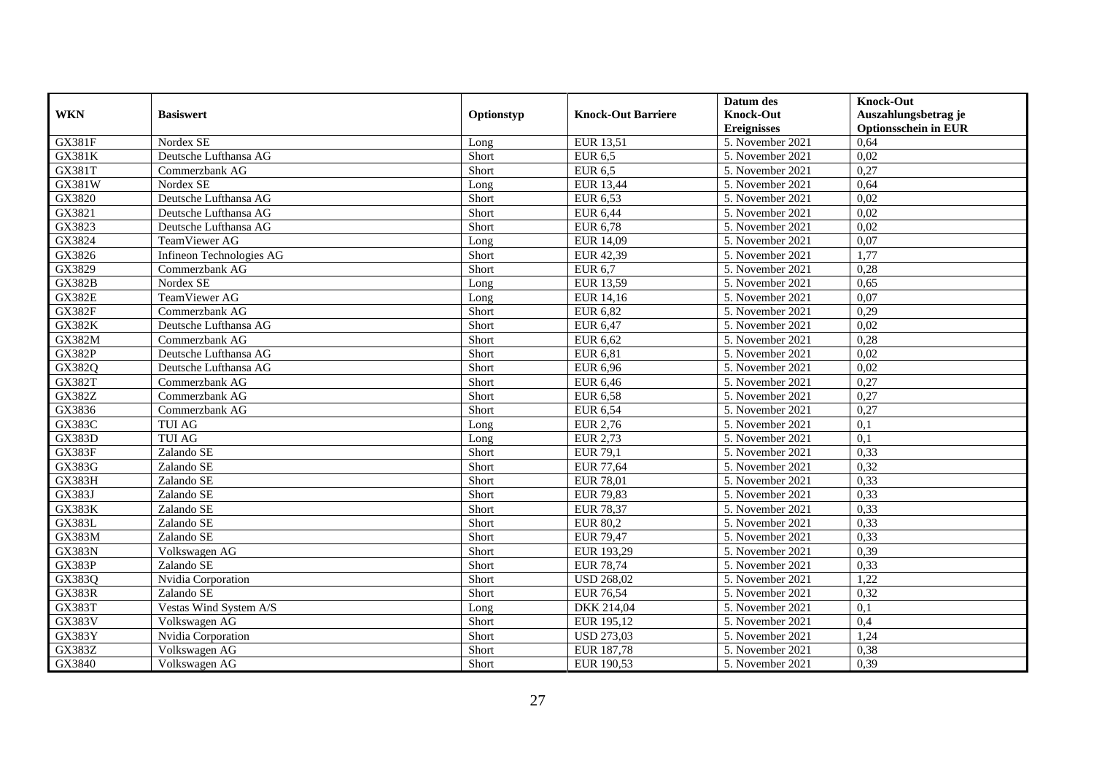|               |                          |            |                           | Datum des          | <b>Knock-Out</b>            |
|---------------|--------------------------|------------|---------------------------|--------------------|-----------------------------|
| <b>WKN</b>    | <b>Basiswert</b>         | Optionstyp | <b>Knock-Out Barriere</b> | <b>Knock-Out</b>   | Auszahlungsbetrag je        |
|               |                          |            |                           | <b>Ereignisses</b> | <b>Optionsschein in EUR</b> |
| <b>GX381F</b> | Nordex SE                | Long       | <b>EUR 13,51</b>          | 5. November 2021   | 0,64                        |
| <b>GX381K</b> | Deutsche Lufthansa AG    | Short      | <b>EUR 6,5</b>            | 5. November 2021   | 0,02                        |
| GX381T        | Commerzbank AG           | Short      | <b>EUR 6,5</b>            | 5. November 2021   | 0,27                        |
| GX381W        | Nordex SE                | Long       | <b>EUR 13,44</b>          | 5. November 2021   | 0,64                        |
| GX3820        | Deutsche Lufthansa AG    | Short      | <b>EUR 6,53</b>           | 5. November 2021   | 0,02                        |
| GX3821        | Deutsche Lufthansa AG    | Short      | <b>EUR 6,44</b>           | 5. November 2021   | 0,02                        |
| GX3823        | Deutsche Lufthansa AG    | Short      | <b>EUR 6,78</b>           | 5. November 2021   | 0,02                        |
| GX3824        | TeamViewer AG            | Long       | EUR 14,09                 | 5. November 2021   | 0,07                        |
| GX3826        | Infineon Technologies AG | Short      | EUR 42,39                 | 5. November 2021   | 1,77                        |
| GX3829        | Commerzbank AG           | Short      | <b>EUR 6,7</b>            | 5. November 2021   | 0,28                        |
| <b>GX382B</b> | Nordex SE                | Long       | <b>EUR 13,59</b>          | 5. November 2021   | 0.65                        |
| <b>GX382E</b> | TeamViewer AG            | Long       | EUR 14,16                 | 5. November 2021   | 0,07                        |
| <b>GX382F</b> | Commerzbank AG           | Short      | <b>EUR 6,82</b>           | 5. November 2021   | 0,29                        |
| <b>GX382K</b> | Deutsche Lufthansa AG    | Short      | <b>EUR 6.47</b>           | 5. November 2021   | 0.02                        |
| <b>GX382M</b> | Commerzbank AG           | Short      | <b>EUR 6,62</b>           | 5. November 2021   | 0,28                        |
| <b>GX382P</b> | Deutsche Lufthansa AG    | Short      | <b>EUR 6,81</b>           | 5. November 2021   | 0,02                        |
| GX382Q        | Deutsche Lufthansa AG    | Short      | <b>EUR 6,96</b>           | 5. November 2021   | 0.02                        |
| <b>GX382T</b> | Commerzbank AG           | Short      | <b>EUR 6,46</b>           | 5. November 2021   | 0,27                        |
| GX382Z        | Commerzbank AG           | Short      | <b>EUR 6,58</b>           | 5. November 2021   | 0,27                        |
| GX3836        | Commerzbank AG           | Short      | <b>EUR 6,54</b>           | 5. November 2021   | 0,27                        |
| <b>GX383C</b> | <b>TUI AG</b>            | Long       | EUR 2,76                  | 5. November 2021   | 0,1                         |
| <b>GX383D</b> | <b>TUI AG</b>            | Long       | <b>EUR 2,73</b>           | 5. November 2021   | 0,1                         |
| GX383F        | Zalando SE               | Short      | <b>EUR 79,1</b>           | 5. November 2021   | 0,33                        |
| <b>GX383G</b> | Zalando SE               | Short      | <b>EUR 77,64</b>          | 5. November 2021   | 0,32                        |
| GX383H        | Zalando SE               | Short      | <b>EUR 78,01</b>          | 5. November 2021   | 0,33                        |
| GX383J        | Zalando SE               | Short      | <b>EUR 79,83</b>          | 5. November 2021   | 0,33                        |
| <b>GX383K</b> | Zalando SE               | Short      | <b>EUR 78,37</b>          | 5. November 2021   | 0,33                        |
| <b>GX383L</b> | Zalando SE               | Short      | <b>EUR 80,2</b>           | 5. November 2021   | 0,33                        |
| <b>GX383M</b> | Zalando SE               | Short      | <b>EUR 79,47</b>          | 5. November 2021   | 0,33                        |
| <b>GX383N</b> | Volkswagen AG            | Short      | EUR 193,29                | 5. November 2021   | 0,39                        |
| <b>GX383P</b> | Zalando SE               | Short      | <b>EUR 78,74</b>          | 5. November 2021   | 0,33                        |
| GX383Q        | Nvidia Corporation       | Short      | <b>USD 268,02</b>         | 5. November 2021   | 1,22                        |
| <b>GX383R</b> | Zalando SE               | Short      | <b>EUR 76,54</b>          | 5. November 2021   | 0,32                        |
| GX383T        | Vestas Wind System A/S   | Long       | DKK 214,04                | 5. November 2021   | 0,1                         |
| <b>GX383V</b> | Volkswagen AG            | Short      | EUR 195,12                | 5. November 2021   | 0,4                         |
| GX383Y        | Nvidia Corporation       | Short      | <b>USD 273,03</b>         | 5. November 2021   | 1,24                        |
| GX383Z        | Volkswagen AG            | Short      | EUR 187,78                | 5. November 2021   | 0,38                        |
| GX3840        | Volkswagen AG            | Short      | EUR 190,53                | 5. November 2021   | 0,39                        |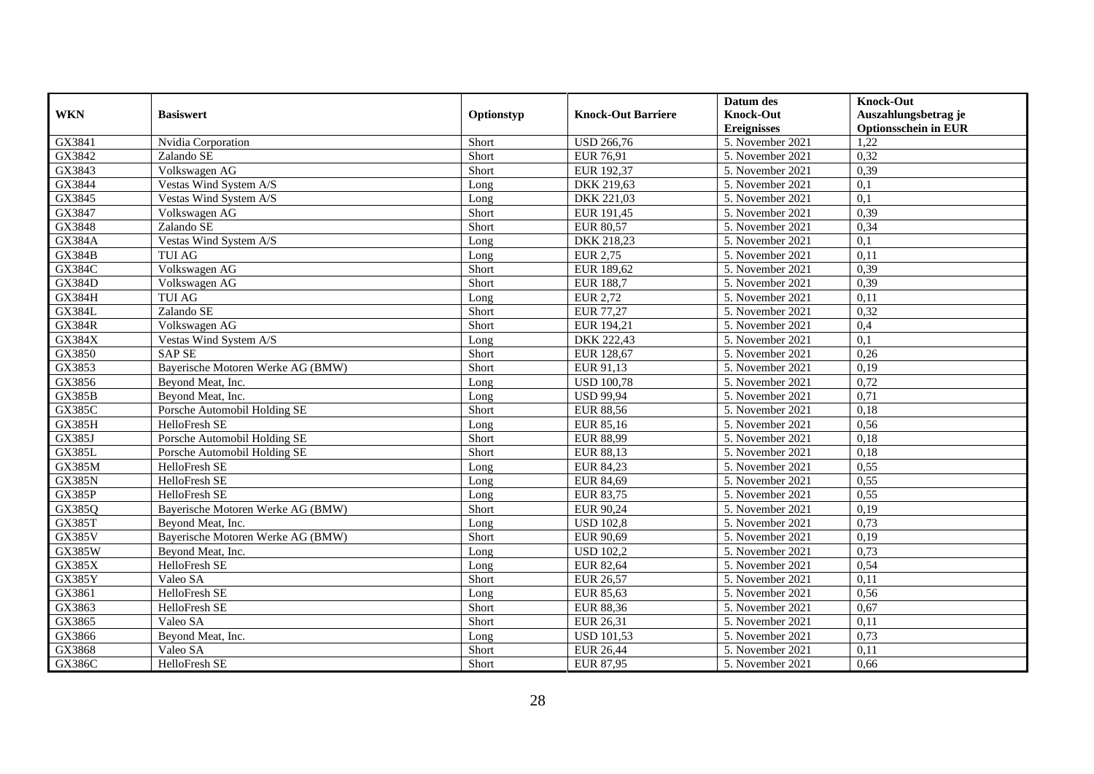|               |                                   |            |                           | Datum des          | <b>Knock-Out</b>            |
|---------------|-----------------------------------|------------|---------------------------|--------------------|-----------------------------|
| <b>WKN</b>    | <b>Basiswert</b>                  | Optionstyp | <b>Knock-Out Barriere</b> | <b>Knock-Out</b>   | Auszahlungsbetrag je        |
|               |                                   |            |                           | <b>Ereignisses</b> | <b>Optionsschein in EUR</b> |
| GX3841        | Nvidia Corporation                | Short      | <b>USD 266,76</b>         | 5. November 2021   | 1,22                        |
| GX3842        | Zalando SE                        | Short      | EUR 76,91                 | 5. November 2021   | 0,32                        |
| GX3843        | Volkswagen AG                     | Short      | EUR 192,37                | 5. November 2021   | 0,39                        |
| GX3844        | Vestas Wind System A/S            | Long       | DKK 219,63                | 5. November 2021   | 0,1                         |
| GX3845        | Vestas Wind System A/S            | Long       | DKK 221,03                | 5. November 2021   | $\overline{0,1}$            |
| GX3847        | Volkswagen AG                     | Short      | EUR 191,45                | 5. November 2021   | 0,39                        |
| GX3848        | Zalando SE                        | Short      | <b>EUR 80,57</b>          | 5. November 2021   | 0,34                        |
| <b>GX384A</b> | Vestas Wind System A/S            | Long       | DKK 218,23                | 5. November 2021   | 0,1                         |
| GX384B        | <b>TUI AG</b>                     | Long       | <b>EUR 2,75</b>           | 5. November 2021   | 0,11                        |
| <b>GX384C</b> | Volkswagen AG                     | Short      | EUR 189,62                | 5. November 2021   | 0,39                        |
| <b>GX384D</b> | Volkswagen AG                     | Short      | <b>EUR 188,7</b>          | 5. November 2021   | 0,39                        |
| <b>GX384H</b> | <b>TUI AG</b>                     | Long       | <b>EUR 2,72</b>           | 5. November 2021   | 0,11                        |
| <b>GX384L</b> | Zalando SE                        | Short      | <b>EUR 77,27</b>          | 5. November 2021   | 0,32                        |
| <b>GX384R</b> | Volkswagen AG                     | Short      | EUR 194,21                | 5. November 2021   | 0,4                         |
| GX384X        | Vestas Wind System A/S            | Long       | DKK 222,43                | 5. November 2021   | 0,1                         |
| GX3850        | <b>SAP SE</b>                     | Short      | EUR 128,67                | 5. November 2021   | 0,26                        |
| GX3853        | Bayerische Motoren Werke AG (BMW) | Short      | EUR 91,13                 | 5. November 2021   | 0,19                        |
| GX3856        | Bevond Meat, Inc.                 | Long       | <b>USD 100.78</b>         | 5. November 2021   | 0,72                        |
| <b>GX385B</b> | Beyond Meat, Inc.                 | Long       | <b>USD 99,94</b>          | 5. November 2021   | 0,71                        |
| <b>GX385C</b> | Porsche Automobil Holding SE      | Short      | <b>EUR 88,56</b>          | 5. November 2021   | 0,18                        |
| <b>GX385H</b> | HelloFresh SE                     | Long       | EUR 85,16                 | 5. November 2021   | 0,56                        |
| GX385J        | Porsche Automobil Holding SE      | Short      | <b>EUR 88,99</b>          | 5. November 2021   | 0,18                        |
| <b>GX385L</b> | Porsche Automobil Holding SE      | Short      | <b>EUR 88,13</b>          | 5. November 2021   | 0,18                        |
| <b>GX385M</b> | HelloFresh SE                     | Long       | EUR 84,23                 | 5. November 2021   | 0,55                        |
| <b>GX385N</b> | HelloFresh SE                     | Long       | EUR 84,69                 | 5. November 2021   | 0,55                        |
| GX385P        | HelloFresh SE                     | Long       | <b>EUR 83,75</b>          | 5. November 2021   | 0,55                        |
| GX385Q        | Bayerische Motoren Werke AG (BMW) | Short      | EUR 90,24                 | 5. November 2021   | 0,19                        |
| <b>GX385T</b> | Bevond Meat, Inc.                 | Long       | <b>USD 102,8</b>          | 5. November 2021   | 0,73                        |
| <b>GX385V</b> | Bayerische Motoren Werke AG (BMW) | Short      | <b>EUR 90,69</b>          | 5. November 2021   | 0,19                        |
| <b>GX385W</b> | Beyond Meat, Inc.                 | Long       | <b>USD 102.2</b>          | 5. November 2021   | 0,73                        |
| GX385X        | HelloFresh SE                     | Long       | <b>EUR 82,64</b>          | 5. November 2021   | 0,54                        |
| <b>GX385Y</b> | Valeo SA                          | Short      | <b>EUR 26,57</b>          | 5. November 2021   | 0,11                        |
| GX3861        | <b>HelloFresh SE</b>              | Long       | EUR 85,63                 | 5. November 2021   | 0,56                        |
| GX3863        | HelloFresh SE                     | Short      | <b>EUR 88,36</b>          | 5. November 2021   | 0,67                        |
| GX3865        | Valeo SA                          | Short      | EUR 26,31                 | 5. November 2021   | 0,11                        |
| GX3866        | Beyond Meat, Inc.                 | Long       | <b>USD 101,53</b>         | 5. November 2021   | 0,73                        |
| GX3868        | Valeo SA                          | Short      | <b>EUR 26,44</b>          | 5. November 2021   | 0,11                        |
| GX386C        | HelloFresh SE                     | Short      | EUR 87,95                 | 5. November 2021   | 0,66                        |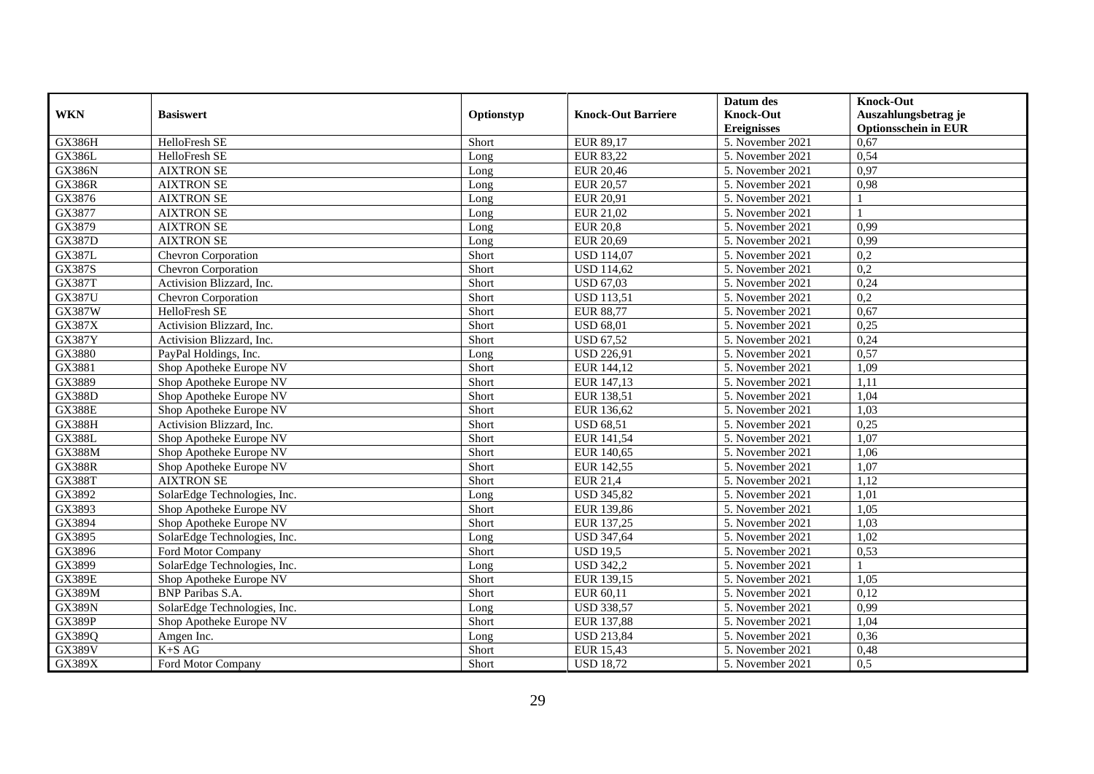|               |                              |            |                           | Datum des          | <b>Knock-Out</b>            |
|---------------|------------------------------|------------|---------------------------|--------------------|-----------------------------|
| <b>WKN</b>    | <b>Basiswert</b>             | Optionstyp | <b>Knock-Out Barriere</b> | <b>Knock-Out</b>   | Auszahlungsbetrag je        |
|               |                              |            |                           | <b>Ereignisses</b> | <b>Optionsschein in EUR</b> |
| <b>GX386H</b> | HelloFresh SE                | Short      | EUR 89,17                 | 5. November 2021   | 0,67                        |
| <b>GX386L</b> | HelloFresh SE                | Long       | <b>EUR 83,22</b>          | 5. November 2021   | 0,54                        |
| <b>GX386N</b> | <b>AIXTRON SE</b>            | Long       | <b>EUR 20,46</b>          | 5. November 2021   | 0,97                        |
| <b>GX386R</b> | <b>AIXTRON SE</b>            | Long       | <b>EUR 20,57</b>          | 5. November 2021   | 0,98                        |
| GX3876        | <b>AIXTRON SE</b>            | Long       | EUR 20,91                 | 5. November 2021   |                             |
| GX3877        | <b>AIXTRON SE</b>            | Long       | EUR 21,02                 | 5. November 2021   |                             |
| GX3879        | <b>AIXTRON SE</b>            | Long       | <b>EUR 20,8</b>           | 5. November 2021   | 0,99                        |
| <b>GX387D</b> | <b>AIXTRON SE</b>            | Long       | <b>EUR 20,69</b>          | 5. November 2021   | 0.99                        |
| <b>GX387L</b> | Chevron Corporation          | Short      | <b>USD 114,07</b>         | 5. November 2021   | 0,2                         |
| <b>GX387S</b> | Chevron Corporation          | Short      | <b>USD 114,62</b>         | 5. November 2021   | $\overline{0.2}$            |
| <b>GX387T</b> | Activision Blizzard, Inc.    | Short      | <b>USD 67,03</b>          | 5. November 2021   | 0,24                        |
| <b>GX387U</b> | Chevron Corporation          | Short      | <b>USD 113,51</b>         | 5. November 2021   | 0,2                         |
| <b>GX387W</b> | HelloFresh SE                | Short      | <b>EUR 88,77</b>          | 5. November 2021   | 0,67                        |
| GX387X        | Activision Blizzard, Inc.    | Short      | <b>USD 68,01</b>          | 5. November 2021   | 0,25                        |
| <b>GX387Y</b> | Activision Blizzard, Inc.    | Short      | <b>USD 67,52</b>          | 5. November 2021   | 0,24                        |
| GX3880        | PayPal Holdings, Inc.        | Long       | <b>USD 226,91</b>         | 5. November 2021   | 0,57                        |
| GX3881        | Shop Apotheke Europe NV      | Short      | EUR 144,12                | 5. November 2021   | 1,09                        |
| GX3889        | Shop Apotheke Europe NV      | Short      | EUR 147,13                | 5. November 2021   | 1,11                        |
| <b>GX388D</b> | Shop Apotheke Europe NV      | Short      | EUR 138,51                | 5. November 2021   | 1,04                        |
| <b>GX388E</b> | Shop Apotheke Europe NV      | Short      | EUR 136,62                | 5. November 2021   | 1,03                        |
| <b>GX388H</b> | Activision Blizzard, Inc.    | Short      | <b>USD 68.51</b>          | 5. November 2021   | 0,25                        |
| <b>GX388L</b> | Shop Apotheke Europe NV      | Short      | EUR 141,54                | 5. November 2021   | 1,07                        |
| <b>GX388M</b> | Shop Apotheke Europe NV      | Short      | EUR 140,65                | 5. November 2021   | 1,06                        |
| <b>GX388R</b> | Shop Apotheke Europe NV      | Short      | EUR 142,55                | 5. November 2021   | 1,07                        |
| <b>GX388T</b> | <b>AIXTRON SE</b>            | Short      | <b>EUR 21,4</b>           | 5. November 2021   | 1,12                        |
| GX3892        | SolarEdge Technologies, Inc. | Long       | <b>USD 345,82</b>         | 5. November 2021   | 1,01                        |
| GX3893        | Shop Apotheke Europe NV      | Short      | EUR 139,86                | 5. November 2021   | 1,05                        |
| GX3894        | Shop Apotheke Europe NV      | Short      | EUR 137,25                | 5. November 2021   | 1,03                        |
| GX3895        | SolarEdge Technologies, Inc. | Long       | <b>USD 347,64</b>         | 5. November 2021   | 1,02                        |
| GX3896        | Ford Motor Company           | Short      | <b>USD 19.5</b>           | 5. November 2021   | 0,53                        |
| GX3899        | SolarEdge Technologies, Inc. | Long       | <b>USD 342,2</b>          | 5. November 2021   |                             |
| <b>GX389E</b> | Shop Apotheke Europe NV      | Short      | EUR 139,15                | 5. November 2021   | 1,05                        |
| <b>GX389M</b> | <b>BNP</b> Paribas S.A.      | Short      | EUR 60,11                 | 5. November 2021   | 0,12                        |
| <b>GX389N</b> | SolarEdge Technologies, Inc. | Long       | <b>USD 338,57</b>         | 5. November 2021   | 0,99                        |
| <b>GX389P</b> | Shop Apotheke Europe NV      | Short      | EUR 137,88                | 5. November 2021   | 1,04                        |
| GX389Q        | Amgen Inc.                   | Long       | <b>USD 213,84</b>         | 5. November 2021   | 0,36                        |
| <b>GX389V</b> | $K+SAG$                      | Short      | <b>EUR 15,43</b>          | 5. November 2021   | 0,48                        |
| <b>GX389X</b> | Ford Motor Company           | Short      | <b>USD 18,72</b>          | 5. November 2021   | 0,5                         |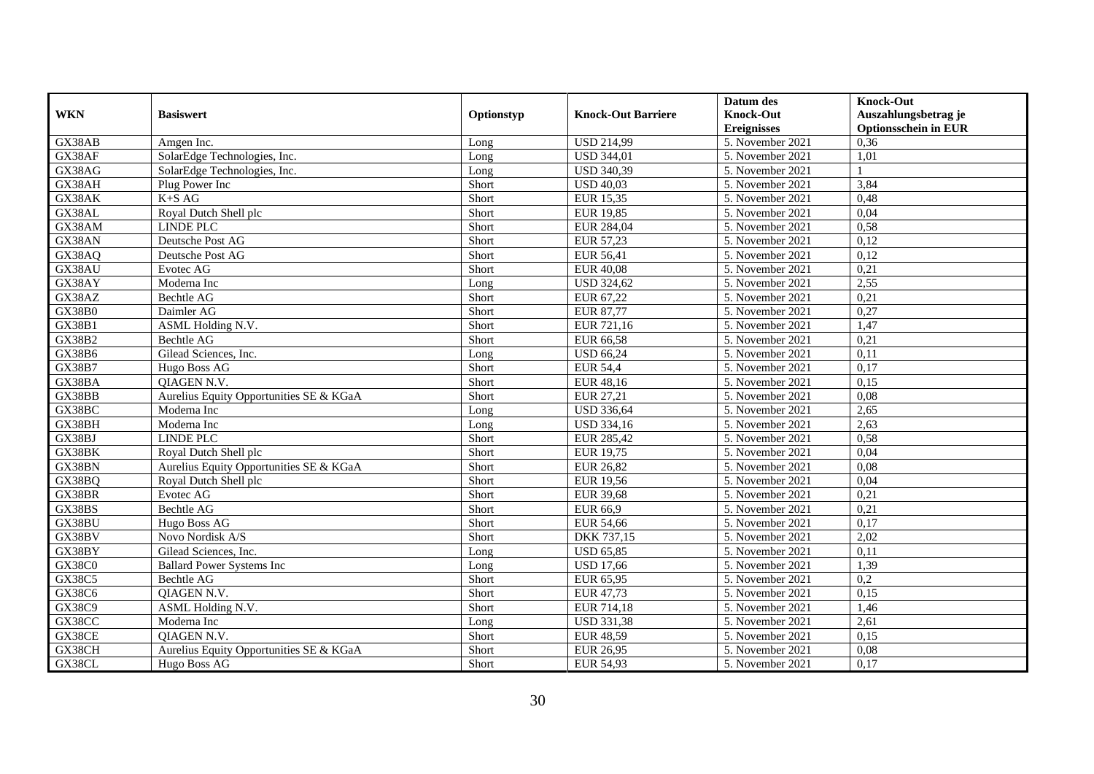|               |                                         |            |                           | Datum des          | <b>Knock-Out</b>            |
|---------------|-----------------------------------------|------------|---------------------------|--------------------|-----------------------------|
| <b>WKN</b>    | <b>Basiswert</b>                        | Optionstyp | <b>Knock-Out Barriere</b> | <b>Knock-Out</b>   | Auszahlungsbetrag je        |
|               |                                         |            |                           | <b>Ereignisses</b> | <b>Optionsschein in EUR</b> |
| GX38AB        | Amgen Inc.                              | Long       | <b>USD 214,99</b>         | 5. November 2021   | 0,36                        |
| GX38AF        | SolarEdge Technologies, Inc.            | Long       | <b>USD 344,01</b>         | 5. November 2021   | 1,01                        |
| GX38AG        | SolarEdge Technologies, Inc.            | Long       | <b>USD 340,39</b>         | 5. November 2021   |                             |
| GX38AH        | Plug Power Inc                          | Short      | <b>USD 40,03</b>          | 5. November 2021   | 3,84                        |
| GX38AK        | $K+SAG$                                 | Short      | <b>EUR 15,35</b>          | 5. November 2021   | 0,48                        |
| GX38AL        | Royal Dutch Shell plc                   | Short      | <b>EUR 19,85</b>          | 5. November 2021   | 0,04                        |
| GX38AM        | <b>LINDE PLC</b>                        | Short      | EUR 284,04                | 5. November 2021   | 0,58                        |
| GX38AN        | Deutsche Post AG                        | Short      | EUR 57,23                 | 5. November 2021   | 0,12                        |
| GX38AQ        | Deutsche Post AG                        | Short      | <b>EUR 56,41</b>          | 5. November 2021   | 0,12                        |
| GX38AU        | Evotec AG                               | Short      | <b>EUR 40,08</b>          | 5. November 2021   | 0,21                        |
| GX38AY        | Moderna Inc                             | Long       | <b>USD 324,62</b>         | 5. November 2021   | 2,55                        |
| GX38AZ        | <b>Bechtle AG</b>                       | Short      | EUR 67,22                 | 5. November 2021   | 0,21                        |
| <b>GX38B0</b> | Daimler AG                              | Short      | <b>EUR 87,77</b>          | 5. November 2021   | 0,27                        |
| GX38B1        | ASML Holding N.V.                       | Short      | EUR 721,16                | 5. November 2021   | 1,47                        |
| GX38B2        | Bechtle AG                              | Short      | EUR 66,58                 | 5. November 2021   | 0,21                        |
| GX38B6        | Gilead Sciences, Inc.                   | Long       | <b>USD 66,24</b>          | 5. November 2021   | 0,11                        |
| <b>GX38B7</b> | Hugo Boss AG                            | Short      | <b>EUR 54,4</b>           | 5. November 2021   | 0,17                        |
| GX38BA        | <b>OIAGEN N.V.</b>                      | Short      | <b>EUR 48.16</b>          | 5. November 2021   | 0.15                        |
| GX38BB        | Aurelius Equity Opportunities SE & KGaA | Short      | EUR 27,21                 | 5. November 2021   | 0,08                        |
| GX38BC        | Moderna Inc                             | Long       | <b>USD 336,64</b>         | 5. November 2021   | 2,65                        |
| GX38BH        | Moderna Inc                             | Long       | <b>USD 334,16</b>         | 5. November 2021   | 2,63                        |
| GX38BJ        | <b>LINDE PLC</b>                        | Short      | EUR 285,42                | 5. November 2021   | 0,58                        |
| GX38BK        | Royal Dutch Shell plc                   | Short      | <b>EUR 19,75</b>          | 5. November 2021   | 0,04                        |
| GX38BN        | Aurelius Equity Opportunities SE & KGaA | Short      | <b>EUR 26,82</b>          | 5. November 2021   | 0,08                        |
| GX38BQ        | Royal Dutch Shell plc                   | Short      | <b>EUR 19,56</b>          | 5. November 2021   | 0,04                        |
| GX38BR        | Evotec AG                               | Short      | <b>EUR 39,68</b>          | 5. November 2021   | 0,21                        |
| GX38BS        | <b>Bechtle AG</b>                       | Short      | EUR 66,9                  | 5. November 2021   | 0,21                        |
| GX38BU        | Hugo Boss AG                            | Short      | <b>EUR 54,66</b>          | 5. November 2021   | 0.17                        |
| GX38BV        | Novo Nordisk A/S                        | Short      | DKK 737,15                | 5. November 2021   | 2,02                        |
| GX38BY        | Gilead Sciences, Inc.                   | Long       | <b>USD 65,85</b>          | 5. November 2021   | 0,11                        |
| <b>GX38C0</b> | <b>Ballard Power Systems Inc</b>        | Long       | <b>USD 17,66</b>          | 5. November 2021   | 1,39                        |
| <b>GX38C5</b> | Bechtle AG                              | Short      | EUR 65,95                 | 5. November 2021   | 0,2                         |
| GX38C6        | OIAGEN N.V.                             | Short      | EUR 47,73                 | 5. November 2021   | 0,15                        |
| GX38C9        | <b>ASML Holding N.V.</b>                | Short      | EUR 714,18                | 5. November 2021   | 1,46                        |
| GX38CC        | Moderna Inc                             | Long       | <b>USD 331,38</b>         | 5. November 2021   | 2,61                        |
| GX38CE        | <b>OIAGEN N.V</b>                       | Short      | <b>EUR 48,59</b>          | 5. November 2021   | 0,15                        |
| GX38CH        | Aurelius Equity Opportunities SE & KGaA | Short      | EUR 26,95                 | 5. November 2021   | 0,08                        |
| GX38CL        | Hugo Boss AG                            | Short      | EUR 54,93                 | 5. November 2021   | 0,17                        |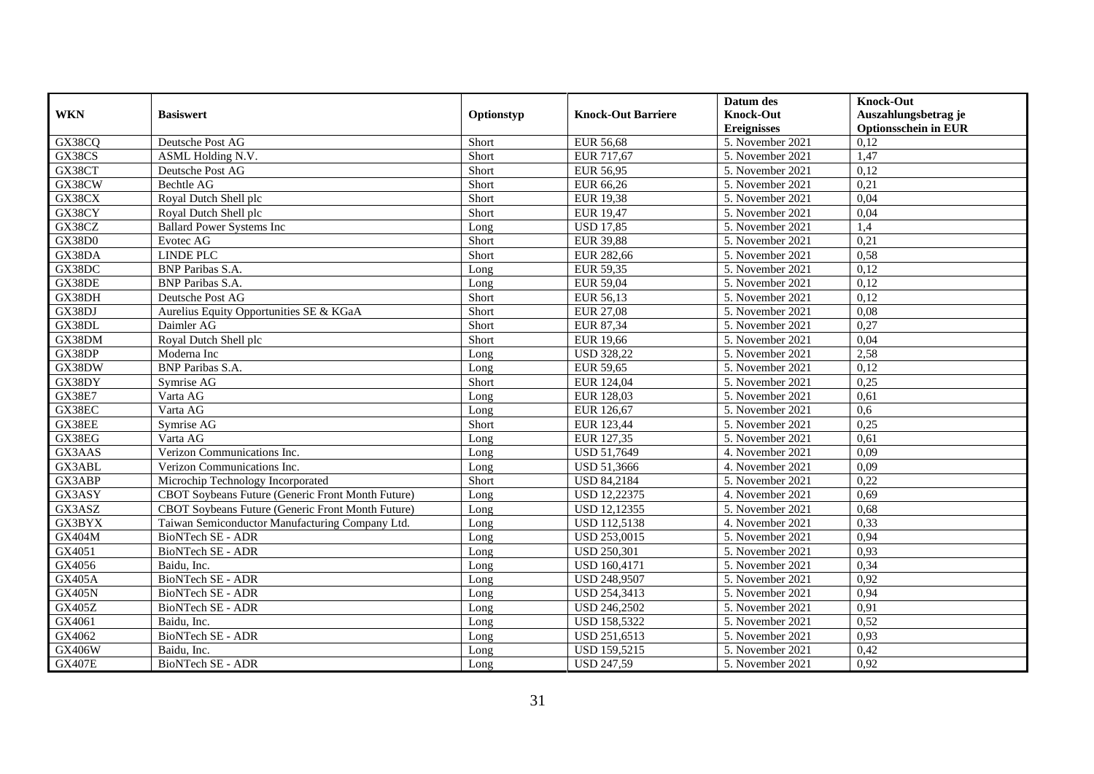|               |                                                   |            |                           | Datum des          | <b>Knock-Out</b>            |
|---------------|---------------------------------------------------|------------|---------------------------|--------------------|-----------------------------|
| <b>WKN</b>    | <b>Basiswert</b>                                  | Optionstyp | <b>Knock-Out Barriere</b> | <b>Knock-Out</b>   | Auszahlungsbetrag je        |
|               |                                                   |            |                           | <b>Ereignisses</b> | <b>Optionsschein in EUR</b> |
| GX38CQ        | Deutsche Post AG                                  | Short      | <b>EUR 56,68</b>          | 5. November 2021   | 0,12                        |
| GX38CS        | ASML Holding N.V.                                 | Short      | EUR 717,67                | 5. November 2021   | 1,47                        |
| GX38CT        | Deutsche Post AG                                  | Short      | EUR 56,95                 | 5. November 2021   | 0,12                        |
| GX38CW        | Bechtle AG                                        | Short      | EUR 66,26                 | 5. November 2021   | 0,21                        |
| GX38CX        | Royal Dutch Shell plc                             | Short      | <b>EUR 19,38</b>          | 5. November 2021   | 0,04                        |
| GX38CY        | Royal Dutch Shell plc                             | Short      | <b>EUR 19,47</b>          | 5. November 2021   | 0,04                        |
| GX38CZ        | <b>Ballard Power Systems Inc</b>                  | Long       | <b>USD 17,85</b>          | 5. November 2021   | 1,4                         |
| <b>GX38D0</b> | Evotec AG                                         | Short      | <b>EUR 39,88</b>          | 5. November 2021   | 0,21                        |
| GX38DA        | <b>LINDE PLC</b>                                  | Short      | EUR 282,66                | 5. November 2021   | 0,58                        |
| GX38DC        | <b>BNP</b> Paribas S.A.                           | Long       | <b>EUR 59,35</b>          | 5. November 2021   | 0,12                        |
| GX38DE        | <b>BNP</b> Paribas S.A.                           | Long       | <b>EUR 59,04</b>          | 5. November 2021   | 0,12                        |
| GX38DH        | Deutsche Post AG                                  | Short      | EUR 56,13                 | 5. November 2021   | 0,12                        |
| GX38DJ        | Aurelius Equity Opportunities SE & KGaA           | Short      | <b>EUR 27,08</b>          | 5. November 2021   | 0,08                        |
| GX38DL        | Daimler AG                                        | Short      | EUR 87,34                 | 5. November 2021   | 0,27                        |
| GX38DM        | Royal Dutch Shell plc                             | Short      | <b>EUR 19,66</b>          | 5. November 2021   | 0,04                        |
| GX38DP        | Moderna Inc                                       | Long       | <b>USD 328,22</b>         | 5. November 2021   | 2,58                        |
| GX38DW        | <b>BNP</b> Paribas S.A.                           | Long       | <b>EUR 59,65</b>          | 5. November 2021   | 0,12                        |
| GX38DY        | Symrise AG                                        | Short      | EUR 124,04                | 5. November 2021   | 0,25                        |
| <b>GX38E7</b> | Varta AG                                          | Long       | EUR 128,03                | 5. November 2021   | 0,61                        |
| GX38EC        | Varta AG                                          | Long       | EUR 126,67                | 5. November 2021   | 0,6                         |
| GX38EE        | Symrise AG                                        | Short      | EUR 123,44                | 5. November 2021   | 0,25                        |
| GX38EG        | Varta AG                                          | Long       | EUR 127,35                | 5. November 2021   | 0,61                        |
| GX3AAS        | Verizon Communications Inc.                       | Long       | USD 51,7649               | 4. November 2021   | 0,09                        |
| GX3ABL        | Verizon Communications Inc.                       | Long       | <b>USD 51,3666</b>        | 4. November 2021   | 0.09                        |
| GX3ABP        | Microchip Technology Incorporated                 | Short      | <b>USD 84,2184</b>        | 5. November 2021   | 0,22                        |
| GX3ASY        | CBOT Soybeans Future (Generic Front Month Future) | Long       | <b>USD 12,22375</b>       | 4. November 2021   | 0,69                        |
| GX3ASZ        | CBOT Soybeans Future (Generic Front Month Future) | Long       | <b>USD 12,12355</b>       | 5. November 2021   | 0,68                        |
| GX3BYX        | Taiwan Semiconductor Manufacturing Company Ltd.   | Long       | <b>USD 112,5138</b>       | 4. November 2021   | 0,33                        |
| GX404M        | <b>BioNTech SE - ADR</b>                          | Long       | <b>USD 253,0015</b>       | 5. November 2021   | 0,94                        |
| GX4051        | BioNTech SE - ADR                                 | Long       | <b>USD 250,301</b>        | 5. November 2021   | 0,93                        |
| GX4056        | Baidu, Inc.                                       | Long       | <b>USD 160,4171</b>       | 5. November 2021   | 0,34                        |
| <b>GX405A</b> | <b>BioNTech SE - ADR</b>                          | Long       | <b>USD 248,9507</b>       | 5. November 2021   | 0,92                        |
| <b>GX405N</b> | <b>BioNTech SE - ADR</b>                          | Long       | USD 254,3413              | 5. November 2021   | 0,94                        |
| GX405Z        | BioNTech SE - ADR                                 | Long       | <b>USD 246,2502</b>       | 5. November 2021   | 0,91                        |
| GX4061        | Baidu, Inc.                                       | Long       | USD 158,5322              | 5. November 2021   | 0,52                        |
| GX4062        | <b>BioNTech SE - ADR</b>                          | Long       | USD 251,6513              | 5. November 2021   | 0,93                        |
| GX406W        | Baidu, Inc.                                       | Long       | USD 159,5215              | 5. November 2021   | 0,42                        |
| <b>GX407E</b> | BioNTech SE - ADR                                 | Long       | <b>USD 247,59</b>         | 5. November 2021   | 0,92                        |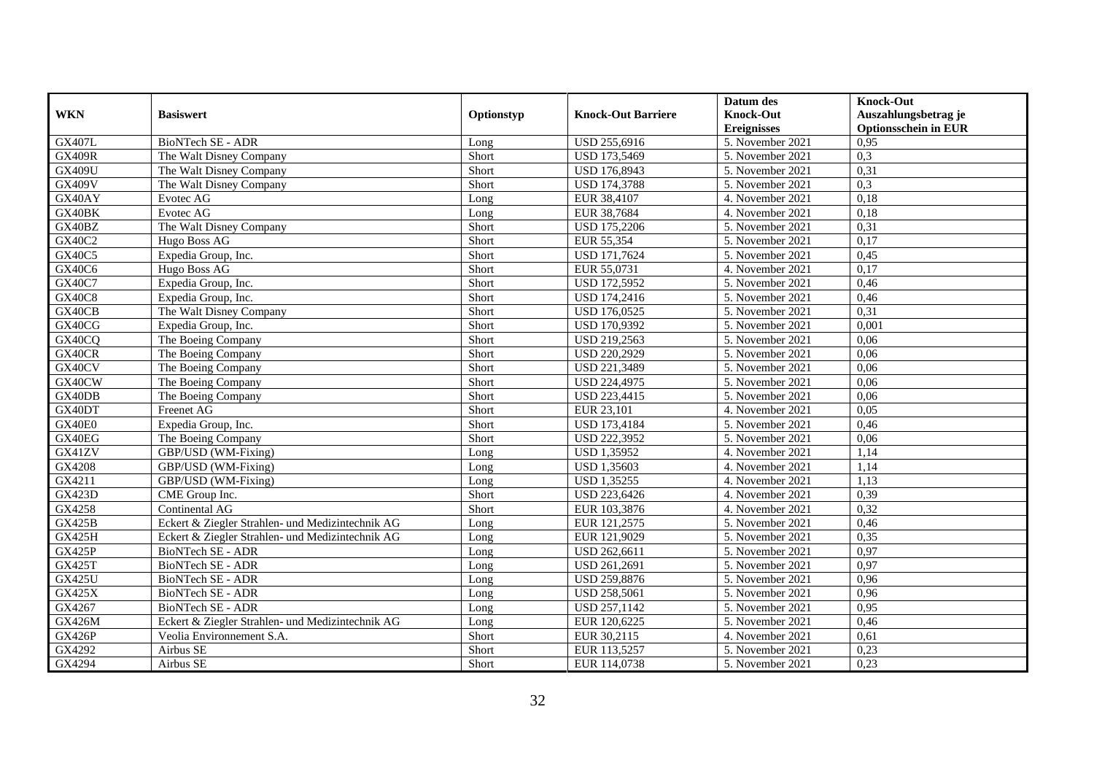|               |                                                  |            |                           | Datum des          | <b>Knock-Out</b>            |
|---------------|--------------------------------------------------|------------|---------------------------|--------------------|-----------------------------|
| <b>WKN</b>    | <b>Basiswert</b>                                 | Optionstyp | <b>Knock-Out Barriere</b> | <b>Knock-Out</b>   | Auszahlungsbetrag je        |
|               |                                                  |            |                           | <b>Ereignisses</b> | <b>Optionsschein in EUR</b> |
| <b>GX407L</b> | <b>BioNTech SE - ADR</b>                         | Long       | USD 255,6916              | 5. November 2021   | 0,95                        |
| <b>GX409R</b> | The Walt Disney Company                          | Short      | USD 173,5469              | 5. November 2021   | 0,3                         |
| <b>GX409U</b> | The Walt Disney Company                          | Short      | USD 176,8943              | 5. November 2021   | 0,31                        |
| <b>GX409V</b> | The Walt Disney Company                          | Short      | <b>USD 174,3788</b>       | 5. November 2021   | 0,3                         |
| GX40AY        | Evotec AG                                        | Long       | EUR 38,4107               | 4. November 2021   | 0,18                        |
| GX40BK        | Evotec AG                                        | Long       | EUR 38,7684               | 4. November 2021   | 0,18                        |
| GX40BZ        | The Walt Disney Company                          | Short      | USD 175,2206              | 5. November 2021   | 0,31                        |
| GX40C2        | Hugo Boss AG                                     | Short      | EUR 55,354                | 5. November 2021   | 0,17                        |
| <b>GX40C5</b> | Expedia Group, Inc.                              | Short      | USD 171,7624              | 5. November 2021   | 0,45                        |
| GX40C6        | Hugo Boss AG                                     | Short      | EUR 55,0731               | 4. November 2021   | 0,17                        |
| GX40C7        | Expedia Group, Inc.                              | Short      | <b>USD 172,5952</b>       | 5. November 2021   | 0,46                        |
| GX40C8        | Expedia Group, Inc.                              | Short      | <b>USD 174,2416</b>       | 5. November 2021   | 0,46                        |
| GX40CB        | The Walt Disney Company                          | Short      | USD 176,0525              | 5. November 2021   | 0,31                        |
| GX40CG        | Expedia Group, Inc.                              | Short      | <b>USD 170,9392</b>       | 5. November 2021   | 0,001                       |
| GX40CQ        | The Boeing Company                               | Short      | USD 219,2563              | 5. November 2021   | 0,06                        |
| GX40CR        | The Boeing Company                               | Short      | USD 220,2929              | 5. November 2021   | 0,06                        |
| GX40CV        | The Boeing Company                               | Short      | USD 221,3489              | 5. November 2021   | 0,06                        |
| GX40CW        | The Boeing Company                               | Short      | <b>USD 224.4975</b>       | 5. November 2021   | 0,06                        |
| GX40DB        | The Boeing Company                               | Short      | USD 223,4415              | 5. November 2021   | 0,06                        |
| GX40DT        | Freenet AG                                       | Short      | EUR 23,101                | 4. November 2021   | 0,05                        |
| GX40E0        | Expedia Group, Inc.                              | Short      | <b>USD 173,4184</b>       | 5. November 2021   | 0,46                        |
| GX40EG        | The Boeing Company                               | Short      | <b>USD 222,3952</b>       | 5. November 2021   | 0,06                        |
| GX41ZV        | GBP/USD (WM-Fixing)                              | Long       | <b>USD 1,35952</b>        | 4. November 2021   | 1,14                        |
| GX4208        | GBP/USD (WM-Fixing)                              | Long       | <b>USD 1,35603</b>        | 4. November 2021   | 1,14                        |
| GX4211        | GBP/USD (WM-Fixing)                              | Long       | <b>USD 1,35255</b>        | 4. November 2021   | 1,13                        |
| GX423D        | CME Group Inc.                                   | Short      | USD 223,6426              | 4. November 2021   | 0,39                        |
| GX4258        | Continental AG                                   | Short      | EUR 103,3876              | 4. November 2021   | 0,32                        |
| <b>GX425B</b> | Eckert & Ziegler Strahlen- und Medizintechnik AG | Long       | EUR 121,2575              | 5. November 2021   | 0,46                        |
| <b>GX425H</b> | Eckert & Ziegler Strahlen- und Medizintechnik AG | Long       | EUR 121,9029              | 5. November 2021   | 0,35                        |
| <b>GX425P</b> | BioNTech SE - ADR                                | Long       | USD 262,6611              | 5. November 2021   | 0.97                        |
| <b>GX425T</b> | BioNTech SE - ADR                                | Long       | USD 261,2691              | 5. November 2021   | 0,97                        |
| <b>GX425U</b> | BioNTech SE - ADR                                | Long       | USD 259,8876              | 5. November 2021   | 0,96                        |
| GX425X        | BioNTech SE - ADR                                | Long       | <b>USD 258,5061</b>       | 5. November 2021   | 0,96                        |
| GX4267        | <b>BioNTech SE - ADR</b>                         | Long       | USD 257,1142              | 5. November 2021   | 0,95                        |
| <b>GX426M</b> | Eckert & Ziegler Strahlen- und Medizintechnik AG | Long       | EUR 120,6225              | 5. November 2021   | 0,46                        |
| <b>GX426P</b> | Veolia Environnement S.A.                        | Short      | EUR 30,2115               | 4. November 2021   | 0,61                        |
| GX4292        | Airbus SE                                        | Short      | EUR 113,5257              | 5. November 2021   | 0,23                        |
| GX4294        | Airbus SE                                        | Short      | EUR 114,0738              | 5. November 2021   | 0,23                        |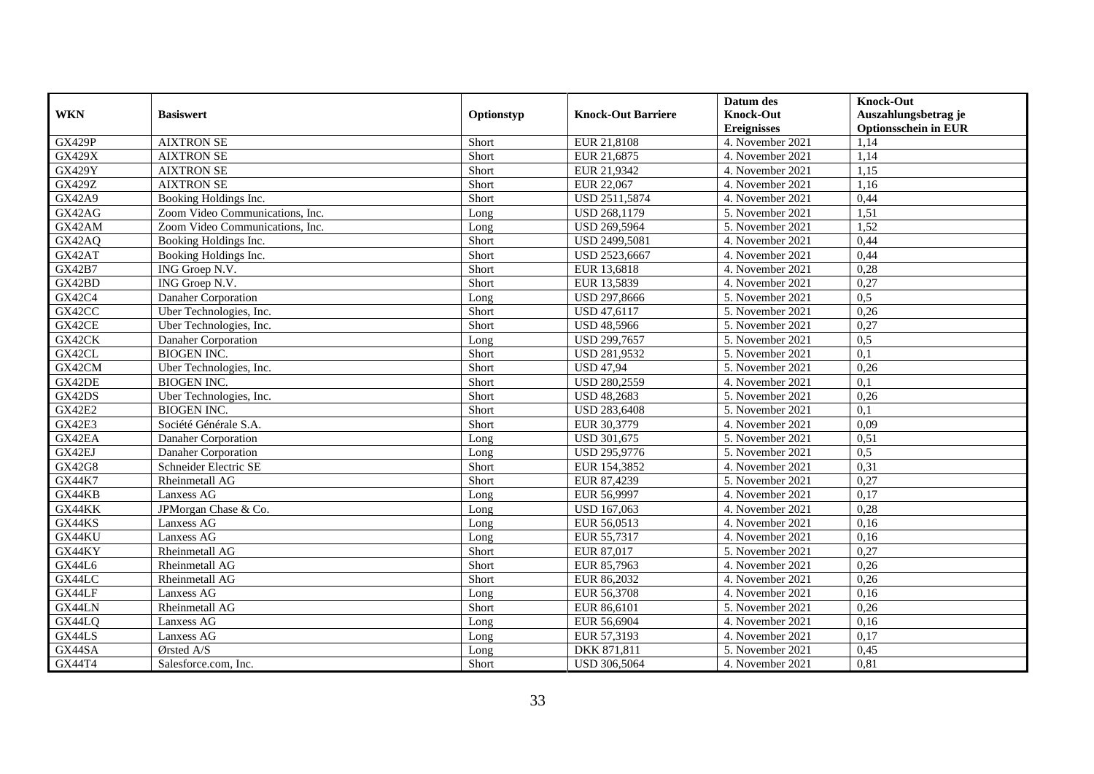|               |                                 |            |                           | Datum des                              | <b>Knock-Out</b>                                    |
|---------------|---------------------------------|------------|---------------------------|----------------------------------------|-----------------------------------------------------|
| <b>WKN</b>    | <b>Basiswert</b>                | Optionstyp | <b>Knock-Out Barriere</b> | <b>Knock-Out</b><br><b>Ereignisses</b> | Auszahlungsbetrag je<br><b>Optionsschein in EUR</b> |
| <b>GX429P</b> | <b>AIXTRON SE</b>               | Short      | EUR 21,8108               | 4. November 2021                       | 1,14                                                |
| <b>GX429X</b> | <b>AIXTRON SE</b>               | Short      | EUR 21,6875               | 4. November 2021                       | 1,14                                                |
| <b>GX429Y</b> | <b>AIXTRON SE</b>               | Short      | EUR 21,9342               | 4. November 2021                       | 1,15                                                |
| GX429Z        | <b>AIXTRON SE</b>               | Short      | EUR 22,067                | 4. November 2021                       | 1,16                                                |
| <b>GX42A9</b> | Booking Holdings Inc.           | Short      | USD 2511,5874             | 4. November 2021                       | 0,44                                                |
| GX42AG        | Zoom Video Communications, Inc. | Long       | USD 268,1179              | 5. November 2021                       | 1,51                                                |
| GX42AM        | Zoom Video Communications, Inc. | Long       | USD 269,5964              | 5. November 2021                       | 1,52                                                |
| GX42AQ        | Booking Holdings Inc.           | Short      | USD 2499,5081             | 4. November 2021                       | 0,44                                                |
| GX42AT        | Booking Holdings Inc.           | Short      | USD 2523,6667             | 4. November 2021                       | 0,44                                                |
| <b>GX42B7</b> | ING Groep N.V.                  | Short      | EUR 13,6818               | 4. November 2021                       | 0,28                                                |
| GX42BD        | ING Groep N.V.                  | Short      | EUR 13,5839               | 4. November 2021                       | 0,27                                                |
| GX42C4        | Danaher Corporation             | Long       | <b>USD 297,8666</b>       | 5. November 2021                       | 0,5                                                 |
| GX42CC        | Uber Technologies, Inc.         | Short      | USD 47,6117               | 5. November 2021                       | 0,26                                                |
| GX42CE        | Uber Technologies, Inc.         | Short      | <b>USD 48,5966</b>        | 5. November 2021                       | 0,27                                                |
| GX42CK        | Danaher Corporation             | Long       | USD 299,7657              | 5. November 2021                       | 0,5                                                 |
| GX42CL        | <b>BIOGEN INC.</b>              | Short      | USD 281,9532              | 5. November 2021                       | 0,1                                                 |
| GX42CM        | Uber Technologies, Inc.         | Short      | <b>USD 47,94</b>          | 5. November 2021                       | 0,26                                                |
| GX42DE        | <b>BIOGEN INC.</b>              | Short      | <b>USD 280,2559</b>       | 4. November 2021                       | 0,1                                                 |
| GX42DS        | Uber Technologies, Inc.         | Short      | <b>USD 48,2683</b>        | 5. November 2021                       | 0,26                                                |
| <b>GX42E2</b> | <b>BIOGEN INC.</b>              | Short      | <b>USD 283,6408</b>       | 5. November 2021                       | 0,1                                                 |
| <b>GX42E3</b> | Société Générale S.A.           | Short      | EUR 30,3779               | 4. November 2021                       | 0,09                                                |
| GX42EA        | Danaher Corporation             | Long       | <b>USD 301,675</b>        | 5. November 2021                       | 0,51                                                |
| GX42EJ        | Danaher Corporation             | Long       | USD 295,9776              | 5. November 2021                       | 0,5                                                 |
| <b>GX42G8</b> | Schneider Electric SE           | Short      | EUR 154,3852              | 4. November 2021                       | 0,31                                                |
| <b>GX44K7</b> | Rheinmetall AG                  | Short      | EUR 87,4239               | 5. November 2021                       | 0,27                                                |
| GX44KB        | Lanxess AG                      | Long       | EUR 56,9997               | 4. November 2021                       | 0,17                                                |
| GX44KK        | JPMorgan Chase & Co.            | Long       | <b>USD 167,063</b>        | 4. November 2021                       | 0,28                                                |
| GX44KS        | Lanxess AG                      | Long       | EUR 56,0513               | 4. November 2021                       | 0,16                                                |
| GX44KU        | Lanxess AG                      | Long       | EUR 55,7317               | 4. November 2021                       | 0,16                                                |
| GX44KY        | Rheinmetall AG                  | Short      | EUR 87,017                | 5. November 2021                       | 0,27                                                |
| GX44L6        | Rheinmetall AG                  | Short      | EUR 85,7963               | 4. November 2021                       | 0,26                                                |
| GX44LC        | Rheinmetall AG                  | Short      | EUR 86,2032               | 4. November 2021                       | 0,26                                                |
| GX44LF        | Lanxess AG                      | Long       | EUR 56,3708               | 4. November 2021                       | 0,16                                                |
| GX44LN        | Rheinmetall AG                  | Short      | EUR 86,6101               | 5. November 2021                       | 0,26                                                |
| GX44LQ        | Lanxess AG                      | Long       | EUR 56,6904               | 4. November 2021                       | 0,16                                                |
| GX44LS        | Lanxess AG                      | Long       | EUR 57,3193               | 4. November 2021                       | 0,17                                                |
| GX44SA        | Ørsted A/S                      | Long       | DKK 871,811               | 5. November 2021                       | 0,45                                                |
| GX44T4        | Salesforce.com, Inc.            | Short      | <b>USD 306,5064</b>       | 4. November 2021                       | 0,81                                                |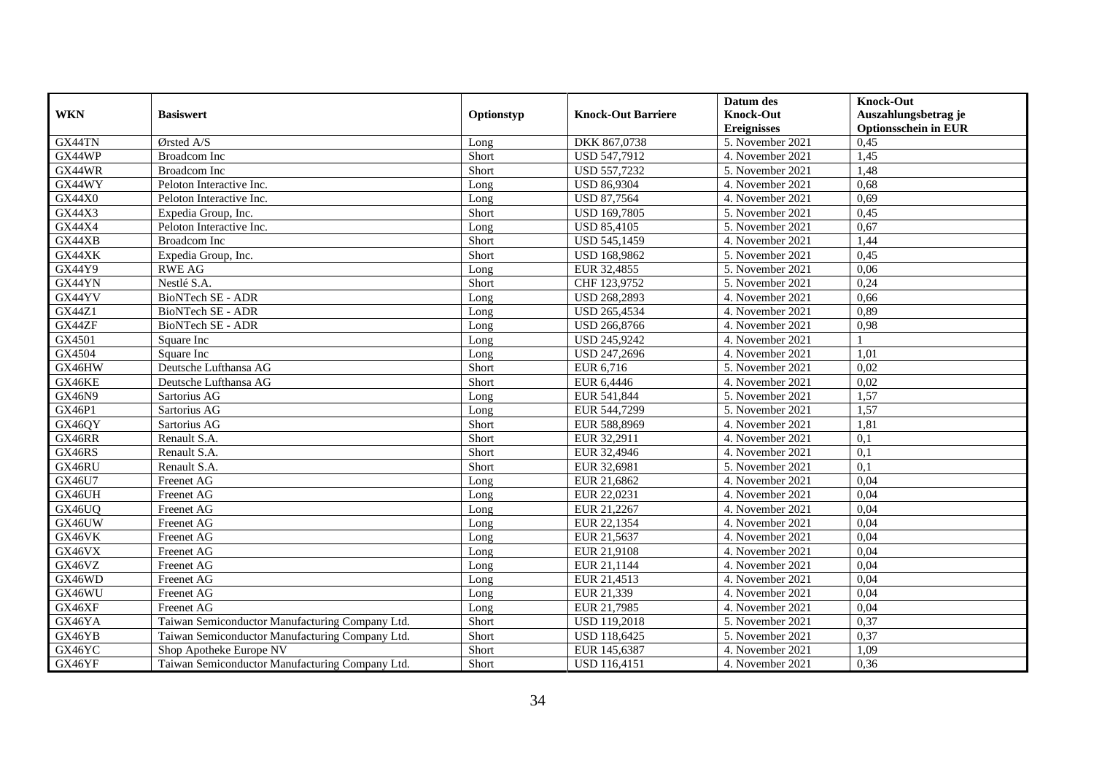|               |                                                 |            |                           | Datum des          | <b>Knock-Out</b>            |
|---------------|-------------------------------------------------|------------|---------------------------|--------------------|-----------------------------|
| <b>WKN</b>    | <b>Basiswert</b>                                | Optionstyp | <b>Knock-Out Barriere</b> | <b>Knock-Out</b>   | Auszahlungsbetrag je        |
|               |                                                 |            |                           | <b>Ereignisses</b> | <b>Optionsschein in EUR</b> |
| GX44TN        | Ørsted A/S                                      | Long       | DKK 867,0738              | 5. November 2021   | 0,45                        |
| GX44WP        | <b>Broadcom</b> Inc                             | Short      | USD 547,7912              | 4. November 2021   | 1,45                        |
| GX44WR        | <b>Broadcom</b> Inc                             | Short      | USD 557,7232              | 5. November 2021   | 1,48                        |
| GX44WY        | Peloton Interactive Inc.                        | Long       | <b>USD 86,9304</b>        | 4. November 2021   | 0,68                        |
| <b>GX44X0</b> | Peloton Interactive Inc.                        | Long       | <b>USD 87,7564</b>        | 4. November 2021   | 0,69                        |
| GX44X3        | Expedia Group, Inc.                             | Short      | <b>USD 169,7805</b>       | 5. November 2021   | 0,45                        |
| GX44X4        | Peloton Interactive Inc.                        | Long       | <b>USD 85,4105</b>        | 5. November 2021   | 0,67                        |
| GX44XB        | <b>Broadcom</b> Inc                             | Short      | <b>USD 545,1459</b>       | 4. November 2021   | 1,44                        |
| GX44XK        | Expedia Group, Inc.                             | Short      | USD 168,9862              | 5. November 2021   | 0,45                        |
| GX44Y9        | <b>RWE AG</b>                                   | Long       | EUR 32,4855               | 5. November 2021   | 0,06                        |
| GX44YN        | Nestlé S.A.                                     | Short      | CHF 123,9752              | 5. November 2021   | 0,24                        |
| GX44YV        | <b>BioNTech SE - ADR</b>                        | Long       | <b>USD 268,2893</b>       | 4. November 2021   | 0,66                        |
| GX44Z1        | <b>BioNTech SE - ADR</b>                        | Long       | USD 265,4534              | 4. November 2021   | 0,89                        |
| GX44ZF        | BioNTech SE - ADR                               | Long       | USD 266,8766              | 4. November 2021   | 0,98                        |
| GX4501        | Square Inc                                      | Long       | USD 245,9242              | 4. November 2021   |                             |
| GX4504        | Square Inc                                      | Long       | USD 247,2696              | 4. November 2021   | 1,01                        |
| GX46HW        | Deutsche Lufthansa AG                           | Short      | EUR 6,716                 | 5. November 2021   | 0,02                        |
| GX46KE        | Deutsche Lufthansa AG                           | Short      | EUR 6,4446                | 4. November 2021   | 0.02                        |
| GX46N9        | Sartorius AG                                    | Long       | EUR 541,844               | 5. November 2021   | 1,57                        |
| GX46P1        | Sartorius AG                                    | Long       | EUR 544,7299              | 5. November 2021   | 1,57                        |
| GX46QY        | Sartorius AG                                    | Short      | EUR 588,8969              | 4. November 2021   | 1,81                        |
| GX46RR        | Renault S.A.                                    | Short      | EUR 32,2911               | 4. November 2021   | 0,1                         |
| GX46RS        | Renault S.A.                                    | Short      | EUR 32,4946               | 4. November 2021   | 0,1                         |
| GX46RU        | Renault S.A.                                    | Short      | EUR 32,6981               | 5. November 2021   | 0,1                         |
| GX46U7        | Freenet AG                                      | Long       | EUR 21,6862               | 4. November 2021   | 0,04                        |
| GX46UH        | Freenet AG                                      | Long       | EUR 22,0231               | 4. November 2021   | 0,04                        |
| GX46UQ        | Freenet AG                                      | Long       | EUR 21,2267               | 4. November 2021   | 0,04                        |
| GX46UW        | Freenet AG                                      | Long       | EUR 22,1354               | 4. November 2021   | 0,04                        |
| GX46VK        | Freenet AG                                      | Long       | EUR 21,5637               | 4. November 2021   | 0,04                        |
| GX46VX        | Freenet AG                                      | Long       | EUR 21,9108               | 4. November 2021   | 0,04                        |
| GX46VZ        | Freenet AG                                      | Long       | EUR 21,1144               | 4. November 2021   | 0,04                        |
| GX46WD        | Freenet AG                                      | Long       | EUR 21,4513               | 4. November 2021   | 0,04                        |
| GX46WU        | Freenet AG                                      | Long       | EUR 21,339                | 4. November 2021   | 0,04                        |
| GX46XF        | Freenet AG                                      | Long       | EUR 21,7985               | 4. November 2021   | 0,04                        |
| GX46YA        | Taiwan Semiconductor Manufacturing Company Ltd. | Short      | <b>USD 119,2018</b>       | 5. November 2021   | 0,37                        |
| GX46YB        | Taiwan Semiconductor Manufacturing Company Ltd. | Short      | USD 118,6425              | 5. November 2021   | 0,37                        |
| GX46YC        | Shop Apotheke Europe NV                         | Short      | EUR 145,6387              | 4. November 2021   | 1,09                        |
| GX46YF        | Taiwan Semiconductor Manufacturing Company Ltd. | Short      | <b>USD 116,4151</b>       | 4. November 2021   | 0,36                        |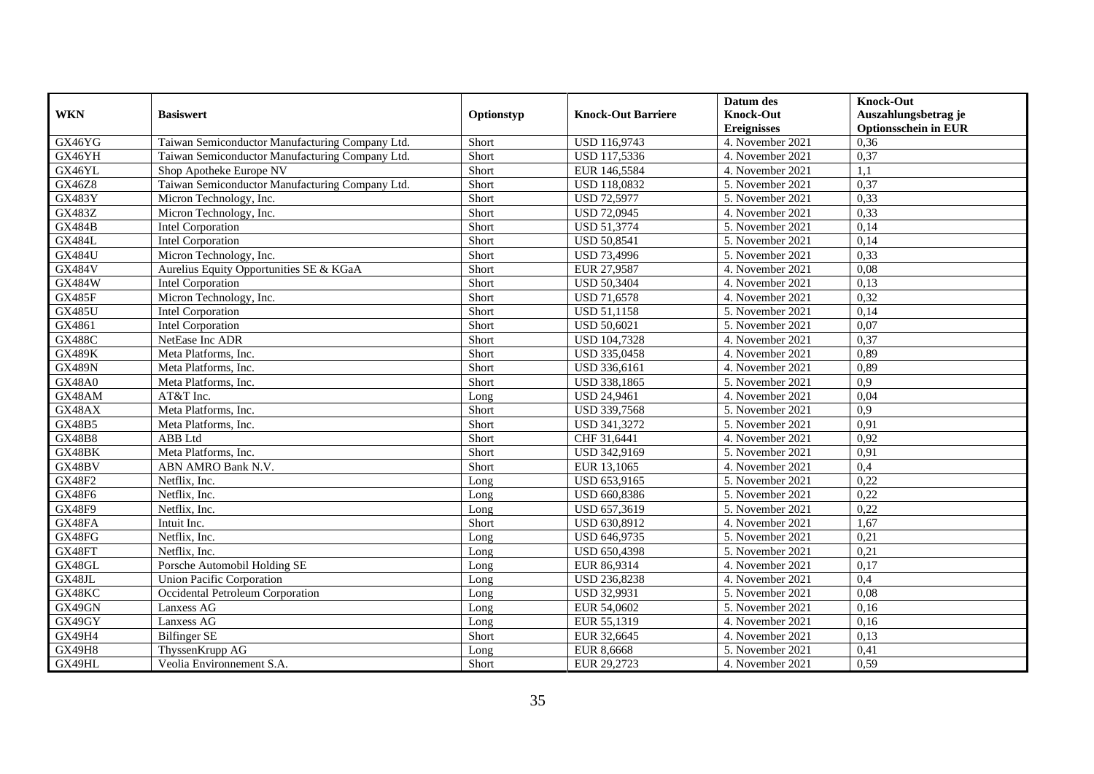|               |                                                 |            |                           | Datum des          | <b>Knock-Out</b>            |
|---------------|-------------------------------------------------|------------|---------------------------|--------------------|-----------------------------|
| <b>WKN</b>    | <b>Basiswert</b>                                | Optionstyp | <b>Knock-Out Barriere</b> | <b>Knock-Out</b>   | Auszahlungsbetrag je        |
|               |                                                 |            |                           | <b>Ereignisses</b> | <b>Optionsschein in EUR</b> |
| GX46YG        | Taiwan Semiconductor Manufacturing Company Ltd. | Short      | USD 116,9743              | 4. November 2021   | 0,36                        |
| GX46YH        | Taiwan Semiconductor Manufacturing Company Ltd. | Short      | USD 117,5336              | 4. November 2021   | 0,37                        |
| GX46YL        | Shop Apotheke Europe NV                         | Short      | EUR 146,5584              | 4. November 2021   | 1,1                         |
| GX46Z8        | Taiwan Semiconductor Manufacturing Company Ltd. | Short      | USD 118,0832              | 5. November 2021   | 0,37                        |
| <b>GX483Y</b> | Micron Technology, Inc.                         | Short      | <b>USD 72,5977</b>        | 5. November 2021   | 0,33                        |
| GX483Z        | Micron Technology, Inc.                         | Short      | <b>USD 72,0945</b>        | 4. November 2021   | 0,33                        |
| <b>GX484B</b> | <b>Intel Corporation</b>                        | Short      | USD 51,3774               | 5. November 2021   | 0,14                        |
| <b>GX484L</b> | Intel Corporation                               | Short      | <b>USD 50,8541</b>        | 5. November 2021   | 0,14                        |
| <b>GX484U</b> | Micron Technology, Inc.                         | Short      | <b>USD 73,4996</b>        | 5. November 2021   | 0,33                        |
| <b>GX484V</b> | Aurelius Equity Opportunities SE & KGaA         | Short      | EUR 27,9587               | 4. November 2021   | 0.08                        |
| <b>GX484W</b> | Intel Corporation                               | Short      | <b>USD 50,3404</b>        | 4. November 2021   | 0,13                        |
| <b>GX485F</b> | Micron Technology, Inc.                         | Short      | <b>USD 71,6578</b>        | 4. November 2021   | 0,32                        |
| <b>GX485U</b> | Intel Corporation                               | Short      | <b>USD 51,1158</b>        | 5. November 2021   | 0,14                        |
| GX4861        | Intel Corporation                               | Short      | <b>USD 50,6021</b>        | 5. November 2021   | 0,07                        |
| <b>GX488C</b> | NetEase Inc ADR                                 | Short      | USD 104,7328              | 4. November 2021   | 0,37                        |
| <b>GX489K</b> | Meta Platforms, Inc.                            | Short      | USD 335,0458              | 4. November 2021   | 0,89                        |
| <b>GX489N</b> | Meta Platforms, Inc.                            | Short      | USD 336,6161              | 4. November 2021   | 0,89                        |
| <b>GX48A0</b> | Meta Platforms, Inc.                            | Short      | <b>USD 338.1865</b>       | 5. November 2021   | 0,9                         |
| GX48AM        | AT&T Inc.                                       | Long       | <b>USD 24,9461</b>        | 4. November 2021   | 0,04                        |
| GX48AX        | Meta Platforms, Inc.                            | Short      | USD 339,7568              | 5. November 2021   | 0,9                         |
| <b>GX48B5</b> | Meta Platforms, Inc.                            | Short      | USD 341,3272              | 5. November 2021   | 0.91                        |
| <b>GX48B8</b> | <b>ABB</b> Ltd                                  | Short      | CHF 31,6441               | 4. November 2021   | 0,92                        |
| GX48BK        | Meta Platforms, Inc.                            | Short      | USD 342,9169              | 5. November 2021   | 0,91                        |
| GX48BV        | ABN AMRO Bank N.V.                              | Short      | EUR 13,1065               | 4. November 2021   | 0,4                         |
| <b>GX48F2</b> | Netflix, Inc.                                   | Long       | USD 653,9165              | 5. November 2021   | 0,22                        |
| <b>GX48F6</b> | Netflix, Inc.                                   | Long       | USD 660,8386              | 5. November 2021   | 0,22                        |
| <b>GX48F9</b> | Netflix, Inc.                                   | Long       | USD 657,3619              | 5. November 2021   | 0,22                        |
| GX48FA        | Intuit Inc.                                     | Short      | USD 630,8912              | 4. November 2021   | 1,67                        |
| GX48FG        | Netflix, Inc.                                   | Long       | USD 646,9735              | 5. November 2021   | 0,21                        |
| GX48FT        | Netflix, Inc.                                   | Long       | <b>USD 650,4398</b>       | 5. November 2021   | 0,21                        |
| GX48GL        | Porsche Automobil Holding SE                    | Long       | EUR 86,9314               | 4. November 2021   | 0,17                        |
| GX48JL        | <b>Union Pacific Corporation</b>                | Long       | USD 236,8238              | 4. November 2021   | 0,4                         |
| GX48KC        | Occidental Petroleum Corporation                | Long       | USD 32,9931               | 5. November 2021   | 0,08                        |
| GX49GN        | Lanxess AG                                      | Long       | EUR 54,0602               | 5. November 2021   | 0,16                        |
| GX49GY        | Lanxess AG                                      | Long       | EUR 55,1319               | 4. November 2021   | 0,16                        |
| GX49H4        | <b>Bilfinger SE</b>                             | Short      | EUR 32,6645               | 4. November 2021   | 0,13                        |
| <b>GX49H8</b> | ThyssenKrupp AG                                 | Long       | <b>EUR 8,6668</b>         | 5. November 2021   | 0,41                        |
| GX49HL        | Veolia Environnement S.A.                       | Short      | EUR 29,2723               | 4. November 2021   | 0,59                        |